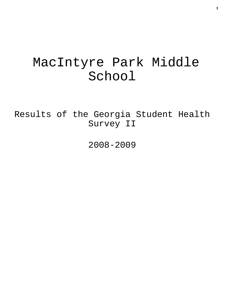# MacIntyre Park Middle School

Results of the Georgia Student Health Survey II

2008-2009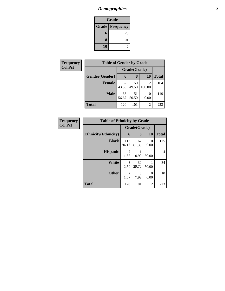# *Demographics* **2**

| Grade                    |     |  |  |  |
|--------------------------|-----|--|--|--|
| <b>Grade   Frequency</b> |     |  |  |  |
| 6                        | 120 |  |  |  |
| 8                        | 101 |  |  |  |
| 10                       |     |  |  |  |

| Frequency      | <b>Table of Gender by Grade</b> |              |             |             |              |
|----------------|---------------------------------|--------------|-------------|-------------|--------------|
| <b>Col Pct</b> |                                 | Grade(Grade) |             |             |              |
|                | Gender(Gender)                  | 6            | 8           | <b>10</b>   | <b>Total</b> |
|                | <b>Female</b>                   | 52<br>43.33  | 50<br>49.50 | 2<br>100.00 | 104          |
|                | <b>Male</b>                     | 68<br>56.67  | 51<br>50.50 | 0<br>0.00   | 119          |
|                | <b>Total</b>                    | 120          | 101         | 2           | 223          |

| Frequency      | <b>Table of Ethnicity by Grade</b> |              |             |                |              |
|----------------|------------------------------------|--------------|-------------|----------------|--------------|
| <b>Col Pct</b> |                                    | Grade(Grade) |             |                |              |
|                | <b>Ethnicity</b> (Ethnicity)       | 6            | 8           | <b>10</b>      | <b>Total</b> |
|                | <b>Black</b>                       | 113<br>94.17 | 62<br>61.39 | 0<br>0.00      | 175          |
|                | <b>Hispanic</b>                    | 2<br>1.67    | 0.99        | 50.00          | 4            |
|                | <b>White</b>                       | 3<br>2.50    | 30<br>29.70 | 50.00          | 34           |
|                | <b>Other</b>                       | 2<br>1.67    | 8<br>7.92   | 0<br>0.00      | 10           |
|                | <b>Total</b>                       | 120          | 101         | $\overline{2}$ | 223          |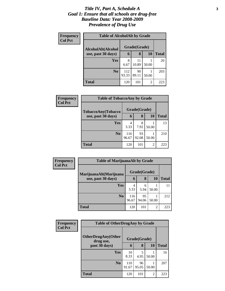### *Title IV, Part A, Schedule A* **3** *Goal 1: Ensure that all schools are drug-free Baseline Data: Year 2008-2009 Prevalence of Drug Use*

| Frequency<br><b>Col Pct</b> | <b>Table of AlcoholAlt by Grade</b> |              |              |                |              |
|-----------------------------|-------------------------------------|--------------|--------------|----------------|--------------|
|                             | AlcoholAlt(Alcohol                  |              | Grade(Grade) |                |              |
|                             | use, past 30 days)                  | 6            | 8            | <b>10</b>      | <b>Total</b> |
|                             | Yes                                 | 8<br>6.67    | 11<br>10.89  | 50.00          | 20           |
|                             | N <sub>0</sub>                      | 112<br>93.33 | 90<br>89.11  | 50.00          | 203          |
|                             | Total                               | 120          | 101          | $\overline{2}$ | 223          |

| Frequency      | <b>Table of TobaccoAny by Grade</b> |              |              |                |              |  |
|----------------|-------------------------------------|--------------|--------------|----------------|--------------|--|
| <b>Col Pct</b> | TobaccoAny(Tobacco                  |              | Grade(Grade) |                |              |  |
|                | use, past 30 days)                  | 6            | 8            | <b>10</b>      | <b>Total</b> |  |
|                | Yes                                 | 4<br>3.33    | 8<br>7.92    | 50.00          | 13           |  |
|                | N <sub>0</sub>                      | 116<br>96.67 | 93<br>92.08  | 50.00          | 210          |  |
|                | <b>Total</b>                        | 120          | 101          | $\overline{2}$ | 223          |  |

| <b>Frequency</b><br><b>Col Pct</b> | <b>Table of MarijuanaAlt by Grade</b>        |              |             |       |              |
|------------------------------------|----------------------------------------------|--------------|-------------|-------|--------------|
|                                    | MarijuanaAlt(Marijuana<br>use, past 30 days) | Grade(Grade) |             |       |              |
|                                    |                                              | 6            | 8           | 10    | <b>Total</b> |
|                                    | Yes                                          | 4<br>3.33    | 6<br>5.94   | 50.00 | 11           |
|                                    | N <sub>0</sub>                               | 116<br>96.67 | 95<br>94.06 | 50.00 | 212          |
|                                    | <b>Total</b>                                 | 120          | 101         | 2     | 223          |

| <b>Frequency</b> | <b>Table of OtherDrugAny by Grade</b>  |              |              |           |              |
|------------------|----------------------------------------|--------------|--------------|-----------|--------------|
| <b>Col Pct</b>   | <b>OtherDrugAny(Other</b><br>drug use, |              | Grade(Grade) |           |              |
|                  | past 30 days)                          | 6            | 8            | <b>10</b> | <b>Total</b> |
|                  | Yes                                    | 10<br>8.33   | 5<br>4.95    | 50.00     | 16           |
|                  | N <sub>0</sub>                         | 110<br>91.67 | 96<br>95.05  | 50.00     | 207          |
|                  | <b>Total</b>                           | 120          | 101          | 2         | 223          |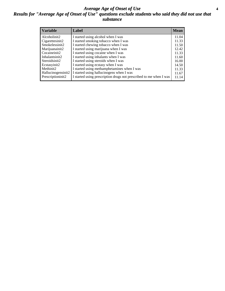### *Average Age of Onset of Use* **4** *Results for "Average Age of Onset of Use" questions exclude students who said they did not use that substance*

| <b>Variable</b>       | Label                                                              | Mean  |
|-----------------------|--------------------------------------------------------------------|-------|
| Alcoholinit2          | I started using alcohol when I was                                 | 11.04 |
| Cigarettesinit2       | I started smoking tobacco when I was                               | 11.33 |
| Smokelessinit2        | I started chewing tobacco when I was                               | 11.50 |
| Marijuanainit2        | I started using marijuana when I was                               | 12.42 |
| Cocaineinit2          | I started using cocaine when I was                                 | 11.33 |
| Inhalantsinit2        | I started using inhalants when I was                               | 11.60 |
| Steroidsinit2         | I started using steroids when I was                                | 16.00 |
| Ecstasyinit2          | I started using ecstasy when I was                                 | 14.50 |
| Methinit <sub>2</sub> | I started using methamphetamines when I was                        | 11.33 |
| Hallucinogensinit2    | I started using hallucinogens when I was                           | 11.67 |
| Prescriptioninit2     | I started using prescription drugs not prescribed to me when I was | 11.14 |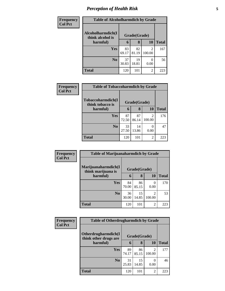# *Perception of Health Risk* **5**

| <b>Frequency</b> | <b>Table of Alcoholharmdich by Grade</b> |              |             |                           |              |
|------------------|------------------------------------------|--------------|-------------|---------------------------|--------------|
| <b>Col Pct</b>   | Alcoholharmdich(I<br>think alcohol is    | Grade(Grade) |             |                           |              |
|                  | harmful)                                 | 6            | 8           | 10                        | <b>Total</b> |
|                  | Yes                                      | 83<br>69.17  | 82<br>81.19 | 2<br>100.00               | 167          |
|                  | N <sub>0</sub>                           | 37<br>30.83  | 19<br>18.81 | $\mathbf{\Omega}$<br>0.00 | 56           |
|                  | <b>Total</b>                             | 120          | 101         | 2                         | 223          |

| <b>Frequency</b> | <b>Table of Tobaccoharmdich by Grade</b> |              |             |                          |              |
|------------------|------------------------------------------|--------------|-------------|--------------------------|--------------|
| <b>Col Pct</b>   | Tobaccoharmdich(I<br>think tobacco is    | Grade(Grade) |             |                          |              |
|                  | harmful)                                 | 6            | 8           | 10                       | <b>Total</b> |
|                  | Yes                                      | 87<br>72.50  | 87<br>86.14 | $\mathfrak{D}$<br>100.00 | 176          |
|                  | N <sub>0</sub>                           | 33<br>27.50  | 14<br>13.86 | $\mathcal{O}$<br>0.00    | 47           |
|                  | <b>Total</b>                             | 120          | 101         | $\overline{2}$           | 223          |

| Frequency      | <b>Table of Marijuanaharmdich by Grade</b> |              |             |                          |       |
|----------------|--------------------------------------------|--------------|-------------|--------------------------|-------|
| <b>Col Pct</b> | Marijuanaharmdich(I<br>think marijuana is  | Grade(Grade) |             |                          |       |
|                | harmful)                                   | 6            | 8           | <b>10</b>                | Total |
|                | Yes                                        | 84<br>70.00  | 86<br>85.15 | 0<br>0.00                | 170   |
|                | N <sub>0</sub>                             | 36<br>30.00  | 15<br>14.85 | $\mathfrak{D}$<br>100.00 | 53    |
|                | <b>Total</b>                               | 120          | 101         | 2                        | 223   |

| <b>Frequency</b> | <b>Table of Otherdrugharmdich by Grade</b> |             |              |                          |              |
|------------------|--------------------------------------------|-------------|--------------|--------------------------|--------------|
| <b>Col Pct</b>   | Otherdrugharmdich(I                        |             | Grade(Grade) |                          |              |
|                  | think other drugs are<br>harmful)          | 6           | 8            | 10                       | <b>Total</b> |
|                  | Yes                                        | 89<br>74.17 | 86<br>85.15  | $\mathfrak{D}$<br>100.00 | 177          |
|                  | N <sub>0</sub>                             | 31<br>25.83 | 15<br>14.85  | $\mathcal{L}$<br>0.00    | 46           |
|                  | <b>Total</b>                               | 120         | 101          | 2                        | 223          |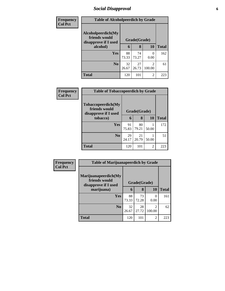# *Social Disapproval* **6**

| Frequency      | <b>Table of Alcoholpeerdich by Grade</b>                    |              |             |                          |              |
|----------------|-------------------------------------------------------------|--------------|-------------|--------------------------|--------------|
| <b>Col Pct</b> | Alcoholpeerdich(My<br>friends would<br>disapprove if I used | Grade(Grade) |             |                          |              |
|                | alcohol)                                                    | 6            | 8           | 10                       | <b>Total</b> |
|                | <b>Yes</b>                                                  | 88<br>73.33  | 74<br>73.27 | 0<br>0.00                | 162          |
|                | N <sub>0</sub>                                              | 32<br>26.67  | 27<br>26.73 | $\mathfrak{D}$<br>100.00 | 61           |
|                | <b>Total</b>                                                | 120          | 101         | $\overline{c}$           | 223          |

| Frequency      | <b>Table of Tobaccopeerdich by Grade</b>                    |             |              |       |              |  |
|----------------|-------------------------------------------------------------|-------------|--------------|-------|--------------|--|
| <b>Col Pct</b> | Tobaccopeerdich(My<br>friends would<br>disapprove if I used |             | Grade(Grade) |       |              |  |
|                | tobacco)                                                    | 6           | 8            | 10    | <b>Total</b> |  |
|                | <b>Yes</b>                                                  | 91<br>75.83 | 80<br>79.21  | 50.00 | 172          |  |
|                | N <sub>0</sub>                                              | 29<br>24.17 | 21<br>20.79  | 50.00 | 51           |  |
|                | <b>Total</b>                                                | 120         | 101          | 2     | 223          |  |

| Frequency      | <b>Table of Marijuanapeerdich by Grade</b>                    |              |             |                          |              |  |
|----------------|---------------------------------------------------------------|--------------|-------------|--------------------------|--------------|--|
| <b>Col Pct</b> | Marijuanapeerdich(My<br>friends would<br>disapprove if I used | Grade(Grade) |             |                          |              |  |
|                | marijuana)                                                    | 6            | 8           | <b>10</b>                | <b>Total</b> |  |
|                | <b>Yes</b>                                                    | 88<br>73.33  | 73<br>72.28 | 0<br>0.00                | 161          |  |
|                | N <sub>0</sub>                                                | 32<br>26.67  | 28<br>27.72 | $\overline{c}$<br>100.00 | 62           |  |
|                | <b>Total</b>                                                  | 120          | 101         | $\overline{c}$           | 223          |  |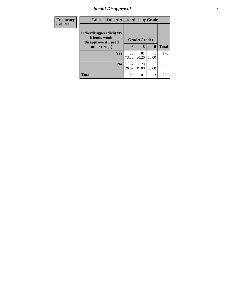# *Social Disapproval* **7**

| <b>Frequency</b> | <b>Table of Otherdrugpeerdich by Grade</b>                    |              |             |                |              |
|------------------|---------------------------------------------------------------|--------------|-------------|----------------|--------------|
| <b>Col Pct</b>   | Otherdrugpeerdich(My<br>friends would<br>disapprove if I used | Grade(Grade) |             |                |              |
|                  | other drugs)                                                  | 6            | 8           | <b>10</b>      | <b>Total</b> |
|                  | <b>Yes</b>                                                    | 88<br>73.33  | 81<br>80.20 | 50.00          | 170          |
|                  | N <sub>0</sub>                                                | 32<br>26.67  | 20<br>19.80 | 50.00          | 53           |
|                  | <b>Total</b>                                                  | 120          | 101         | $\overline{2}$ | 223          |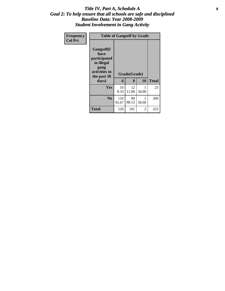### Title IV, Part A, Schedule A **8** *Goal 2: To help ensure that all schools are safe and disciplined Baseline Data: Year 2008-2009 Student Involvement in Gang Activity*

| <b>Frequency</b> | <b>Table of Gangself by Grade</b>                                                                        |              |                   |            |              |  |  |
|------------------|----------------------------------------------------------------------------------------------------------|--------------|-------------------|------------|--------------|--|--|
| <b>Col Pct</b>   | <b>Gangself(I</b><br>have<br>participated<br>in illegal<br>gang<br>activities in<br>the past 30<br>days) | 6            | Grade(Grade)<br>8 | <b>10</b>  | <b>Total</b> |  |  |
|                  | <b>Yes</b>                                                                                               | 10<br>8.33   | 12<br>11.88       | 50.00      | 23           |  |  |
|                  | N <sub>0</sub>                                                                                           | 110<br>91.67 | 89<br>88.12       | 1<br>50.00 | 200          |  |  |
|                  | <b>Total</b>                                                                                             | 120          | 101               | 2          | 223          |  |  |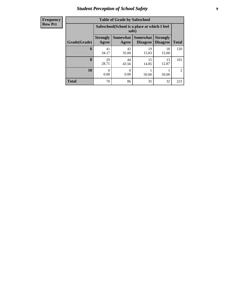# *Student Perception of School Safety* **9**

| <b>Frequency</b> |
|------------------|
| <b>Row Pct</b>   |

| <b>Table of Grade by Safeschool</b> |                          |                                                        |                                    |                                    |                |  |  |  |  |  |
|-------------------------------------|--------------------------|--------------------------------------------------------|------------------------------------|------------------------------------|----------------|--|--|--|--|--|
|                                     |                          | Safeschool (School is a place at which I feel<br>safe) |                                    |                                    |                |  |  |  |  |  |
| Grade(Grade)                        | <b>Strongly</b><br>Agree | <b>Somewhat</b><br>Agree                               | <b>Somewhat</b><br><b>Disagree</b> | <b>Strongly</b><br><b>Disagree</b> | <b>Total</b>   |  |  |  |  |  |
| 6                                   | 41<br>34.17              | 42<br>35.00                                            | 19<br>15.83                        | 18<br>15.00                        | 120            |  |  |  |  |  |
| 8                                   | 29<br>28.71              | 44<br>43.56                                            | 15<br>14.85                        | 13<br>12.87                        | 101            |  |  |  |  |  |
| 10                                  | 0<br>0.00                | 0.00                                                   | 50.00                              | 50.00                              | $\mathfrak{D}$ |  |  |  |  |  |
| <b>Total</b>                        | 70                       | 86                                                     | 35                                 | 32                                 | 223            |  |  |  |  |  |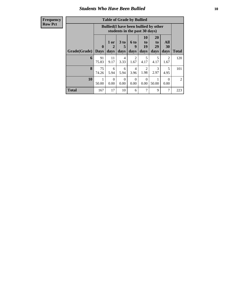### *Students Who Have Been Bullied* **10**

**Frequency Row Pct**

| <b>Table of Grade by Bullied</b> |              |                         |                                                                               |                              |                   |                                |                               |                        |              |  |
|----------------------------------|--------------|-------------------------|-------------------------------------------------------------------------------|------------------------------|-------------------|--------------------------------|-------------------------------|------------------------|--------------|--|
|                                  |              |                         | <b>Bullied</b> (I have been bullied by other<br>students in the past 30 days) |                              |                   |                                |                               |                        |              |  |
|                                  | Grade(Grade) | $\bf{0}$<br><b>Days</b> | $1$ or<br>days                                                                | 3 <sub>to</sub><br>5<br>days | 6 to<br>9<br>days | <b>10</b><br>to.<br>19<br>days | <b>20</b><br>to<br>29<br>days | All<br>30<br>days      | <b>Total</b> |  |
|                                  | 6            | 91<br>75.83             | 11<br>9.17                                                                    | 4<br>3.33                    | 2<br>1.67         | 5<br>4.17                      | 5<br>4.17                     | $\mathfrak{D}$<br>1.67 | 120          |  |
|                                  | 8            | 75<br>74.26             | 6<br>5.94                                                                     | 6<br>5.94                    | 4<br>3.96         | $\mathfrak{D}$<br>1.98         | 3<br>2.97                     | 5<br>4.95              | 101          |  |
|                                  | 10           | 1<br>50.00              | $\Omega$<br>0.00                                                              | 0<br>0.00                    | $\Omega$<br>0.00  | $\Omega$<br>0.00               | 50.00                         | $\Omega$<br>0.00       | 2            |  |
| <b>Total</b>                     |              | 167                     | 17                                                                            | 10                           | 6                 | 7                              | 9                             | 7                      | 223          |  |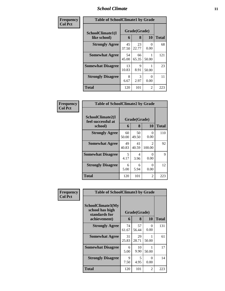### *School Climate* **11**

| Frequency      | <b>Table of SchoolClimate1 by Grade</b> |                   |              |           |     |  |  |
|----------------|-----------------------------------------|-------------------|--------------|-----------|-----|--|--|
| <b>Col Pct</b> | SchoolClimate1(I<br>like school)        | Grade(Grade)<br>6 | <b>Total</b> |           |     |  |  |
|                | <b>Strongly Agree</b>                   | 45<br>37.50       | 23<br>22.77  | 0<br>0.00 | 68  |  |  |
|                | <b>Somewhat Agree</b>                   | 54<br>45.00       | 66<br>65.35  | 50.00     | 121 |  |  |
|                | <b>Somewhat Disagree</b>                | 13<br>10.83       | 9<br>8.91    | 50.00     | 23  |  |  |
|                | <b>Strongly Disagree</b>                | 8<br>6.67         | 3<br>2.97    | 0<br>0.00 | 11  |  |  |
|                | <b>Total</b>                            | 120               | 101          | 2         | 223 |  |  |

| Frequency      | <b>Table of SchoolClimate2 by Grade</b>           |             |                   |                          |              |
|----------------|---------------------------------------------------|-------------|-------------------|--------------------------|--------------|
| <b>Col Pct</b> | SchoolClimate2(I<br>feel successful at<br>school) | 6           | Grade(Grade)<br>8 | 10                       | <b>Total</b> |
|                | <b>Strongly Agree</b>                             | 60<br>50.00 | 50<br>49.50       | 0<br>0.00                | 110          |
|                | <b>Somewhat Agree</b>                             | 49<br>40.83 | 41<br>40.59       | $\mathfrak{D}$<br>100.00 | 92           |
|                | <b>Somewhat Disagree</b>                          | 5<br>4.17   | 4<br>3.96         | 0<br>0.00                | 9            |
|                | <b>Strongly Disagree</b>                          | 6<br>5.00   | 6<br>5.94         | 0<br>0.00                | 12           |
|                | <b>Total</b>                                      | 120         | 101               | 2                        | 223          |

| Frequency      | <b>Table of SchoolClimate3 by Grade</b>                               |             |                   |                  |              |  |
|----------------|-----------------------------------------------------------------------|-------------|-------------------|------------------|--------------|--|
| <b>Col Pct</b> | SchoolClimate3(My<br>school has high<br>standards for<br>achievement) | 6           | Grade(Grade)<br>8 | 10               | <b>Total</b> |  |
|                | <b>Strongly Agree</b>                                                 | 74<br>61.67 | 57<br>56.44       | $\Omega$<br>0.00 | 131          |  |
|                | <b>Somewhat Agree</b>                                                 | 31<br>25.83 | 29<br>28.71       | 1<br>50.00       | 61           |  |
|                | <b>Somewhat Disagree</b>                                              | 6<br>5.00   | 10<br>9.90        | 50.00            | 17           |  |
|                | <b>Strongly Disagree</b>                                              | 9<br>7.50   | 5<br>4.95         | $\Omega$<br>0.00 | 14           |  |
|                | Total                                                                 | 120         | 101               | 2                | 223          |  |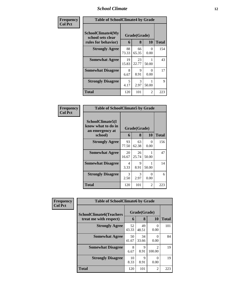### *School Climate* **12**

| Frequency      |                                                                      | <b>Table of SchoolClimate4 by Grade</b> |                   |                  |              |  |  |
|----------------|----------------------------------------------------------------------|-----------------------------------------|-------------------|------------------|--------------|--|--|
| <b>Col Pct</b> | <b>SchoolClimate4(My</b><br>school sets clear<br>rules for behavior) | 6                                       | Grade(Grade)<br>8 | <b>10</b>        | <b>Total</b> |  |  |
|                | <b>Strongly Agree</b>                                                | 88<br>73.33                             | 66<br>65.35       | $\Omega$<br>0.00 | 154          |  |  |
|                | <b>Somewhat Agree</b>                                                | 19<br>15.83                             | 23<br>22.77       | 50.00            | 43           |  |  |
|                | <b>Somewhat Disagree</b>                                             | 8<br>6.67                               | 9<br>8.91         | 0<br>0.00        | 17           |  |  |
|                | <b>Strongly Disagree</b>                                             | 5<br>4.17                               | 3<br>2.97         | 50.00            | 9            |  |  |
|                | <b>Total</b>                                                         | 120                                     | 101               | 2                | 223          |  |  |

| <b>Table of SchoolClimate5 by Grade</b>                              |             |                   |           |       |  |  |  |
|----------------------------------------------------------------------|-------------|-------------------|-----------|-------|--|--|--|
| SchoolClimate5(I<br>know what to do in<br>an emergency at<br>school) | 6           | Grade(Grade)<br>8 | 10        | Total |  |  |  |
| <b>Strongly Agree</b>                                                | 93<br>77.50 | 63<br>62.38       | 0<br>0.00 | 156   |  |  |  |
| <b>Somewhat Agree</b>                                                | 20<br>16.67 | 26<br>25.74       | 50.00     | 47    |  |  |  |
| <b>Somewhat Disagree</b>                                             | 4<br>3.33   | 9<br>8.91         | 50.00     | 14    |  |  |  |
| <b>Strongly Disagree</b>                                             | 3<br>2.50   | 3<br>2.97         | 0<br>0.00 | 6     |  |  |  |
| Total                                                                | 120         | 101               | 2         | 223   |  |  |  |

| Frequency      | <b>Table of SchoolClimate6 by Grade</b>                  |             |                   |                          |              |  |  |
|----------------|----------------------------------------------------------|-------------|-------------------|--------------------------|--------------|--|--|
| <b>Col Pct</b> | <b>SchoolClimate6(Teachers</b><br>treat me with respect) | 6           | Grade(Grade)<br>8 | <b>10</b>                | <b>Total</b> |  |  |
|                | <b>Strongly Agree</b>                                    | 52<br>43.33 | 49<br>48.51       | $\mathbf{0}$<br>0.00     | 101          |  |  |
|                | <b>Somewhat Agree</b>                                    | 50<br>41.67 | 34<br>33.66       | $\theta$<br>0.00         | 84           |  |  |
|                | <b>Somewhat Disagree</b>                                 | 8<br>6.67   | 9<br>8.91         | $\mathfrak{D}$<br>100.00 | 19           |  |  |
|                | <b>Strongly Disagree</b>                                 | 10<br>8.33  | 9<br>8.91         | $\theta$<br>0.00         | 19           |  |  |
|                | Total                                                    | 120         | 101               | 2                        | 223          |  |  |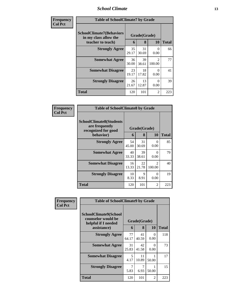### *School Climate* **13**

| Frequency<br><b>Col Pct</b> | <b>Table of SchoolClimate7 by Grade</b>                                       |             |                   |                                       |              |
|-----------------------------|-------------------------------------------------------------------------------|-------------|-------------------|---------------------------------------|--------------|
|                             | <b>SchoolClimate7(Behaviors</b><br>in my class allow the<br>teacher to teach) | 6           | Grade(Grade)<br>8 | <b>10</b>                             | <b>Total</b> |
|                             | <b>Strongly Agree</b>                                                         | 35<br>29.17 | 31<br>30.69       | 0<br>0.00                             | 66           |
|                             | <b>Somewhat Agree</b>                                                         | 36<br>30.00 | 39<br>38.61       | $\mathcal{D}_{\mathcal{L}}$<br>100.00 | 77           |
|                             | <b>Somewhat Disagree</b>                                                      | 23<br>19.17 | 18<br>17.82       | 0<br>0.00                             | 41           |
|                             | <b>Strongly Disagree</b>                                                      | 26<br>21.67 | 13<br>12.87       | 0<br>0.00                             | 39           |
|                             | <b>Total</b>                                                                  | 120         | 101               | 2                                     | 223          |

| Frequency      | <b>Table of SchoolClimate8 by Grade</b>                                              |             |                   |                          |              |
|----------------|--------------------------------------------------------------------------------------|-------------|-------------------|--------------------------|--------------|
| <b>Col Pct</b> | <b>SchoolClimate8(Students</b><br>are frequently<br>recognized for good<br>behavior) | 6           | Grade(Grade)<br>8 | <b>10</b>                | <b>Total</b> |
|                | <b>Strongly Agree</b>                                                                | 54          | 31                | 0                        | 85           |
|                |                                                                                      | 45.00       | 30.69             | 0.00                     |              |
|                | <b>Somewhat Agree</b>                                                                | 40<br>33.33 | 39<br>38.61       | ∩<br>0.00                | 79           |
|                | <b>Somewhat Disagree</b>                                                             | 16<br>13.33 | 22<br>21.78       | $\mathfrak{D}$<br>100.00 | 40           |
|                | <b>Strongly Disagree</b>                                                             | 10<br>8.33  | 9<br>8.91         | $\mathbf{0}$<br>0.00     | 19           |
|                | Total                                                                                | 120         | 101               | 2                        | 223          |

| Frequency      | <b>Table of SchoolClimate9 by Grade</b>                            |             |              |                  |              |
|----------------|--------------------------------------------------------------------|-------------|--------------|------------------|--------------|
| <b>Col Pct</b> | SchoolClimate9(School<br>counselor would be<br>helpful if I needed |             | Grade(Grade) |                  |              |
|                | assistance)                                                        | 6           | 8            | 10               | <b>Total</b> |
|                | <b>Strongly Agree</b>                                              | 77<br>64.17 | 41<br>40.59  | $\Omega$<br>0.00 | 118          |
|                | <b>Somewhat Agree</b>                                              | 31<br>25.83 | 42<br>41.58  | $\Omega$<br>0.00 | 73           |
|                | <b>Somewhat Disagree</b>                                           | 5<br>4.17   | 11<br>10.89  | 50.00            | 17           |
|                | <b>Strongly Disagree</b>                                           | 7<br>5.83   | 6.93         | 50.00            | 15           |
|                | <b>Total</b>                                                       | 120         | 101          | 2                | 223          |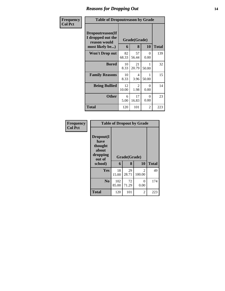# *Reasons for Dropping Out* **14**

| Frequency      |                                                                          | <b>Table of Dropoutreason by Grade</b> |                   |                  |              |  |  |
|----------------|--------------------------------------------------------------------------|----------------------------------------|-------------------|------------------|--------------|--|--|
| <b>Col Pct</b> | Dropoutreason(If<br>I dropped out the<br>reason would<br>most likely be) | 6                                      | Grade(Grade)<br>8 | 10               | <b>Total</b> |  |  |
|                | <b>Won't Drop out</b>                                                    | 82<br>68.33                            | 57<br>56.44       | $\theta$<br>0.00 | 139          |  |  |
|                | <b>Bored</b>                                                             | 10<br>8.33                             | 21<br>20.79       | 50.00            | 32           |  |  |
|                | <b>Family Reasons</b>                                                    | 10<br>8.33                             | 4<br>3.96         | 50.00            | 15           |  |  |
|                | <b>Being Bullied</b>                                                     | 12<br>10.00                            | 2<br>1.98         | ∩<br>0.00        | 14           |  |  |
|                | <b>Other</b>                                                             | 6<br>5.00                              | 17<br>16.83       | $\Omega$<br>0.00 | 23           |  |  |
|                | Total                                                                    | 120                                    | 101               | 2                | 223          |  |  |

| Frequency      | <b>Table of Dropout by Grade</b>                                       |              |                   |                          |              |  |  |  |
|----------------|------------------------------------------------------------------------|--------------|-------------------|--------------------------|--------------|--|--|--|
| <b>Col Pct</b> | Dropout(I<br>have<br>thought<br>about<br>dropping<br>out of<br>school) | 6            | Grade(Grade)<br>8 | 10                       | <b>Total</b> |  |  |  |
|                |                                                                        |              |                   |                          |              |  |  |  |
|                | Yes                                                                    | 18<br>15.00  | 29<br>28.71       | $\mathfrak{D}$<br>100.00 | 49           |  |  |  |
|                | N <sub>0</sub>                                                         | 102<br>85.00 | 72<br>71.29       | 0<br>0.00                | 174          |  |  |  |
|                | <b>Total</b>                                                           | 120          | 101               | 2                        | 223          |  |  |  |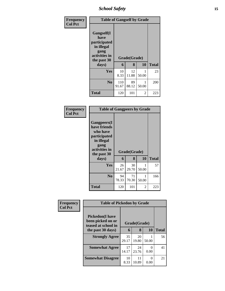*School Safety* **15**

| Frequency      | <b>Table of Gangself by Grade</b>                                                        |              |              |       |              |
|----------------|------------------------------------------------------------------------------------------|--------------|--------------|-------|--------------|
| <b>Col Pct</b> | Gangself(I<br>have<br>participated<br>in illegal<br>gang<br>activities in<br>the past 30 |              | Grade(Grade) |       |              |
|                | days)                                                                                    | 6            | 8            | 10    | <b>Total</b> |
|                | Yes                                                                                      | 10<br>8.33   | 12<br>11.88  | 50.00 | 23           |
|                | N <sub>0</sub>                                                                           | 110<br>91.67 | 89<br>88.12  | 50.00 | 200          |
|                | <b>Total</b>                                                                             | 120          | 101          | 2     | 223          |

| Frequency<br><b>Col Pct</b> | <b>Table of Gangpeers by Grade</b>                                                                                             |             |                   |            |              |  |  |
|-----------------------------|--------------------------------------------------------------------------------------------------------------------------------|-------------|-------------------|------------|--------------|--|--|
|                             | <b>Gangpeers</b> (I<br>have friends<br>who have<br>participated<br>in illegal<br>gang<br>activities in<br>the past 30<br>days) | 6           | Grade(Grade)<br>8 | 10         | <b>Total</b> |  |  |
|                             | Yes                                                                                                                            | 26<br>21.67 | 30<br>29.70       | 1<br>50.00 | 57           |  |  |
|                             | N <sub>0</sub>                                                                                                                 | 94<br>78.33 | 71<br>70.30       | 1<br>50.00 | 166          |  |  |
|                             | Total                                                                                                                          | 120         | 101               | 2          | 223          |  |  |

| Frequency<br><b>Col Pct</b> |                                                                     | <b>Table of Pickedon by Grade</b> |              |           |              |  |  |
|-----------------------------|---------------------------------------------------------------------|-----------------------------------|--------------|-----------|--------------|--|--|
|                             | <b>Pickedon</b> (I have<br>been picked on or<br>teased at school in |                                   | Grade(Grade) |           |              |  |  |
|                             | the past 30 days)                                                   | 6                                 | 8            | 10        | <b>Total</b> |  |  |
|                             | <b>Strongly Agree</b>                                               | 35<br>29.17                       | 20<br>19.80  | 50.00     | 56           |  |  |
|                             | <b>Somewhat Agree</b>                                               | 17<br>14.17                       | 24<br>23.76  | ∩<br>0.00 | 41           |  |  |
|                             | <b>Somewhat Disagree</b>                                            | 10<br>8.33                        | 11<br>10.89  | 0<br>0.00 | 21           |  |  |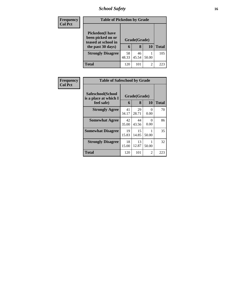# *School Safety* **16**

| <b>Frequency</b> | <b>Table of Pickedon by Grade</b>                                                        |             |                   |           |              |
|------------------|------------------------------------------------------------------------------------------|-------------|-------------------|-----------|--------------|
| <b>Col Pct</b>   | <b>Pickedon</b> (I have<br>been picked on or<br>teased at school in<br>the past 30 days) | 6           | Grade(Grade)<br>8 | <b>10</b> | <b>Total</b> |
|                  | <b>Strongly Disagree</b>                                                                 | 58<br>48.33 | 46<br>45.54       | 50.00     | 105          |
|                  | Total                                                                                    | 120         | 101               | 2         | 223          |

| Frequency<br><b>Col Pct</b> | <b>Table of Safeschool by Grade</b>                      |             |                   |                  |              |
|-----------------------------|----------------------------------------------------------|-------------|-------------------|------------------|--------------|
|                             | Safeschool(School<br>is a place at which I<br>feel safe) | 6           | Grade(Grade)<br>8 | 10               | <b>Total</b> |
|                             | <b>Strongly Agree</b>                                    | 41<br>34.17 | 29<br>28.71       | $\Omega$<br>0.00 | 70           |
|                             | <b>Somewhat Agree</b>                                    | 42<br>35.00 | 44<br>43.56       | 0<br>0.00        | 86           |
|                             | <b>Somewhat Disagree</b>                                 | 19<br>15.83 | 15<br>14.85       | 50.00            | 35           |
|                             | <b>Strongly Disagree</b>                                 | 18<br>15.00 | 13<br>12.87       | 50.00            | 32           |
|                             | Total                                                    | 120         | 101               | 2                | 223          |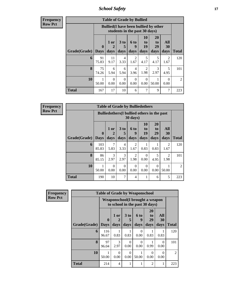*School Safety* **17**

**Frequency Row Pct**

| <b>Table of Grade by Bullied</b> |                             |                   |                              |                        |                               |                                              |                        |                |
|----------------------------------|-----------------------------|-------------------|------------------------------|------------------------|-------------------------------|----------------------------------------------|------------------------|----------------|
|                                  |                             |                   |                              |                        | students in the past 30 days) | <b>Bullied</b> (I have been bullied by other |                        |                |
| Grade(Grade)                     | $\mathbf{0}$<br><b>Days</b> | 1 or<br>2<br>days | 3 <sub>to</sub><br>5<br>days | 6 to<br>9<br>days      | 10<br>to<br>19<br>days        | <b>20</b><br>to<br>29<br>days                | All<br>30<br>days      | <b>Total</b>   |
| 6                                | 91<br>75.83                 | 11<br>9.17        | 4<br>3.33                    | $\mathfrak{D}$<br>1.67 | 5<br>4.17                     | 5<br>4.17                                    | $\mathfrak{D}$<br>1.67 | 120            |
| 8                                | 75<br>74.26                 | 6<br>5.94         | 6<br>5.94                    | 4<br>3.96              | 2<br>1.98                     | 3<br>2.97                                    | 5<br>4.95              | 101            |
| 10                               | 50.00                       | $\Omega$<br>0.00  | $\Omega$<br>0.00             | $\Omega$<br>0.00       | $\Omega$<br>0.00              | 50.00                                        | $\Omega$<br>0.00       | $\overline{2}$ |
| <b>Total</b>                     | 167                         | 17                | 10                           | 6                      | 7                             | 9                                            | 7                      | 223            |

| <b>Frequency</b> |
|------------------|
| Row Pct          |

| $\overline{J}$ | <b>Table of Grade by Bulliedothers</b> |                             |                   |                   |                                                                         |                        |                        |                                     |                |
|----------------|----------------------------------------|-----------------------------|-------------------|-------------------|-------------------------------------------------------------------------|------------------------|------------------------|-------------------------------------|----------------|
|                |                                        |                             |                   |                   | <b>Bulliedothers</b> (I bullied others in the past<br>$30 \text{ days}$ |                        |                        |                                     |                |
|                | Grade(Grade)                           | $\mathbf{0}$<br><b>Days</b> | 1 or<br>2<br>days | 3 to<br>5<br>days | <b>6 to</b><br>9<br>days                                                | 10<br>to<br>19<br>days | 20<br>to<br>29<br>days | All<br>30<br>days                   | <b>Total</b>   |
|                | 6                                      | 103<br>85.83                | 7<br>5.83         | 4<br>3.33         | $\mathfrak{D}$<br>1.67                                                  | 0.83                   | 0.83                   | $\mathcal{D}_{\mathcal{L}}$<br>1.67 | 120            |
|                | 8                                      | 86<br>85.15                 | 3<br>2.97         | 3<br>2.97         | $\mathfrak{D}$<br>1.98                                                  | $\Omega$<br>0.00       | 5<br>4.95              | $\mathfrak{D}$<br>1.98              | 101            |
|                | 10                                     | 50.00                       | 0<br>0.00         | $\Omega$<br>0.00  | 0<br>0.00                                                               | 0<br>0.00              | $\Omega$<br>0.00       | 50.00                               | $\mathfrak{D}$ |
|                | <b>Total</b>                           | 190                         | 10                | 7                 | 4                                                                       |                        | 6                      | 5                                   | 223            |

| Frequency      |              |                         |                                                                   |                  |                          |                                    |                   |                |  |  | <b>Table of Grade by Weaponschool</b> |  |  |  |  |  |
|----------------|--------------|-------------------------|-------------------------------------------------------------------|------------------|--------------------------|------------------------------------|-------------------|----------------|--|--|---------------------------------------|--|--|--|--|--|
| <b>Row Pct</b> |              |                         | Weaponschool(I brought a weapon<br>to school in the past 30 days) |                  |                          |                                    |                   |                |  |  |                                       |  |  |  |  |  |
|                | Grade(Grade) | $\bf{0}$<br><b>Days</b> | 1 or<br>2<br>days                                                 | 3 to<br>days     | <b>6 to</b><br>9<br>days | 20<br>t <sub>0</sub><br>29<br>days | All<br>30<br>days | <b>Total</b>   |  |  |                                       |  |  |  |  |  |
|                |              |                         |                                                                   |                  |                          |                                    |                   |                |  |  |                                       |  |  |  |  |  |
|                | 6            | 116<br>96.67            | 0.83                                                              | 0.83             | $\Omega$<br>0.00         | 0.83                               | 0.83              | 120            |  |  |                                       |  |  |  |  |  |
|                | 8            | 97<br>96.04             | $\mathcal{F}$<br>2.97                                             | 0<br>0.00        | $\Omega$<br>0.00         | 0.99                               | $\Omega$<br>0.00  | 101            |  |  |                                       |  |  |  |  |  |
|                | 10           | 50.00                   | $\Omega$<br>0.00                                                  | $\Omega$<br>0.00 | 50.00                    | 0<br>0.00                          | $\Omega$<br>0.00  | $\overline{2}$ |  |  |                                       |  |  |  |  |  |
|                | <b>Total</b> | 214                     | $\overline{4}$                                                    |                  |                          | $\overline{2}$                     | 1                 | 223            |  |  |                                       |  |  |  |  |  |

٦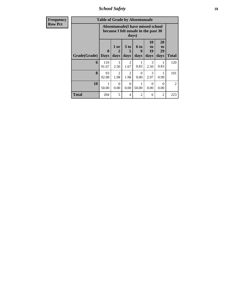*School Safety* **18**

| <b>Frequency</b> | <b>Table of Grade by Absentunsafe</b> |              |                        |                        |                                                                           |                        |                        |                |  |  |
|------------------|---------------------------------------|--------------|------------------------|------------------------|---------------------------------------------------------------------------|------------------------|------------------------|----------------|--|--|
| <b>Row Pct</b>   |                                       |              |                        | days)                  | Absentunsafe(I have missed school<br>because I felt unsafe in the past 30 |                        |                        |                |  |  |
|                  | <b>Grade</b> (Grade) Days             | $\mathbf{0}$ | $1$ or<br>2<br>days    | 3 to<br>5<br>days      | 6 to<br>9<br>days                                                         | 10<br>to<br>19<br>days | 20<br>to<br>29<br>days | <b>Total</b>   |  |  |
|                  | 6                                     | 110<br>91.67 | 3<br>2.50              | $\mathfrak{D}$<br>1.67 | 0.83                                                                      | 3<br>2.50              | 0.83                   | 120            |  |  |
|                  | 8                                     | 93<br>92.08  | $\overline{2}$<br>1.98 | $\overline{2}$<br>1.98 | $\Omega$<br>0.00                                                          | 3<br>2.97              | 0.99                   | 101            |  |  |
|                  | 10                                    | 1<br>50.00   | $\Omega$<br>0.00       | $\Omega$<br>0.00       | 50.00                                                                     | $\Omega$<br>0.00       | $\Omega$<br>0.00       | $\overline{2}$ |  |  |
|                  | <b>Total</b>                          | 204          | 5                      | $\overline{4}$         | $\overline{2}$                                                            | 6                      | $\overline{2}$         | 223            |  |  |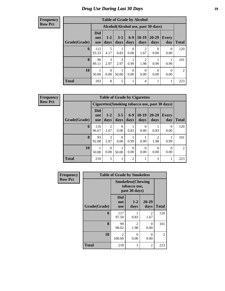# *Drug Use During Last 30 Days* **19**

#### **Frequency Row Pct**

| <b>Table of Grade by Alcohol</b> |                          |                       |                 |                  |                                    |               |                     |                |
|----------------------------------|--------------------------|-----------------------|-----------------|------------------|------------------------------------|---------------|---------------------|----------------|
|                                  |                          |                       |                 |                  | Alcohol(Alcohol use, past 30 days) |               |                     |                |
| Grade(Grade)                     | <b>Did</b><br>not<br>use | $1 - 2$<br>days       | $3 - 5$<br>days | $6-9$<br>days    | $10-19$<br>days                    | 20-29<br>days | <b>Every</b><br>day | <b>Total</b>   |
| 6                                | 112<br>93.33             | 5<br>4.17             | 0.83            | $\theta$<br>0.00 | 2<br>1.67                          | 0<br>0.00     | 0<br>0.00           | 120            |
| 8                                | 90<br>89.11              | $\mathcal{R}$<br>2.97 | 3<br>2.97       | 0.99             | 2<br>1.98                          | 0.99          | 0.99                | 101            |
| 10                               | 50.00                    | $\Omega$<br>0.00      | 50.00           | $\Omega$<br>0.00 | $\Omega$<br>0.00                   | 0<br>0.00     | $\Omega$<br>0.00    | $\mathfrak{D}$ |
| <b>Total</b>                     | 203                      | 8                     | 5               | 1                | 4                                  | 1             | 1                   | 223            |

**Frequency Row Pct**

|              | <b>Table of Grade by Cigarettes</b> |                        |                 |                |                 |                        |                                                |                |  |  |
|--------------|-------------------------------------|------------------------|-----------------|----------------|-----------------|------------------------|------------------------------------------------|----------------|--|--|
|              |                                     |                        |                 |                |                 |                        | Cigarettes (Smoking tobacco use, past 30 days) |                |  |  |
| Grade(Grade) | Did<br>not<br><b>use</b>            | $1 - 2$<br>days        | $3 - 5$<br>days | $6-9$<br>days  | $10-19$<br>days | $20 - 29$<br>days      | <b>Every</b><br>day                            | <b>Total</b>   |  |  |
| 6            | 116<br>96.67                        | $\overline{c}$<br>1.67 | 0<br>0.00       | 0.83           | 0.00            | 0.83                   | $\Omega$<br>0.00                               | 120            |  |  |
| 8            | 93<br>92.08                         | 3<br>2.97              | 0<br>0.00       | 0.99           | 0.99            | $\mathfrak{D}$<br>1.98 | 0.99                                           | 101            |  |  |
| 10           | 50.00                               | ∩<br>0.00              | 50.00           | 0<br>0.00      | 0<br>0.00       | 0<br>0.00              | 0<br>0.00                                      | $\overline{2}$ |  |  |
| <b>Total</b> | 210                                 | 5                      | 1               | $\overline{2}$ | 1               | 3                      |                                                | 223            |  |  |

| Frequency      | <b>Table of Grade by Smokeless</b> |                                                            |                        |               |              |  |  |  |  |
|----------------|------------------------------------|------------------------------------------------------------|------------------------|---------------|--------------|--|--|--|--|
| <b>Row Pct</b> |                                    | <b>Smokeless</b> (Chewing<br>tobacco use,<br>past 30 days) |                        |               |              |  |  |  |  |
|                | Grade(Grade)                       | <b>Did</b><br>not<br><b>use</b>                            | $1 - 2$<br>days        | 20-29<br>days | <b>Total</b> |  |  |  |  |
|                | 6                                  | 117<br>97.50                                               | 0.83                   | 2<br>1.67     | 120          |  |  |  |  |
|                | 8                                  | 99<br>98.02                                                | $\overline{2}$<br>1.98 | 0<br>0.00     | 101          |  |  |  |  |
|                | 10                                 | $\mathfrak{D}$<br>100.00                                   | $\Omega$<br>0.00       | 0<br>0.00     | 2            |  |  |  |  |
|                | <b>Total</b>                       | 218                                                        | 3                      | 2             | 223          |  |  |  |  |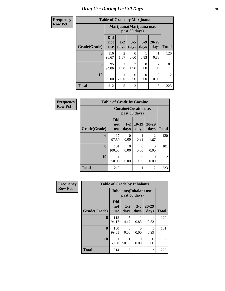| <b>Frequency</b> | <b>Table of Grade by Marijuana</b> |                                 |                        |                        |               |               |                |
|------------------|------------------------------------|---------------------------------|------------------------|------------------------|---------------|---------------|----------------|
| <b>Row Pct</b>   |                                    | Marijuana (Marijuana use,       |                        |                        |               |               |                |
|                  | Grade(Grade)                       | <b>Did</b><br>not<br><b>use</b> | $1 - 2$<br>days        | $3 - 5$<br>days        | $6-9$<br>days | 20-29<br>days | <b>Total</b>   |
|                  | 6                                  | 116<br>96.67                    | $\overline{2}$<br>1.67 | $\Omega$<br>0.00       | 0.83          | 0.83          | 120            |
|                  | 8                                  | 95<br>94.06                     | $\overline{2}$<br>1.98 | $\overline{2}$<br>1.98 | 0<br>0.00     | 2<br>1.98     | 101            |
|                  | 10                                 | 50.00                           | 50.00                  | $\Omega$<br>0.00       | 0<br>0.00     | 0<br>0.00     | $\overline{2}$ |
|                  | <b>Total</b>                       | 212                             | 5                      | $\overline{2}$         |               | 3             | 223            |

| Frequency      | <b>Table of Grade by Cocaine</b> |                                               |                 |                  |                   |              |  |  |  |
|----------------|----------------------------------|-----------------------------------------------|-----------------|------------------|-------------------|--------------|--|--|--|
| <b>Row Pct</b> |                                  | <b>Cocaine (Cocaine use,</b><br>past 30 days) |                 |                  |                   |              |  |  |  |
|                | Grade(Grade)                     | <b>Did</b><br>not<br><b>use</b>               | $1 - 2$<br>days | $10-19$<br>days  | $20 - 29$<br>days | <b>Total</b> |  |  |  |
|                | 6                                | 117<br>97.50                                  | 0<br>0.00       | 0.83             | 2<br>1.67         | 120          |  |  |  |
|                | 8                                | 101<br>100.00                                 | 0<br>0.00       | $\Omega$<br>0.00 | 0<br>0.00         | 101          |  |  |  |
|                | 10                               | 50.00                                         | 50.00           | $\Omega$<br>0.00 | $\Omega$<br>0.00  | 2            |  |  |  |
|                | <b>Total</b>                     | 219                                           | 1               | 1                | $\overline{2}$    | 223          |  |  |  |

| <b>Frequency</b> |              | <b>Table of Grade by Inhalants</b> |                  |                 |                   |                |
|------------------|--------------|------------------------------------|------------------|-----------------|-------------------|----------------|
| <b>Row Pct</b>   |              | <b>Inhalants</b> (Inhalant use,    |                  |                 |                   |                |
|                  | Grade(Grade) | Did<br>not<br><b>use</b>           | $1 - 2$<br>days  | $3 - 5$<br>days | $20 - 29$<br>days | <b>Total</b>   |
|                  | 6            | 113<br>94.17                       | 5<br>4.17        | 0.83            | 0.83              | 120            |
|                  | 8            | 100<br>99.01                       | $\Omega$<br>0.00 | 0<br>0.00       | 0.99              | 101            |
|                  | 10           | 50.00                              | 50.00            | 0<br>0.00       | $\Omega$<br>0.00  | $\mathfrak{D}$ |
|                  | <b>Total</b> | 214                                | 6                | 1               | $\overline{2}$    | 223            |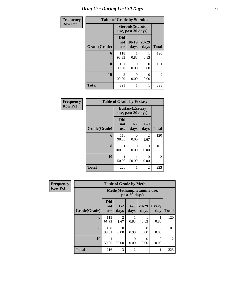# *Drug Use During Last 30 Days* **21**

| Frequency      | <b>Table of Grade by Steroids</b> |                          |                                                |                   |                |  |  |  |  |  |
|----------------|-----------------------------------|--------------------------|------------------------------------------------|-------------------|----------------|--|--|--|--|--|
| <b>Row Pct</b> |                                   |                          | <b>Steroids</b> (Steroid<br>use, past 30 days) |                   |                |  |  |  |  |  |
|                | Grade(Grade)                      | Did<br>not<br><b>use</b> | $10-19$<br>days                                | $20 - 29$<br>days | <b>Total</b>   |  |  |  |  |  |
|                | 6                                 | 118<br>98.33             | 0.83                                           | 0.83              | 120            |  |  |  |  |  |
|                | 8                                 | 101<br>100.00            | 0<br>0.00                                      | 0<br>0.00         | 101            |  |  |  |  |  |
|                | 10                                | $\overline{2}$<br>100.00 | 0<br>0.00                                      | 0<br>0.00         | $\overline{2}$ |  |  |  |  |  |
|                | <b>Total</b>                      | 221                      | 1                                              | 1                 | 223            |  |  |  |  |  |

| Frequency      | <b>Table of Grade by Ecstasy</b> |                                 |                                               |               |              |  |  |  |  |
|----------------|----------------------------------|---------------------------------|-----------------------------------------------|---------------|--------------|--|--|--|--|
| <b>Row Pct</b> |                                  |                                 | <b>Ecstasy</b> (Ecstasy<br>use, past 30 days) |               |              |  |  |  |  |
|                | Grade(Grade)                     | <b>Did</b><br>not<br><b>use</b> | $1 - 2$<br>days                               | $6-9$<br>days | <b>Total</b> |  |  |  |  |
|                | 6                                | 118<br>98.33                    | 0<br>0.00                                     | 2<br>1.67     | 120          |  |  |  |  |
|                | 8                                | 101<br>100.00                   | 0<br>0.00                                     | 0<br>0.00     | 101          |  |  |  |  |
|                | 10                               | 50.00                           | 50.00                                         | 0<br>0.00     | 2            |  |  |  |  |
|                | <b>Total</b>                     | 220                             | 1                                             | 2             | 223          |  |  |  |  |

| <b>Frequency</b> | <b>Table of Grade by Meth</b> |                                 |                        |                  |                           |                     |                |  |  |
|------------------|-------------------------------|---------------------------------|------------------------|------------------|---------------------------|---------------------|----------------|--|--|
| <b>Row Pct</b>   |                               |                                 |                        | past 30 days)    | Meth(Methamphetamine use, |                     |                |  |  |
|                  | Grade(Grade)                  | <b>Did</b><br>not<br><b>use</b> | $1-2$<br>days          | $6 - 9$<br>days  | $20 - 29$<br>days         | <b>Every</b><br>day | <b>Total</b>   |  |  |
|                  | 6                             | 115<br>95.83                    | $\mathfrak{D}$<br>1.67 | 0.83             | 0.83                      | 0.83                | 120            |  |  |
|                  | 8                             | 100<br>99.01                    | 0<br>0.00              | 0.99             | $\Omega$<br>0.00          | $\Omega$<br>0.00    | 101            |  |  |
|                  | 10                            | 1<br>50.00                      | 50.00                  | $\Omega$<br>0.00 | $\Omega$<br>0.00          | 0<br>0.00           | $\overline{2}$ |  |  |
|                  | <b>Total</b>                  | 216                             | 3                      | $\overline{2}$   |                           |                     | 223            |  |  |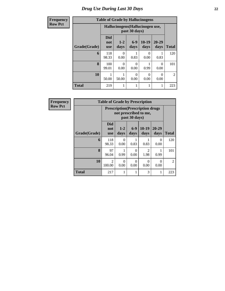# *Drug Use During Last 30 Days* **22**

| <b>Frequency</b> | <b>Table of Grade by Hallucinogens</b> |                                 |                                                   |                  |                 |               |                |  |  |
|------------------|----------------------------------------|---------------------------------|---------------------------------------------------|------------------|-----------------|---------------|----------------|--|--|
| <b>Row Pct</b>   |                                        |                                 | Hallucinogens (Hallucinogen use,<br>past 30 days) |                  |                 |               |                |  |  |
|                  | Grade(Grade)                           | <b>Did</b><br>not<br><b>use</b> | $1 - 2$<br>days                                   | $6-9$<br>days    | $10-19$<br>days | 20-29<br>days | <b>Total</b>   |  |  |
|                  | 6                                      | 118<br>98.33                    | 0<br>0.00                                         | 0.83             | 0<br>0.00       | 0.83          | 120            |  |  |
|                  | 8                                      | 100<br>99.01                    | $\Omega$<br>0.00                                  | $\Omega$<br>0.00 | 0.99            | 0<br>0.00     | 101            |  |  |
|                  | 10                                     | 50.00                           | 50.00                                             | $\Omega$<br>0.00 | 0<br>0.00       | 0<br>0.00     | $\overline{2}$ |  |  |
|                  | <b>Total</b>                           | 219                             |                                                   |                  | 1               |               | 223            |  |  |

| Frequency      |              | <b>Table of Grade by Prescription</b>                             |                  |                  |                 |                  |                |  |  |
|----------------|--------------|-------------------------------------------------------------------|------------------|------------------|-----------------|------------------|----------------|--|--|
| <b>Row Pct</b> |              | <b>Prescription</b> (Prescription drugs)<br>not prescribed to me, |                  |                  |                 |                  |                |  |  |
|                | Grade(Grade) | <b>Did</b><br>not<br><b>use</b>                                   | $1 - 2$<br>days  | $6-9$<br>days    | $10-19$<br>days | 20-29<br>days    | <b>Total</b>   |  |  |
|                | 6            | 118<br>98.33                                                      | $\Omega$<br>0.00 | 0.83             | 0.83            | 0<br>0.00        | 120            |  |  |
|                | 8            | 97<br>96.04                                                       | 0.99             | 0<br>0.00        | 2<br>1.98       | 0.99             | 101            |  |  |
|                | 10           | $\mathcal{D}_{\mathcal{L}}$<br>100.00                             | 0<br>0.00        | $\Omega$<br>0.00 | 0<br>0.00       | $\Omega$<br>0.00 | $\mathfrak{D}$ |  |  |
|                | <b>Total</b> | 217                                                               |                  |                  | 3               |                  | 223            |  |  |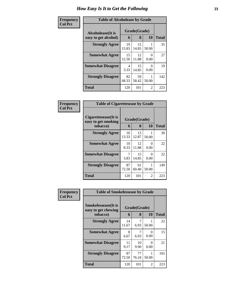| <b>Table of Alcoholease by Grade</b> |             |              |           |              |  |  |  |
|--------------------------------------|-------------|--------------|-----------|--------------|--|--|--|
| Alcoholease(It is                    |             | Grade(Grade) |           |              |  |  |  |
| easy to get alcohol)                 | 6           | 8            | 10        | <b>Total</b> |  |  |  |
| <b>Strongly Agree</b>                | 19<br>15.83 | 15<br>14.85  | 50.00     | 35           |  |  |  |
| <b>Somewhat Agree</b>                | 15<br>12.50 | 12<br>11.88  | 0<br>0.00 | 27           |  |  |  |
| <b>Somewhat Disagree</b>             | 4<br>3.33   | 15<br>14.85  | 0.00      | 19           |  |  |  |
| <b>Strongly Disagree</b>             | 82<br>68.33 | 59<br>58.42  | 50.00     | 142          |  |  |  |
| <b>Total</b>                         | 120         | 101          | 2         | 223          |  |  |  |

| Frequency      | <b>Table of Cigarettesease by Grade</b>                 |             |                   |                  |              |
|----------------|---------------------------------------------------------|-------------|-------------------|------------------|--------------|
| <b>Col Pct</b> | Cigarettesease(It is<br>easy to get smoking<br>tobacco) | 6           | Grade(Grade)<br>8 | 10               | <b>Total</b> |
|                | <b>Strongly Agree</b>                                   | 16<br>13.33 | 13<br>12.87       | 50.00            | 30           |
|                | <b>Somewhat Agree</b>                                   | 10<br>8.33  | 12<br>11.88       | $\Omega$<br>0.00 | 22           |
|                | <b>Somewhat Disagree</b>                                | 7<br>5.83   | 15<br>14.85       | ∩<br>0.00        | 22           |
|                | <b>Strongly Disagree</b>                                | 87<br>72.50 | 61<br>60.40       | 50.00            | 149          |
|                | <b>Total</b>                                            | 120         | 101               | 2                | 223          |

| Frequency      | <b>Table of Smokelessease by Grade</b>                         |             |                   |           |              |
|----------------|----------------------------------------------------------------|-------------|-------------------|-----------|--------------|
| <b>Col Pct</b> | <b>Smokelessease</b> (It is<br>easy to get chewing<br>tobacco) | 6           | Grade(Grade)<br>8 | 10        | <b>Total</b> |
|                | <b>Strongly Agree</b>                                          | 14<br>11.67 | 7<br>6.93         | 50.00     | 22           |
|                | <b>Somewhat Agree</b>                                          | 8<br>6.67   | 7<br>6.93         | 0<br>0.00 | 15           |
|                | <b>Somewhat Disagree</b>                                       | 11<br>9.17  | 10<br>9.90        | 0<br>0.00 | 21           |
|                | <b>Strongly Disagree</b>                                       | 87<br>72.50 | 77<br>76.24       | 50.00     | 165          |
|                | <b>Total</b>                                                   | 120         | 101               | 2         | 223          |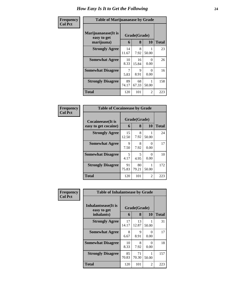#### **Frequency Col Pct**

| <b>Table of Marijuanaease by Grade</b>                                           |             |             |                  |     |  |  |  |  |
|----------------------------------------------------------------------------------|-------------|-------------|------------------|-----|--|--|--|--|
| Marijuanaease(It is<br>Grade(Grade)<br>easy to get<br>8<br>10<br>marijuana)<br>6 |             |             |                  |     |  |  |  |  |
| <b>Strongly Agree</b>                                                            | 14<br>11.67 | 8<br>7.92   | 50.00            | 23  |  |  |  |  |
| <b>Somewhat Agree</b>                                                            | 10<br>8.33  | 16<br>15.84 | $\Omega$<br>0.00 | 26  |  |  |  |  |
| <b>Somewhat Disagree</b>                                                         | 7<br>5.83   | 9<br>8.91   | $\Omega$<br>0.00 | 16  |  |  |  |  |
| <b>Strongly Disagree</b>                                                         | 89<br>74.17 | 68<br>67.33 | 50.00            | 158 |  |  |  |  |
| Total                                                                            | 120         | 101         | 2                | 223 |  |  |  |  |

| <b>Table of Cocaineease by Grade</b>      |             |                         |           |     |  |  |  |  |
|-------------------------------------------|-------------|-------------------------|-----------|-----|--|--|--|--|
| Cocaineease(It is<br>easy to get cocaine) | 6           | Grade(Grade)<br>8<br>10 |           |     |  |  |  |  |
| <b>Strongly Agree</b>                     | 15<br>12.50 | 8<br>7.92               | 50.00     | 24  |  |  |  |  |
| <b>Somewhat Agree</b>                     | 9<br>7.50   | 8<br>7.92               | 0<br>0.00 | 17  |  |  |  |  |
| <b>Somewhat Disagree</b>                  | 5<br>4.17   | 5<br>4.95               | 0<br>0.00 | 10  |  |  |  |  |
| <b>Strongly Disagree</b>                  | 91<br>75.83 | 80<br>79.21             | 50.00     | 172 |  |  |  |  |
| Total                                     | 120         | 101                     | 2         | 223 |  |  |  |  |

| Frequency      | <b>Table of Inhalantsease by Grade</b>           |             |                   |           |              |  |
|----------------|--------------------------------------------------|-------------|-------------------|-----------|--------------|--|
| <b>Col Pct</b> | Inhalantsease(It is<br>easy to get<br>inhalants) | 6           | Grade(Grade)<br>8 | 10        | <b>Total</b> |  |
|                | <b>Strongly Agree</b>                            | 17<br>14.17 | 13<br>12.87       | 50.00     | 31           |  |
|                | <b>Somewhat Agree</b>                            | 8<br>6.67   | 9<br>8.91         | 0<br>0.00 | 17           |  |
|                | <b>Somewhat Disagree</b>                         | 10<br>8.33  | 8<br>7.92         | 0<br>0.00 | 18           |  |
|                | <b>Strongly Disagree</b>                         | 85<br>70.83 | 71<br>70.30       | 50.00     | 157          |  |
|                | <b>Total</b>                                     | 120         | 101               | 2         | 223          |  |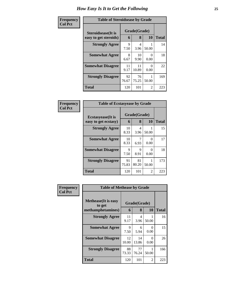| <b>Table of Steroidsease by Grade</b> |             |             |                           |              |  |  |  |  |
|---------------------------------------|-------------|-------------|---------------------------|--------------|--|--|--|--|
| Grade(Grade)<br>Steroidsease(It is    |             |             |                           |              |  |  |  |  |
| easy to get steroids)                 | 6           | 8           | 10                        | <b>Total</b> |  |  |  |  |
| <b>Strongly Agree</b>                 | 9<br>7.50   | 4<br>3.96   | 50.00                     | 14           |  |  |  |  |
| <b>Somewhat Agree</b>                 | 8<br>6.67   | 10<br>9.90  | $\mathbf{\Omega}$<br>0.00 | 18           |  |  |  |  |
| <b>Somewhat Disagree</b>              | 11<br>9.17  | 11<br>10.89 | 0<br>0.00                 | 22           |  |  |  |  |
| <b>Strongly Disagree</b>              | 92<br>76.67 | 76<br>75.25 | 50.00                     | 169          |  |  |  |  |
| Total                                 | 120         | 101         | $\mathfrak{D}$            | 223          |  |  |  |  |

| Frequency      | <b>Table of Ecstasyease by Grade</b>              |             |                     |                           |              |  |  |
|----------------|---------------------------------------------------|-------------|---------------------|---------------------------|--------------|--|--|
| <b>Col Pct</b> | <b>Ecstasyease</b> (It is<br>easy to get ecstasy) | 6           | Grade(Grade)<br>8   | <b>10</b>                 | <b>Total</b> |  |  |
|                | <b>Strongly Agree</b>                             | 10<br>8.33  | 4<br>3.96           | 50.00                     | 15           |  |  |
|                | <b>Somewhat Agree</b>                             | 10<br>8.33  | 6.93                | 0<br>0.00                 | 17           |  |  |
|                | <b>Somewhat Disagree</b>                          | 9<br>7.50   | $\mathbf Q$<br>8.91 | $\mathbf{\Omega}$<br>0.00 | 18           |  |  |
|                | <b>Strongly Disagree</b>                          | 91<br>75.83 | 81<br>80.20         | 50.00                     | 173          |  |  |
|                | <b>Total</b>                                      | 120         | 101                 | $\overline{2}$            | 223          |  |  |

| Frequency      | <b>Table of Methease by Grade</b>                          |             |                   |                  |              |
|----------------|------------------------------------------------------------|-------------|-------------------|------------------|--------------|
| <b>Col Pct</b> | <b>Methease</b> (It is easy<br>to get<br>methamphetamines) | 6           | Grade(Grade)<br>8 | 10               | <b>Total</b> |
|                | <b>Strongly Agree</b>                                      | 11<br>9.17  | 4<br>3.96         | 50.00            | 16           |
|                | <b>Somewhat Agree</b>                                      | 9<br>7.50   | 6<br>5.94         | 0<br>0.00        | 15           |
|                | <b>Somewhat Disagree</b>                                   | 12<br>10.00 | 14<br>13.86       | $\Omega$<br>0.00 | 26           |
|                | <b>Strongly Disagree</b>                                   | 88<br>73.33 | 77<br>76.24       | 50.00            | 166          |
|                | Total                                                      | 120         | 101               | 2                | 223          |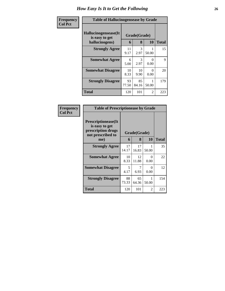| <b>Frequency</b> | <b>Table of Hallucinogensease by Grade</b>               |             |                   |           |              |  |  |
|------------------|----------------------------------------------------------|-------------|-------------------|-----------|--------------|--|--|
| <b>Col Pct</b>   | Hallucinogensease(It<br>is easy to get<br>hallucinogens) | 6           | Grade(Grade)<br>8 | 10        | <b>Total</b> |  |  |
|                  | <b>Strongly Agree</b>                                    | 11<br>9.17  | 3<br>2.97         | 50.00     | 15           |  |  |
|                  | <b>Somewhat Agree</b>                                    | 6<br>5.00   | 3<br>2.97         | 0<br>0.00 | 9            |  |  |
|                  | <b>Somewhat Disagree</b>                                 | 10<br>8.33  | 10<br>9.90        | 0<br>0.00 | 20           |  |  |
|                  | <b>Strongly Disagree</b>                                 | 93<br>77.50 | 85<br>84.16       | 50.00     | 179          |  |  |
|                  | Total                                                    | 120         | 101               | 2         | 223          |  |  |

|                                                                                          | <b>Table of Prescriptionease by Grade</b> |              |            |       |  |  |  |  |
|------------------------------------------------------------------------------------------|-------------------------------------------|--------------|------------|-------|--|--|--|--|
| <b>Prescriptionease</b> (It<br>is easy to get<br>prescription drugs<br>not prescribed to |                                           | Grade(Grade) |            |       |  |  |  |  |
| me)                                                                                      | 6                                         | 8            | 10         | Total |  |  |  |  |
| <b>Strongly Agree</b>                                                                    | 17<br>14.17                               | 17<br>16.83  | 50.00      | 35    |  |  |  |  |
| <b>Somewhat Agree</b>                                                                    | 10<br>8.33                                | 12<br>11.88  | 0<br>0.00  | 22    |  |  |  |  |
| <b>Somewhat Disagree</b>                                                                 | 5<br>4.17                                 | 6.93         | 0<br>0.00  | 12    |  |  |  |  |
| <b>Strongly Disagree</b>                                                                 | 88<br>73.33                               | 65<br>64.36  | 1<br>50.00 | 154   |  |  |  |  |
| Total                                                                                    | 120                                       | 101          | 2          | 223   |  |  |  |  |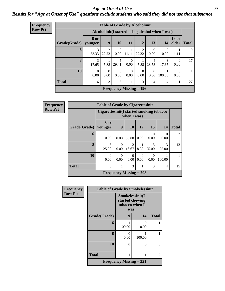### *Age at Onset of Use* **27** *Results for "Age at Onset of Use" questions exclude students who said they did not use that substance*

| <b>Frequency</b> |  |
|------------------|--|
| <b>Row Pct</b>   |  |

| <b>Table of Grade by Alcoholinit</b> |                                                                                                    |                         |                           |                  |                         |                  |                                                  |                  |    |
|--------------------------------------|----------------------------------------------------------------------------------------------------|-------------------------|---------------------------|------------------|-------------------------|------------------|--------------------------------------------------|------------------|----|
|                                      |                                                                                                    |                         |                           |                  |                         |                  | Alcoholinit (I started using alcohol when I was) |                  |    |
| Grade(Grade)                         | <b>18 or</b><br>8 or<br>9<br>older<br>10<br>12<br>13<br><b>11</b><br><b>Total</b><br>14<br>younger |                         |                           |                  |                         |                  |                                                  |                  |    |
| 6                                    | 3<br>33.33                                                                                         | $\overline{c}$<br>22.22 | $\Omega$<br>0.00          | 11.11            | $\mathfrak{D}$<br>22.22 | 0.00             | 0<br>0.00                                        | 11.11            | 9  |
| 8                                    | 3<br>17.65                                                                                         | 5.88                    | 5<br>29.41                | $\Omega$<br>0.00 | 5.88                    | 23.53            | 3<br>17.65                                       | $\Omega$<br>0.00 | 17 |
| 10                                   | $\Omega$<br>0.00                                                                                   | 0<br>0.00               | $\Omega$<br>0.00          | $\Omega$<br>0.00 | 0<br>0.00               | $\Omega$<br>0.00 | 100.00                                           | $\Omega$<br>0.00 |    |
| <b>Total</b>                         | 6                                                                                                  | 3                       | 5                         |                  | 3                       | 4                | $\overline{4}$                                   |                  | 27 |
|                                      |                                                                                                    |                         | Frequency Missing $= 196$ |                  |                         |                  |                                                  |                  |    |

**Frequency Row Pct**

|                                                                    | <b>Table of Grade by Cigarettesinit</b>                                                      |                                                         |                         |           |            |            |                |  |  |
|--------------------------------------------------------------------|----------------------------------------------------------------------------------------------|---------------------------------------------------------|-------------------------|-----------|------------|------------|----------------|--|--|
|                                                                    |                                                                                              | Cigarettesinit(I started smoking tobacco<br>when I was) |                         |           |            |            |                |  |  |
| 8 or<br>9<br><b>10</b><br>12<br>13<br>Grade(Grade)   younger<br>14 |                                                                                              |                                                         |                         |           |            |            |                |  |  |
| 6                                                                  | 0<br>0.00                                                                                    | 50.00                                                   | 50.00                   | 0<br>0.00 | 0.00       | 0.00       | $\overline{2}$ |  |  |
| 8                                                                  | 3<br>25.00                                                                                   | 0<br>0.00                                               | $\mathfrak{D}$<br>16.67 | 8.33      | 3<br>25.00 | 3<br>25.00 | 12             |  |  |
| 10                                                                 | $\theta$<br>0<br>0<br>$\theta$<br>$\Omega$<br>0.00<br>0.00<br>0.00<br>0.00<br>0.00<br>100.00 |                                                         |                         |           |            |            |                |  |  |
| <b>Total</b><br>3<br>3<br>3<br>4                                   |                                                                                              |                                                         |                         |           |            |            | 15             |  |  |
| <b>Frequency Missing = 208</b>                                     |                                                                                              |                                                         |                         |           |            |            |                |  |  |

| Frequency      | <b>Table of Grade by Smokelessinit</b> |                           |                                                              |              |  |  |
|----------------|----------------------------------------|---------------------------|--------------------------------------------------------------|--------------|--|--|
| <b>Row Pct</b> |                                        |                           | Smokelessinit(I<br>started chewing<br>tobacco when I<br>was) |              |  |  |
|                | Grade(Grade)                           | 9                         | 14                                                           | <b>Total</b> |  |  |
|                | 6                                      | 100.00                    | 0<br>0.00                                                    |              |  |  |
|                | 8                                      | 0<br>0.00                 | 100.00                                                       |              |  |  |
|                | 10                                     | 0                         | 0                                                            | 0            |  |  |
|                | <b>Total</b>                           |                           | 1                                                            | 2            |  |  |
|                |                                        | Frequency Missing $= 221$ |                                                              |              |  |  |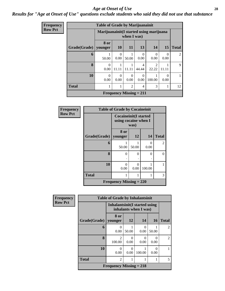#### *Age at Onset of Use* **28**

### *Results for "Age at Onset of Use" questions exclude students who said they did not use that substance*

| Frequency      |              | <b>Table of Grade by Marijuanainit</b> |                                                         |                           |                  |                         |           |              |  |  |  |
|----------------|--------------|----------------------------------------|---------------------------------------------------------|---------------------------|------------------|-------------------------|-----------|--------------|--|--|--|
| <b>Row Pct</b> |              |                                        | Marijuanainit (I started using marijuana<br>when I was) |                           |                  |                         |           |              |  |  |  |
|                | Grade(Grade) | 8 or<br>younger                        | <b>10</b>                                               | 11                        | 13               | 14                      | 15        | <b>Total</b> |  |  |  |
|                | 6            | 50.00                                  | $\Omega$<br>0.00                                        | 50.00                     | 0<br>0.00        | $\Omega$<br>0.00        | 0<br>0.00 | 2            |  |  |  |
|                | 8            | $\Omega$<br>0.00                       | 11.11                                                   | 11.11                     | 4<br>44.44       | $\mathfrak{D}$<br>22.22 | 11.11     | 9            |  |  |  |
|                | 10           | 0<br>0.00                              | 0<br>0.00                                               | 0<br>0.00                 | $\Omega$<br>0.00 | 100.00                  | 0<br>0.00 |              |  |  |  |
|                | <b>Total</b> |                                        |                                                         | $\mathcal{D}$             | 4                | 3                       |           | 12           |  |  |  |
|                |              |                                        |                                                         | Frequency Missing $= 211$ |                  |                         |           |              |  |  |  |

| <b>Frequency</b> | <b>Table of Grade by Cocaineinit</b> |                                                      |           |           |              |  |  |  |  |
|------------------|--------------------------------------|------------------------------------------------------|-----------|-----------|--------------|--|--|--|--|
| <b>Row Pct</b>   |                                      | <b>Cocaineinit(I started</b><br>using cocaine when I | was)      |           |              |  |  |  |  |
|                  | Grade(Grade)                         | 8 or<br>  younger                                    | 12        | 14        | <b>Total</b> |  |  |  |  |
|                  | 6                                    | 50.00                                                | 50.00     | 0<br>0.00 | 2            |  |  |  |  |
|                  | 8                                    | 0                                                    | $\theta$  | $\Omega$  | 0            |  |  |  |  |
|                  | 10                                   | 0<br>0.00                                            | 0<br>0.00 | 100.00    |              |  |  |  |  |
|                  | <b>Total</b>                         | 1                                                    | 1         | 1         | 3            |  |  |  |  |
|                  |                                      | Frequency Missing $= 220$                            |           |           |              |  |  |  |  |

| <b>Frequency</b> |              | <b>Table of Grade by Inhalantsinit</b>                  |       |                           |                           |                |
|------------------|--------------|---------------------------------------------------------|-------|---------------------------|---------------------------|----------------|
| <b>Row Pct</b>   |              | Inhalantsinit (I started using<br>inhalants when I was) |       |                           |                           |                |
|                  | Grade(Grade) | 8 or<br>younger                                         | 12    | 14                        | 16                        | <b>Total</b>   |
|                  | 6            | 0.00                                                    | 50.00 | 0<br>0.00                 | 50.00                     | $\overline{2}$ |
|                  | 8            | $\overline{2}$<br>100.00                                | 0.00  | $\mathbf{\Omega}$<br>0.00 | 0<br>0.00                 | $\overline{2}$ |
|                  | 10           | 0<br>0.00                                               | 0.00  | 100.00                    | $\mathbf{\Omega}$<br>0.00 |                |
|                  | <b>Total</b> | $\overline{2}$                                          |       |                           |                           | 5              |
|                  |              | Frequency Missing $= 218$                               |       |                           |                           |                |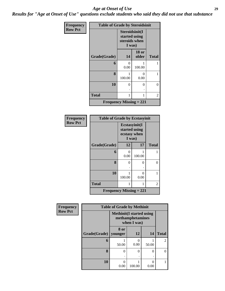#### *Age at Onset of Use* **29**

*Results for "Age at Onset of Use" questions exclude students who said they did not use that substance*

| Frequency      | <b>Table of Grade by Steroidsinit</b> |                                                            |                       |              |  |  |  |  |
|----------------|---------------------------------------|------------------------------------------------------------|-----------------------|--------------|--|--|--|--|
| <b>Row Pct</b> |                                       | Steroidsinit(I<br>started using<br>steroids when<br>I was) |                       |              |  |  |  |  |
|                | Grade(Grade)                          | 14                                                         | <b>18 or</b><br>older | <b>Total</b> |  |  |  |  |
|                | 6                                     | 0<br>0.00                                                  | 100.00                | 1            |  |  |  |  |
|                | 8                                     | 100.00                                                     | 0<br>0.00             | 1            |  |  |  |  |
|                | 10                                    | 0<br>٠                                                     | 0                     | 0            |  |  |  |  |
|                | <b>Total</b>                          | 1                                                          |                       | 2            |  |  |  |  |
|                | <b>Frequency Missing = 221</b>        |                                                            |                       |              |  |  |  |  |

| Frequency      | <b>Table of Grade by Ecstasyinit</b> |                                         |               |              |  |  |  |  |
|----------------|--------------------------------------|-----------------------------------------|---------------|--------------|--|--|--|--|
| <b>Row Pct</b> |                                      | Ecstasyinit(I<br>ecstasy when<br>I was) | started using |              |  |  |  |  |
|                | Grade(Grade)                         | 12                                      | 17            | <b>Total</b> |  |  |  |  |
|                | 6                                    | 0<br>0.00                               | 100.00        |              |  |  |  |  |
|                | 8                                    | 0                                       | 0             | 0            |  |  |  |  |
|                | 10                                   | 100.00                                  | 0<br>0.00     |              |  |  |  |  |
|                | <b>Total</b>                         | 1                                       |               | 2            |  |  |  |  |
|                | Frequency Missing $= 221$            |                                         |               |              |  |  |  |  |

| <b>Frequency</b> |              | <b>Table of Grade by Methinit</b>                                   |          |        |                |  |  |
|------------------|--------------|---------------------------------------------------------------------|----------|--------|----------------|--|--|
| <b>Row Pct</b>   |              | <b>Methinit</b> (I started using<br>methamphetamines<br>when I was) |          |        |                |  |  |
|                  | Grade(Grade) | 8 or<br>younger                                                     | 12       | 14     | <b>Total</b>   |  |  |
|                  | 6            | 50.00                                                               | 0.00     | 50.00  | $\overline{2}$ |  |  |
|                  | 8            | 0                                                                   | $\Omega$ | 0<br>٠ | 0              |  |  |
|                  | 10           | ∩<br>0.00                                                           | 100.00   | 0.00   |                |  |  |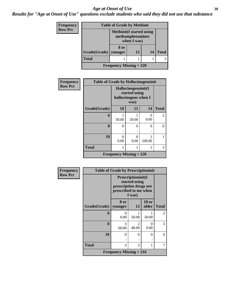#### Age at Onset of Use **30**

*Results for "Age at Onset of Use" questions exclude students who said they did not use that substance*

| Frequency      | <b>Table of Grade by Methinit</b> |                                                                     |    |    |              |  |
|----------------|-----------------------------------|---------------------------------------------------------------------|----|----|--------------|--|
| <b>Row Pct</b> |                                   | <b>Methinit</b> (I started using<br>methamphetamines<br>when I was) |    |    |              |  |
|                | Grade(Grade)   younger            | 8 or                                                                | 12 | 14 | <b>Total</b> |  |
|                | <b>Total</b>                      |                                                                     |    |    |              |  |
|                | <b>Frequency Missing = 220</b>    |                                                                     |    |    |              |  |

| <b>Frequency</b> | <b>Table of Grade by Hallucinogensinit</b> |                                                              |           |           |              |  |  |  |
|------------------|--------------------------------------------|--------------------------------------------------------------|-----------|-----------|--------------|--|--|--|
| <b>Row Pct</b>   |                                            | Hallucinogensinit(I<br>started using<br>hallucinogens when I |           |           |              |  |  |  |
|                  | Grade(Grade)                               | 10                                                           | 11        | 14        | <b>Total</b> |  |  |  |
|                  | 6                                          | 50.00                                                        | 50.00     | 0<br>0.00 | 2            |  |  |  |
|                  | 8                                          | $\theta$                                                     | $\Omega$  | 0         | 0            |  |  |  |
|                  | 10                                         | $\theta$<br>0.00                                             | 0<br>0.00 | 100.00    |              |  |  |  |
|                  | <b>Total</b>                               | 1                                                            | 1         | 1         | 3            |  |  |  |
|                  | <b>Frequency Missing = 220</b>             |                                                              |           |           |              |  |  |  |

| <b>Frequency</b> | <b>Table of Grade by Prescriptioninit</b> |                                                                                                  |                         |                       |              |  |  |
|------------------|-------------------------------------------|--------------------------------------------------------------------------------------------------|-------------------------|-----------------------|--------------|--|--|
| <b>Row Pct</b>   |                                           | Prescriptioninit(I<br>started using<br>prescription drugs not<br>prescribed to me when<br>I was) |                         |                       |              |  |  |
|                  | Grade(Grade)                              | 8 or<br>younger                                                                                  | 12                      | <b>18 or</b><br>older | <b>Total</b> |  |  |
|                  | 6                                         | 0<br>0.00                                                                                        | 50.00                   | 50.00                 | 2            |  |  |
|                  | 8                                         | 3<br>60.00                                                                                       | $\mathfrak{D}$<br>40.00 | 0<br>0.00             | 5            |  |  |
|                  | 10                                        | $\Omega$                                                                                         | $\Omega$                | 0<br>٠                | $\Omega$     |  |  |
|                  | <b>Total</b>                              | 3                                                                                                | 3                       | 1                     | 7            |  |  |
|                  | Frequency Missing $= 216$                 |                                                                                                  |                         |                       |              |  |  |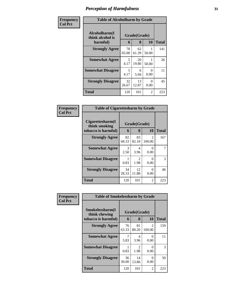| Frequency      | <b>Table of Alcoholharm by Grade</b> |                              |             |           |                     |  |
|----------------|--------------------------------------|------------------------------|-------------|-----------|---------------------|--|
| <b>Col Pct</b> | Alcoholharm(I<br>think alcohol is    | Grade(Grade)<br>8<br>10<br>6 |             |           |                     |  |
|                | harmful)<br><b>Strongly Agree</b>    | 78<br>65.00                  | 62<br>61.39 | 50.00     | <b>Total</b><br>141 |  |
|                | <b>Somewhat Agree</b>                | 5<br>4.17                    | 20<br>19.80 | 50.00     | 26                  |  |
|                | <b>Somewhat Disagree</b>             | 5<br>4.17                    | 6<br>5.94   | 0<br>0.00 | 11                  |  |
|                | <b>Strongly Disagree</b>             | 32<br>26.67                  | 13<br>12.87 | 0<br>0.00 | 45                  |  |
|                | <b>Total</b>                         | 120                          | 101         | 2         | 223                 |  |

| <b>Frequency<br/>Col Pct</b> |
|------------------------------|
|                              |

| <b>Table of Cigarettesharm by Grade</b>                  |                   |             |                          |     |  |  |  |
|----------------------------------------------------------|-------------------|-------------|--------------------------|-----|--|--|--|
| Cigarettesharm(I<br>think smoking<br>tobacco is harmful) | Grade(Grade)<br>6 | Total       |                          |     |  |  |  |
| <b>Strongly Agree</b>                                    | 82<br>68.33       | 83<br>82.18 | $\mathfrak{D}$<br>100.00 | 167 |  |  |  |
| <b>Somewhat Agree</b>                                    | 3<br>2.50         | 4<br>3.96   | 0<br>0.00                |     |  |  |  |
| <b>Somewhat Disagree</b>                                 | 0.83              | 2<br>1.98   | ∩<br>0.00                | 3   |  |  |  |
| <b>Strongly Disagree</b>                                 | 34<br>28.33       | 12<br>11.88 | 0<br>0.00                | 46  |  |  |  |
| Total                                                    | 120               | 101         | 2                        | 223 |  |  |  |

| Frequency      |                                  | <b>Table of Smokelessharm by Grade</b> |                                     |                          |              |  |  |
|----------------|----------------------------------|----------------------------------------|-------------------------------------|--------------------------|--------------|--|--|
| <b>Col Pct</b> | Smokelessharm(I<br>think chewing | Grade(Grade)                           |                                     |                          |              |  |  |
|                | tobacco is harmful)              | 6                                      | 8                                   | <b>10</b>                | <b>Total</b> |  |  |
|                | <b>Strongly Agree</b>            | 76<br>63.33                            | 81<br>80.20                         | $\mathfrak{D}$<br>100.00 | 159          |  |  |
|                | <b>Somewhat Agree</b>            | 7<br>5.83                              | 4<br>3.96                           | $\theta$<br>0.00         | 11           |  |  |
|                | <b>Somewhat Disagree</b>         | 0.83                                   | $\mathcal{D}_{\mathcal{L}}$<br>1.98 | $\theta$<br>0.00         | 3            |  |  |
|                | <b>Strongly Disagree</b>         | 36<br>30.00                            | 14<br>13.86                         | 0<br>0.00                | 50           |  |  |
|                | Total                            | 120                                    | 101                                 | 2                        | 223          |  |  |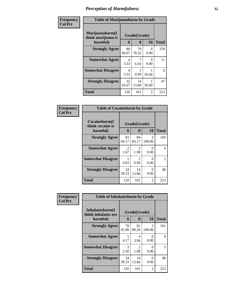| <b>Frequency</b><br>Col Pct |
|-----------------------------|
|                             |

Ш

### **Table of Marijuanaharm by Grade**

٦

| Table of Martjuananarin by Orauc                  |                   |              |           |     |  |  |  |
|---------------------------------------------------|-------------------|--------------|-----------|-----|--|--|--|
| Marijuanaharm(I<br>think marijuana is<br>harmful) | Grade(Grade)<br>6 | <b>Total</b> |           |     |  |  |  |
| <b>Strongly Agree</b>                             | 80<br>66.67       | 79<br>78.22  | 0<br>0.00 | 159 |  |  |  |
| <b>Somewhat Agree</b>                             | 4<br>3.33         | 6.93         | 0<br>0.00 | 11  |  |  |  |
| <b>Somewhat Disagree</b>                          | 4<br>3.33         | 0.99         | 50.00     | 6   |  |  |  |
| <b>Strongly Disagree</b>                          | 32<br>26.67       | 14<br>13.86  | 50.00     | 47  |  |  |  |
| <b>Total</b>                                      | 120               | 101          | 2         | 223 |  |  |  |

| <b>Table of Cocaineharm by Grade</b>          |                   |              |                         |     |  |  |  |
|-----------------------------------------------|-------------------|--------------|-------------------------|-----|--|--|--|
| Cocaineharm(I<br>think cocaine is<br>harmful) | Grade(Grade)<br>6 | <b>Total</b> |                         |     |  |  |  |
| <b>Strongly Agree</b>                         | 83<br>69.17       | 84<br>83.17  | $\mathcal{L}$<br>100.00 | 169 |  |  |  |
| <b>Somewhat Agree</b>                         | 2<br>1.67         | 2<br>1.98    | 0<br>0.00               | 4   |  |  |  |
| <b>Somewhat Disagree</b>                      | 0.83              | 0.99         | 0<br>0.00               | 2   |  |  |  |
| <b>Strongly Disagree</b>                      | 34<br>28.33       | 14<br>13.86  | 0<br>0.00               | 48  |  |  |  |
| <b>Total</b>                                  | 120               | 101          | 2                       | 223 |  |  |  |

| Frequency      | <b>Table of Inhalantsharm by Grade</b>             |             |                   |                          |              |  |
|----------------|----------------------------------------------------|-------------|-------------------|--------------------------|--------------|--|
| <b>Col Pct</b> | Inhalantsharm(I<br>think inhalants are<br>harmful) | 6           | Grade(Grade)<br>8 | <b>10</b>                | <b>Total</b> |  |
|                | <b>Strongly Agree</b>                              | 78<br>65.00 | 81<br>80.20       | $\mathfrak{D}$<br>100.00 | 161          |  |
|                | <b>Somewhat Agree</b>                              | 5<br>4.17   | 4<br>3.96         | $\Omega$<br>0.00         | 9            |  |
|                | <b>Somewhat Disagree</b>                           | 3<br>2.50   | 2<br>1.98         | $\Omega$<br>0.00         | 5            |  |
|                | <b>Strongly Disagree</b>                           | 34<br>28.33 | 14<br>13.86       | $\Omega$<br>0.00         | 48           |  |
|                | <b>Total</b>                                       | 120         | 101               | 2                        | 223          |  |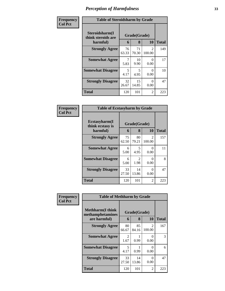| Frequency      | <b>Table of Steroidsharm by Grade</b>            |                              |             |                         |              |  |  |
|----------------|--------------------------------------------------|------------------------------|-------------|-------------------------|--------------|--|--|
| <b>Col Pct</b> | Steroidsharm(I<br>think steroids are<br>harmful) | Grade(Grade)<br>10<br>8<br>6 |             |                         | <b>Total</b> |  |  |
|                | <b>Strongly Agree</b>                            | 76<br>63.33                  | 71<br>70.30 | $\mathcal{L}$<br>100.00 | 149          |  |  |
|                | <b>Somewhat Agree</b>                            | 5.83                         | 10<br>9.90  | 0<br>0.00               | 17           |  |  |
|                | <b>Somewhat Disagree</b>                         | 5<br>4.17                    | 5<br>4.95   | 0<br>0.00               | 10           |  |  |
|                | <b>Strongly Disagree</b>                         | 32<br>26.67                  | 15<br>14.85 | 0<br>0.00               | 47           |  |  |
|                | <b>Total</b>                                     | 120                          | 101         | 2                       | 223          |  |  |

| Frequency<br>Col Pct |
|----------------------|
|                      |

| <b>Table of Ecstasyharm by Grade</b>          |                   |                        |                          |     |  |  |  |  |
|-----------------------------------------------|-------------------|------------------------|--------------------------|-----|--|--|--|--|
| Ecstasyharm(I<br>think ecstasy is<br>harmful) | Grade(Grade)<br>6 | <b>Total</b>           |                          |     |  |  |  |  |
| <b>Strongly Agree</b>                         | 75<br>62.50       | 80<br>79.21            | $\mathfrak{D}$<br>100.00 | 157 |  |  |  |  |
| <b>Somewhat Agree</b>                         | 6<br>5.00         | 5<br>4.95              | 0<br>0.00                | 11  |  |  |  |  |
| <b>Somewhat Disagree</b>                      | 6<br>5.00         | $\mathfrak{D}$<br>1.98 | 0<br>0.00                | 8   |  |  |  |  |
| <b>Strongly Disagree</b>                      | 33<br>27.50       | 14<br>13.86            | 0<br>0.00                | 47  |  |  |  |  |
| <b>Total</b>                                  | 120               | 101                    | 2                        | 223 |  |  |  |  |

| Frequency      | <b>Table of Methharm by Grade</b>            |              |             |                          |              |  |  |  |
|----------------|----------------------------------------------|--------------|-------------|--------------------------|--------------|--|--|--|
| <b>Col Pct</b> | <b>Methharm</b> (I think<br>methamphetamines | Grade(Grade) |             |                          |              |  |  |  |
|                | are harmful)                                 | 6            | 8           | <b>10</b>                | <b>Total</b> |  |  |  |
|                | <b>Strongly Agree</b>                        | 80<br>66.67  | 85<br>84.16 | $\mathfrak{D}$<br>100.00 | 167          |  |  |  |
|                | <b>Somewhat Agree</b>                        | 2<br>1.67    | 0.99        | $\Omega$<br>0.00         | 3            |  |  |  |
|                | <b>Somewhat Disagree</b>                     | 5<br>4.17    | 0.99        | 0<br>0.00                | 6            |  |  |  |
|                | <b>Strongly Disagree</b>                     | 33<br>27.50  | 14<br>13.86 | $\Omega$<br>0.00         | 47           |  |  |  |
|                | <b>Total</b>                                 | 120          | 101         | 2                        | 223          |  |  |  |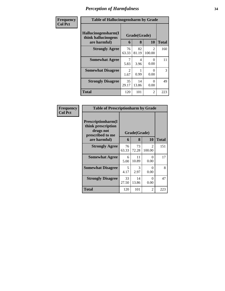| Frequency      | <b>Table of Hallucinogensharm by Grade</b>                 |                       |                   |                          |              |  |
|----------------|------------------------------------------------------------|-----------------------|-------------------|--------------------------|--------------|--|
| <b>Col Pct</b> | Hallucinogensharm(I<br>think hallucinogens<br>are harmful) | 6                     | Grade(Grade)<br>8 | 10                       | <b>Total</b> |  |
|                | <b>Strongly Agree</b>                                      | 76<br>63.33           | 82<br>81.19       | $\mathfrak{D}$<br>100.00 | 160          |  |
|                | <b>Somewhat Agree</b>                                      | 7<br>5.83             | 4<br>3.96         | 0<br>0.00                | 11           |  |
|                | <b>Somewhat Disagree</b>                                   | $\mathcal{L}$<br>1.67 | 0.99              | $\Omega$<br>0.00         | 3            |  |
|                | <b>Strongly Disagree</b>                                   | 35<br>29.17           | 14<br>13.86       | $\Omega$<br>0.00         | 49           |  |
|                | <b>Total</b>                                               | 120                   | 101               | $\overline{2}$           | 223          |  |

| Frequency      | <b>Table of Prescriptionharm by Grade</b>                                 |             |              |                          |              |  |
|----------------|---------------------------------------------------------------------------|-------------|--------------|--------------------------|--------------|--|
| <b>Col Pct</b> | Prescriptionharm(I<br>think prescription<br>drugs not<br>prescribed to me |             | Grade(Grade) |                          |              |  |
|                | are harmful)                                                              | 6           | 8            | <b>10</b>                | <b>Total</b> |  |
|                | <b>Strongly Agree</b>                                                     | 76<br>63.33 | 73<br>72.28  | $\mathfrak{D}$<br>100.00 | 151          |  |
|                | <b>Somewhat Agree</b>                                                     | 6<br>5.00   | 11<br>10.89  | 0<br>0.00                | 17           |  |
|                | <b>Somewhat Disagree</b>                                                  | 5<br>4.17   | 3<br>2.97    | 0<br>0.00                | 8            |  |
|                | <b>Strongly Disagree</b>                                                  | 33<br>27.50 | 14<br>13.86  | 0<br>0.00                | 47           |  |
|                | Total                                                                     | 120         | 101          | $\mathfrak{D}$           | 223          |  |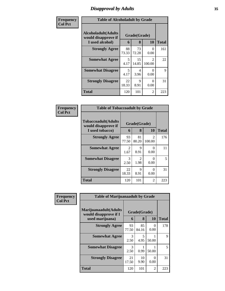# *Disapproval by Adults* **35**

| Frequency      | <b>Table of Alcoholadult by Grade</b>                                 |             |                   |                                       |              |  |
|----------------|-----------------------------------------------------------------------|-------------|-------------------|---------------------------------------|--------------|--|
| <b>Col Pct</b> | <b>Alcoholadult</b> (Adults<br>would disapprove if<br>I used alcohol) | 6           | Grade(Grade)<br>8 | 10                                    | <b>Total</b> |  |
|                | <b>Strongly Agree</b>                                                 | 88<br>73.33 | 73<br>72.28       | 0<br>0.00                             | 161          |  |
|                | <b>Somewhat Agree</b>                                                 | 5<br>4.17   | 15<br>14.85       | $\mathcal{D}_{\mathcal{L}}$<br>100.00 | 22           |  |
|                | <b>Somewhat Disagree</b>                                              | 5<br>4.17   | 4<br>3.96         | $\Omega$<br>0.00                      | 9            |  |
|                | <b>Strongly Disagree</b>                                              | 22<br>18.33 | 9<br>8.91         | $\Omega$<br>0.00                      | 31           |  |
|                | <b>Total</b>                                                          | 120         | 101               | $\overline{2}$                        | 223          |  |

| Frequency      | <b>Table of Tobaccoadult by Grade</b>                                 |             |                   |                          |              |
|----------------|-----------------------------------------------------------------------|-------------|-------------------|--------------------------|--------------|
| <b>Col Pct</b> | <b>Tobaccoadult</b> (Adults<br>would disapprove if<br>I used tobacco) | 6           | Grade(Grade)<br>8 | 10                       | <b>Total</b> |
|                | <b>Strongly Agree</b>                                                 | 93<br>77.50 | 81<br>80.20       | $\mathfrak{D}$<br>100.00 | 176          |
|                | <b>Somewhat Agree</b>                                                 | 2<br>1.67   | 9<br>8.91         | 0<br>0.00                | 11           |
|                | <b>Somewhat Disagree</b>                                              | 3<br>2.50   | 2<br>1.98         | 0<br>0.00                | 5            |
|                | <b>Strongly Disagree</b>                                              | 22<br>18.33 | 9<br>8.91         | 0<br>0.00                | 31           |
|                | <b>Total</b>                                                          | 120         | 101               | $\mathfrak{D}$           | 223          |

| Frequency      | <b>Table of Marijuanaadult by Grade</b>                           |             |                                  |                  |              |
|----------------|-------------------------------------------------------------------|-------------|----------------------------------|------------------|--------------|
| <b>Col Pct</b> | Marijuanaadult(Adults<br>would disapprove if I<br>used marijuana) | 6           | Grade(Grade)<br>8                | 10               | <b>Total</b> |
|                | <b>Strongly Agree</b>                                             | 93<br>77.50 | 85<br>84.16                      | $\Omega$<br>0.00 | 178          |
|                | <b>Somewhat Agree</b>                                             | 3<br>2.50   | $\overline{\phantom{0}}$<br>4.95 | 50.00            | 9            |
|                | <b>Somewhat Disagree</b>                                          | 3<br>2.50   | 0.99                             | 50.00            | 5            |
|                | <b>Strongly Disagree</b>                                          | 21<br>17.50 | 10<br>9.90                       | $\Omega$<br>0.00 | 31           |
|                | <b>Total</b>                                                      | 120         | 101                              | 2                | 223          |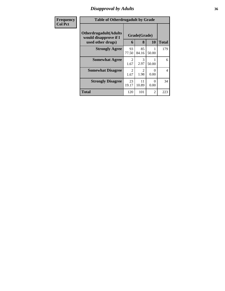# *Disapproval by Adults* **36**

| Frequency      | <b>Table of Otherdrugadult by Grade</b>                                     |                        |                   |           |              |
|----------------|-----------------------------------------------------------------------------|------------------------|-------------------|-----------|--------------|
| <b>Col Pct</b> | <b>Otherdrugadult</b> (Adults<br>would disapprove if I<br>used other drugs) | 6                      | Grade(Grade)<br>8 | <b>10</b> | <b>Total</b> |
|                | <b>Strongly Agree</b>                                                       | 93<br>77.50            | 85<br>84.16       | 50.00     | 179          |
|                | <b>Somewhat Agree</b>                                                       | $\mathfrak{D}$<br>1.67 | 3<br>2.97         | 50.00     | 6            |
|                | <b>Somewhat Disagree</b>                                                    | 2<br>1.67              | 2<br>1.98         | 0<br>0.00 | 4            |
|                | <b>Strongly Disagree</b>                                                    | 23<br>19.17            | 11<br>10.89       | 0<br>0.00 | 34           |
|                | <b>Total</b>                                                                | 120                    | 101               | 2         | 223          |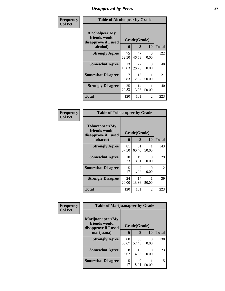## *Disapproval by Peers* **37**

| Frequency      | <b>Table of Alcoholpeer by Grade</b>                                    |             |             |           |              |  |  |
|----------------|-------------------------------------------------------------------------|-------------|-------------|-----------|--------------|--|--|
| <b>Col Pct</b> | Alcoholpeer(My<br>friends would<br>Grade(Grade)<br>disapprove if I used |             |             |           |              |  |  |
|                | alcohol)                                                                |             | 8           | 10        | <b>Total</b> |  |  |
|                | <b>Strongly Agree</b>                                                   | 75<br>62.50 | 47<br>46.53 | 0<br>0.00 | 122          |  |  |
|                | <b>Somewhat Agree</b>                                                   | 13<br>10.83 | 27<br>26.73 | 0<br>0.00 | 40           |  |  |
|                | <b>Somewhat Disagree</b>                                                | 7<br>5.83   | 13<br>12.87 | 50.00     | 21           |  |  |
|                | <b>Strongly Disagree</b>                                                | 25<br>20.83 | 14<br>13.86 | 50.00     | 40           |  |  |
|                | Total                                                                   | 120         | 101         | 2         | 223          |  |  |

| Frequency      | <b>Table of Tobaccopeer by Grade</b>                    |              |             |           |              |  |  |
|----------------|---------------------------------------------------------|--------------|-------------|-----------|--------------|--|--|
| <b>Col Pct</b> | Tobaccopeer(My<br>friends would<br>disapprove if I used | Grade(Grade) |             |           |              |  |  |
|                | tobacco)                                                |              | 8           | 10        | <b>Total</b> |  |  |
|                | <b>Strongly Agree</b>                                   | 81<br>67.50  | 61<br>60.40 | 50.00     | 143          |  |  |
|                | <b>Somewhat Agree</b>                                   | 10<br>8.33   | 19<br>18.81 | 0<br>0.00 | 29           |  |  |
|                | <b>Somewhat Disagree</b>                                | 5<br>4.17    | 7<br>6.93   | 0<br>0.00 | 12           |  |  |
|                | <b>Strongly Disagree</b>                                | 24<br>20.00  | 14<br>13.86 | 50.00     | 39           |  |  |
|                | Total                                                   | 120          | 101         | 2         | 223          |  |  |

| Frequency      | <b>Table of Marijuanapeer by Grade</b>                    |              |             |           |              |  |
|----------------|-----------------------------------------------------------|--------------|-------------|-----------|--------------|--|
| <b>Col Pct</b> | Marijuanapeer(My<br>friends would<br>disapprove if I used | Grade(Grade) |             |           |              |  |
|                | marijuana)                                                | 6            | 8           | <b>10</b> | <b>Total</b> |  |
|                | <b>Strongly Agree</b>                                     | 80<br>66.67  | 58<br>57.43 | 0.00      | 138          |  |
|                | <b>Somewhat Agree</b>                                     | 8<br>6.67    | 15<br>14.85 | 0.00      | 23           |  |
|                | <b>Somewhat Disagree</b>                                  | 5<br>4.17    | 9<br>8.91   | 50.00     | 15           |  |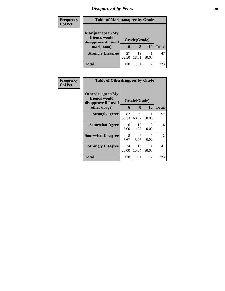## *Disapproval by Peers* **38**

| <b>Frequency</b> | <b>Table of Marijuanapeer by Grade</b>                                  |             |                   |           |              |  |  |
|------------------|-------------------------------------------------------------------------|-------------|-------------------|-----------|--------------|--|--|
| <b>Col Pct</b>   | Marijuanapeer(My<br>friends would<br>disapprove if I used<br>marijuana) | 6           | Grade(Grade)<br>8 | <b>10</b> | <b>Total</b> |  |  |
|                  | <b>Strongly Disagree</b>                                                | 27<br>22.50 | 19<br>18.81       | 50.00     | 47           |  |  |
|                  | Total                                                                   | 120         | 101               | 2         | 223          |  |  |

| Frequency      | <b>Table of Otherdrugpeer by Grade</b>                    |             |              |                           |              |  |  |  |  |
|----------------|-----------------------------------------------------------|-------------|--------------|---------------------------|--------------|--|--|--|--|
| <b>Col Pct</b> | Otherdrugpeer(My<br>friends would<br>disapprove if I used |             | Grade(Grade) |                           |              |  |  |  |  |
|                | other drugs)                                              | 6           | 8            | 10                        | <b>Total</b> |  |  |  |  |
|                | <b>Strongly Agree</b>                                     | 82<br>68.33 | 69<br>68.32  | 50.00                     | 152          |  |  |  |  |
|                | <b>Somewhat Agree</b>                                     | 6<br>5.00   | 12<br>11.88  | $\mathbf{\Omega}$<br>0.00 | 18           |  |  |  |  |
|                | <b>Somewhat Disagree</b>                                  | 8<br>6.67   | 4<br>3.96    | 0<br>0.00                 | 12           |  |  |  |  |
|                | <b>Strongly Disagree</b>                                  | 24<br>20.00 | 16<br>15.84  | 50.00                     | 41           |  |  |  |  |
|                | Total                                                     | 120         | 101          | 2                         | 223          |  |  |  |  |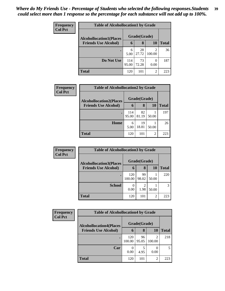| Frequency      | <b>Table of Alcohollocation1 by Grade</b> |              |              |                  |              |  |  |  |
|----------------|-------------------------------------------|--------------|--------------|------------------|--------------|--|--|--|
| <b>Col Pct</b> | <b>Alcohollocation1(Places</b>            |              | Grade(Grade) |                  |              |  |  |  |
|                | <b>Friends Use Alcohol)</b>               | 6            | 8            | 10               | <b>Total</b> |  |  |  |
|                |                                           | 6<br>5.00    | 28<br>27.72  | 100.00           | 36           |  |  |  |
|                | Do Not Use                                | 114<br>95.00 | 73<br>72.28  | $\Omega$<br>0.00 | 187          |  |  |  |
|                | <b>Total</b>                              | 120          | 101          | 2                | 223          |  |  |  |

| <b>Frequency</b> | <b>Table of Alcohollocation2 by Grade</b> |       |              |       |              |  |  |
|------------------|-------------------------------------------|-------|--------------|-------|--------------|--|--|
| <b>Col Pct</b>   | <b>Alcohollocation2(Places</b>            |       | Grade(Grade) |       |              |  |  |
|                  | <b>Friends Use Alcohol)</b>               | 6     | 8            | 10    | <b>Total</b> |  |  |
|                  |                                           | 114   | 82           |       | 197          |  |  |
|                  |                                           | 95.00 | 81.19        | 50.00 |              |  |  |
|                  | Home                                      | 6     | 19           |       | 26           |  |  |
|                  |                                           | 5.00  | 18.81        | 50.00 |              |  |  |
|                  | <b>Total</b>                              | 120   | 101          | 2     | 223          |  |  |

| Frequency<br><b>Col Pct</b> | <b>Table of Alcohollocation3 by Grade</b> |               |              |       |              |  |
|-----------------------------|-------------------------------------------|---------------|--------------|-------|--------------|--|
|                             | <b>Alcohollocation3(Places</b>            |               | Grade(Grade) |       |              |  |
|                             | <b>Friends Use Alcohol)</b>               | 6             | 8            | 10    | <b>Total</b> |  |
|                             |                                           | 120<br>100.00 | 99<br>98.02  | 50.00 | 220          |  |
|                             | <b>School</b>                             | 0.00          | 1.98         | 50.00 | 3            |  |
|                             | <b>Total</b>                              | 120           | 101          | 2     | 223          |  |

| Frequency      | <b>Table of Alcohollocation4 by Grade</b>                     |               |             |        |              |  |
|----------------|---------------------------------------------------------------|---------------|-------------|--------|--------------|--|
| <b>Col Pct</b> | <b>Alcohollocation4(Places</b><br><b>Friends Use Alcohol)</b> | Grade(Grade)  |             |        |              |  |
|                |                                                               | 6             | 8           | 10     | <b>Total</b> |  |
|                |                                                               | 120<br>100.00 | 96<br>95.05 | 100.00 | 218          |  |
|                | Car                                                           | 0.00          | 5<br>4.95   | 0.00   | 5            |  |
|                | Total                                                         | 120           | 101         | 2      | 223          |  |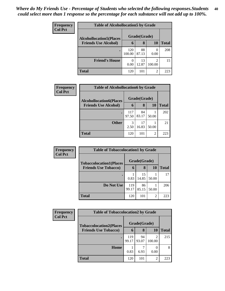| <b>Frequency</b> | <b>Table of Alcohollocation5 by Grade</b> |               |              |                                       |              |  |  |  |  |
|------------------|-------------------------------------------|---------------|--------------|---------------------------------------|--------------|--|--|--|--|
| <b>Col Pct</b>   | <b>Alcohollocation5(Places</b>            |               | Grade(Grade) |                                       |              |  |  |  |  |
|                  | <b>Friends Use Alcohol)</b>               | 6             | 8            | 10                                    | <b>Total</b> |  |  |  |  |
|                  |                                           | 120<br>100.00 | 88<br>87.13  | 0.00                                  | 208          |  |  |  |  |
|                  | <b>Friend's House</b>                     | 0.00          | 13<br>12.87  | $\mathcal{D}_{\mathcal{A}}$<br>100.00 | 15           |  |  |  |  |
|                  | <b>Total</b>                              | 120           | 101          | 2                                     | 223          |  |  |  |  |

I

| Frequency      | <b>Table of Alcohollocation6 by Grade</b> |       |              |                |              |  |  |
|----------------|-------------------------------------------|-------|--------------|----------------|--------------|--|--|
| <b>Col Pct</b> | <b>Alcohollocation6(Places</b>            |       | Grade(Grade) |                |              |  |  |
|                | <b>Friends Use Alcohol)</b>               | 6     | 8            | 10             | <b>Total</b> |  |  |
|                |                                           | 117   | 84           |                | 202          |  |  |
|                |                                           | 97.50 | 83.17        | 50.00          |              |  |  |
|                | <b>Other</b>                              | 3     | 17           |                | 21           |  |  |
|                |                                           | 2.50  | 16.83        | 50.00          |              |  |  |
|                | <b>Total</b>                              | 120   | 101          | $\overline{2}$ | 223          |  |  |

| <b>Frequency</b> | <b>Table of Tobaccolocation1 by Grade</b> |              |              |                |              |  |
|------------------|-------------------------------------------|--------------|--------------|----------------|--------------|--|
| <b>Col Pct</b>   | <b>Tobaccolocation1(Places</b>            |              | Grade(Grade) |                |              |  |
|                  | <b>Friends Use Tobacco)</b>               | 6            | 8            | <b>10</b>      | <b>Total</b> |  |
|                  |                                           | 0.83         | 15<br>14.85  | 50.00          | 17           |  |
|                  | Do Not Use                                | 119<br>99.17 | 86<br>85.15  | 50.00          | 206          |  |
|                  | <b>Total</b>                              | 120          | 101          | $\overline{2}$ | 223          |  |

| <b>Frequency</b> | <b>Table of Tobaccolocation2 by Grade</b> |              |              |        |              |  |  |  |
|------------------|-------------------------------------------|--------------|--------------|--------|--------------|--|--|--|
| <b>Col Pct</b>   | <b>Tobaccolocation2(Places</b>            |              | Grade(Grade) |        |              |  |  |  |
|                  | <b>Friends Use Tobacco)</b>               | 6            | 8            | 10     | <b>Total</b> |  |  |  |
|                  | $\bullet$                                 | 119<br>99.17 | 94<br>93.07  | 100.00 | 215          |  |  |  |
|                  | Home                                      | 0.83         | 6.93         | 0.00   | 8            |  |  |  |
|                  | Total                                     | 120          | 101          | 2      | 223          |  |  |  |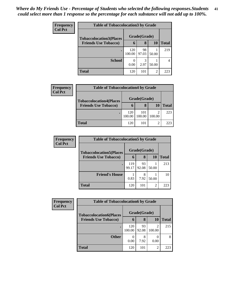| <b>Frequency</b> | <b>Table of Tobaccolocation3 by Grade</b> |               |              |                |       |  |  |  |
|------------------|-------------------------------------------|---------------|--------------|----------------|-------|--|--|--|
| <b>Col Pct</b>   | <b>Tobaccolocation3(Places</b>            |               | Grade(Grade) |                |       |  |  |  |
|                  | <b>Friends Use Tobacco)</b>               | $\mathbf b$   | 8            | 10             | Total |  |  |  |
|                  |                                           | 120<br>100.00 | 98<br>97.03  | 50.00          | 219   |  |  |  |
|                  | <b>School</b>                             | 0.00          | 3<br>2.97    | 50.00          |       |  |  |  |
|                  | <b>Total</b>                              | 120           | 101          | $\mathfrak{D}$ | 223   |  |  |  |

| <b>Frequency</b> | <b>Table of Tobaccolocation4 by Grade</b>                     |               |               |        |              |
|------------------|---------------------------------------------------------------|---------------|---------------|--------|--------------|
| <b>Col Pct</b>   | <b>Tobaccolocation4(Places</b><br><b>Friends Use Tobacco)</b> | Grade(Grade)  |               |        |              |
|                  |                                                               | h             | 8             | 10     | <b>Total</b> |
|                  |                                                               | 120<br>100.00 | 101<br>100.00 | 100.00 | 223          |
|                  | Total                                                         | 120           | 101           | 2      | 223          |

| <b>Frequency</b><br><b>Col Pct</b> | <b>Table of Tobaccolocation5 by Grade</b> |              |              |                |              |  |
|------------------------------------|-------------------------------------------|--------------|--------------|----------------|--------------|--|
|                                    | <b>Tobaccolocation5(Places</b>            |              | Grade(Grade) |                |              |  |
|                                    | <b>Friends Use Tobacco)</b>               | 6            | 8            | 10             | <b>Total</b> |  |
|                                    |                                           | 119<br>99.17 | 93<br>92.08  | 50.00          | 213          |  |
|                                    | <b>Friend's House</b>                     | 0.83         | 8<br>7.92    | 50.00          | 10           |  |
|                                    | <b>Total</b>                              | 120          | 101          | $\overline{2}$ | 223          |  |

| Frequency      | <b>Table of Tobaccolocation6 by Grade</b> |               |             |                |              |  |  |  |
|----------------|-------------------------------------------|---------------|-------------|----------------|--------------|--|--|--|
| <b>Col Pct</b> | <b>Tobaccolocation6(Places</b>            | Grade(Grade)  |             |                |              |  |  |  |
|                | <b>Friends Use Tobacco)</b>               | 6             | 8           | 10             | <b>Total</b> |  |  |  |
|                |                                           | 120<br>100.00 | 93<br>92.08 | ◠<br>100.00    | 215          |  |  |  |
|                | <b>Other</b>                              | 0<br>0.00     | 8<br>7.92   | 0.00           |              |  |  |  |
|                | Total                                     | 120           | 101         | $\overline{2}$ | 223          |  |  |  |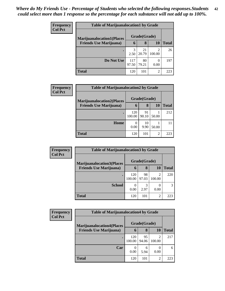| <b>Frequency</b> | <b>Table of Marijuanalocation1 by Grade</b> |              |             |        |              |  |  |  |
|------------------|---------------------------------------------|--------------|-------------|--------|--------------|--|--|--|
| <b>Col Pct</b>   | <b>Marijuanalocation1(Places</b>            | Grade(Grade) |             |        |              |  |  |  |
|                  | <b>Friends Use Marijuana</b> )              | 6            | 8           | 10     | <b>Total</b> |  |  |  |
|                  |                                             | 3<br>2.50    | 21<br>20.79 | 100.00 | 26           |  |  |  |
|                  | Do Not Use                                  | 117<br>97.50 | 80<br>79.21 | 0.00   | 197          |  |  |  |
|                  | <b>Total</b>                                | 120          | 101         | 2      | 223          |  |  |  |

| Frequency      | <b>Table of Marijuanalocation2 by Grade</b> |               |              |       |              |  |  |  |
|----------------|---------------------------------------------|---------------|--------------|-------|--------------|--|--|--|
| <b>Col Pct</b> | <b>Marijuanalocation2(Places</b>            |               | Grade(Grade) |       |              |  |  |  |
|                | <b>Friends Use Marijuana</b> )              | 6             | 8            | 10    | <b>Total</b> |  |  |  |
|                |                                             | 120<br>100.00 | 91<br>90.10  | 50.00 | 212          |  |  |  |
|                | Home                                        | 0<br>0.00     | 10<br>9.90   | 50.00 |              |  |  |  |
|                | <b>Total</b>                                | 120           | 101          | 2     | 223          |  |  |  |

| <b>Frequency</b>               | <b>Table of Marijuanalocation3 by Grade</b> |               |              |             |     |  |  |  |
|--------------------------------|---------------------------------------------|---------------|--------------|-------------|-----|--|--|--|
| <b>Col Pct</b>                 | <b>Marijuanalocation3</b> (Places           |               | Grade(Grade) |             |     |  |  |  |
| <b>Friends Use Marijuana</b> ) | 6                                           | 8             | 10           | Total       |     |  |  |  |
|                                |                                             | 120<br>100.00 | 98<br>97.03  | 2<br>100.00 | 220 |  |  |  |
|                                | <b>School</b>                               | 0.00          | 3<br>2.97    | 0.00        |     |  |  |  |
|                                | <b>Total</b>                                | 120           | 101          | 2           | 223 |  |  |  |

| <b>Frequency</b> | <b>Table of Marijuanalocation4 by Grade</b>                        |               |              |                          |              |  |  |  |
|------------------|--------------------------------------------------------------------|---------------|--------------|--------------------------|--------------|--|--|--|
| <b>Col Pct</b>   | <b>Marijuanalocation4(Places</b><br><b>Friends Use Marijuana</b> ) |               | Grade(Grade) |                          |              |  |  |  |
|                  |                                                                    | 6             | 8            | 10                       | <b>Total</b> |  |  |  |
|                  |                                                                    | 120<br>100.00 | 95<br>94.06  | $\mathfrak{D}$<br>100.00 | 217          |  |  |  |
|                  | Car                                                                | 0.00          | 6<br>5.94    | 0.00                     | 6            |  |  |  |
|                  | Total                                                              | 120           | 101          | 2                        | 223          |  |  |  |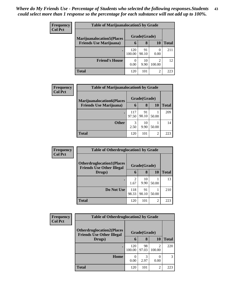| <b>Frequency</b> | <b>Table of Marijuanalocation5 by Grade</b>                         |               |              |             |       |  |  |
|------------------|---------------------------------------------------------------------|---------------|--------------|-------------|-------|--|--|
| <b>Col Pct</b>   | <b>Marijuanalocation5</b> (Places<br><b>Friends Use Marijuana</b> ) |               | Grade(Grade) |             |       |  |  |
|                  |                                                                     | 6             | 8            | 10          | Total |  |  |
|                  |                                                                     | 120<br>100.00 | 91<br>90.10  | 0.00        | 211   |  |  |
|                  | <b>Friend's House</b>                                               | 0.00          | 10<br>9.90   | 2<br>100.00 | 12    |  |  |
|                  | <b>Total</b>                                                        | 120           | 101          | 2           | 223   |  |  |

| <b>Frequency</b> | <b>Table of Marijuanalocation6 by Grade</b> |              |             |           |              |  |  |
|------------------|---------------------------------------------|--------------|-------------|-----------|--------------|--|--|
| <b>Col Pct</b>   | <b>Marijuanalocation6(Places</b>            | Grade(Grade) |             |           |              |  |  |
|                  | <b>Friends Use Marijuana</b> )              | $\mathbf b$  | 8           | <b>10</b> | <b>Total</b> |  |  |
|                  | ٠                                           | 117<br>97.50 | 91<br>90.10 | 50.00     | 209          |  |  |
|                  | <b>Other</b>                                | 3<br>2.50    | 10<br>9.90  | 50.00     | 14           |  |  |
|                  | <b>Total</b>                                | 120          | 101         | 2         | 223          |  |  |

| <b>Frequency</b> | <b>Table of Otherdruglocation1 by Grade</b>                          |              |             |                |              |  |
|------------------|----------------------------------------------------------------------|--------------|-------------|----------------|--------------|--|
| <b>Col Pct</b>   | <b>Otherdruglocation1(Places</b><br><b>Friends Use Other Illegal</b> | Grade(Grade) |             |                |              |  |
|                  | Drugs)                                                               | 6            | 8           | <b>10</b>      | <b>Total</b> |  |
|                  |                                                                      | 1.67         | 10<br>9.90  | 50.00          | 13           |  |
|                  | Do Not Use                                                           | 118<br>98.33 | 91<br>90.10 | 50.00          | 210          |  |
|                  | Total                                                                | 120          | 101         | $\overline{c}$ | 223          |  |

| Frequency      | <b>Table of Otherdruglocation2 by Grade</b>                           |               |             |                |              |  |
|----------------|-----------------------------------------------------------------------|---------------|-------------|----------------|--------------|--|
| <b>Col Pct</b> | <b>Otherdruglocation2(Places)</b><br><b>Friends Use Other Illegal</b> | Grade(Grade)  |             |                |              |  |
|                | Drugs)                                                                | 6             | 8           | <b>10</b>      | <b>Total</b> |  |
|                |                                                                       | 120<br>100.00 | 98<br>97.03 | ∍<br>100.00    | 220          |  |
|                | Home                                                                  | 0<br>0.00     | 2.97        | 0.00           | 3            |  |
|                | <b>Total</b>                                                          | 120           | 101         | $\mathfrak{D}$ | 223          |  |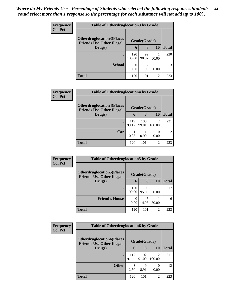| <b>Frequency</b> | <b>Table of Otherdruglocation 3 by Grade</b>                         |               |                        |       |              |
|------------------|----------------------------------------------------------------------|---------------|------------------------|-------|--------------|
| <b>Col Pct</b>   | <b>Otherdruglocation3(Places</b><br><b>Friends Use Other Illegal</b> |               | Grade(Grade)           |       |              |
|                  | Drugs)                                                               | 6             | 8                      | 10    | <b>Total</b> |
|                  | $\bullet$                                                            | 120<br>100.00 | 99<br>98.02            | 50.00 | 220          |
|                  | <b>School</b>                                                        | 0<br>0.00     | $\mathfrak{D}$<br>1.98 | 50.00 |              |
|                  | <b>Total</b>                                                         | 120           | 101                    | 2     | 223          |

| <b>Frequency</b><br><b>Col Pct</b> | <b>Table of Otherdruglocation4 by Grade</b>                          |              |              |             |               |  |  |
|------------------------------------|----------------------------------------------------------------------|--------------|--------------|-------------|---------------|--|--|
|                                    | <b>Otherdruglocation4(Places</b><br><b>Friends Use Other Illegal</b> |              | Grade(Grade) |             |               |  |  |
|                                    | Drugs)                                                               | $\mathbf b$  | 8            | 10          | <b>Total</b>  |  |  |
|                                    |                                                                      | 119<br>99.17 | 100<br>99.01 | 2<br>100.00 | 221           |  |  |
|                                    | Car                                                                  | 0.83         | 0.99         | 0.00        | $\mathcal{L}$ |  |  |
|                                    | <b>Total</b>                                                         | 120          | 101          | 2           | 223           |  |  |

| Frequency      | <b>Table of Otherdruglocation5 by Grade</b>                          |               |              |       |              |  |
|----------------|----------------------------------------------------------------------|---------------|--------------|-------|--------------|--|
| <b>Col Pct</b> | <b>Otherdruglocation5(Places</b><br><b>Friends Use Other Illegal</b> |               | Grade(Grade) |       |              |  |
|                | Drugs)                                                               | 6             | 8            | 10    | <b>Total</b> |  |
|                |                                                                      | 120<br>100.00 | 96<br>95.05  | 50.00 | 217          |  |
|                | <b>Friend's House</b>                                                | 0.00          | 5<br>4.95    | 50.00 | 6            |  |
|                | Total                                                                | 120           | 101          | 2     | 223          |  |

| Frequency      | <b>Table of Otherdruglocation6 by Grade</b>                          |              |              |                                       |              |
|----------------|----------------------------------------------------------------------|--------------|--------------|---------------------------------------|--------------|
| <b>Col Pct</b> | <b>Otherdruglocation6(Places</b><br><b>Friends Use Other Illegal</b> |              | Grade(Grade) |                                       |              |
|                | Drugs)                                                               | 6            | 8            | 10                                    | <b>Total</b> |
|                |                                                                      | 117<br>97.50 | 92<br>91.09  | $\mathcal{D}_{\mathcal{L}}$<br>100.00 | 211          |
|                | <b>Other</b>                                                         | 3<br>2.50    | Q<br>8.91    | 0.00                                  | 12           |
|                | <b>Total</b>                                                         | 120          | 101          | $\mathfrak{D}$                        | 223          |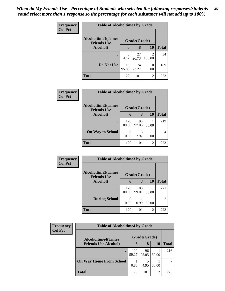| Frequency      | <b>Table of Alcoholtime1 by Grade</b>           |              |              |                          |              |
|----------------|-------------------------------------------------|--------------|--------------|--------------------------|--------------|
| <b>Col Pct</b> | <b>Alcoholtime1(Times</b><br><b>Friends Use</b> |              | Grade(Grade) |                          |              |
|                | Alcohol)                                        | 6            | 8            | <b>10</b>                | <b>Total</b> |
|                | ٠                                               | 5<br>4.17    | 27<br>26.73  | $\mathfrak{D}$<br>100.00 | 34           |
|                | Do Not Use                                      | 115<br>95.83 | 74<br>73.27  | 0<br>0.00                | 189          |
|                | <b>Total</b>                                    | 120          | 101          | $\overline{2}$           | 223          |

| <b>Frequency</b> | <b>Table of Alcoholtime2 by Grade</b>           |               |             |           |              |  |
|------------------|-------------------------------------------------|---------------|-------------|-----------|--------------|--|
| <b>Col Pct</b>   | <b>Alcoholtime2(Times</b><br><b>Friends Use</b> | Grade(Grade)  |             |           |              |  |
|                  | Alcohol)                                        | 6             | 8           | <b>10</b> | <b>Total</b> |  |
|                  | ٠                                               | 120<br>100.00 | 98<br>97.03 | 50.00     | 219          |  |
|                  | <b>On Way to School</b>                         | 0.00          | 3<br>2.97   | 50.00     | 4            |  |
|                  | <b>Total</b>                                    | 120           | 101         | 2         | 223          |  |

| <b>Frequency</b> | <b>Table of Alcoholtime3 by Grade</b>           |               |              |                |                |
|------------------|-------------------------------------------------|---------------|--------------|----------------|----------------|
| <b>Col Pct</b>   | <b>Alcoholtime3(Times</b><br><b>Friends Use</b> |               | Grade(Grade) |                |                |
|                  | Alcohol)                                        | 6             | 8            | 10             | <b>Total</b>   |
|                  | $\bullet$                                       | 120<br>100.00 | 100<br>99.01 | 50.00          | 221            |
|                  | <b>During School</b>                            | 0<br>0.00     | 0.99         | 50.00          | $\overline{2}$ |
|                  | <b>Total</b>                                    | 120           | 101          | $\overline{2}$ | 223            |

| <b>Frequency</b> | <b>Table of Alcoholtime4 by Grade</b>                    |              |              |           |       |  |
|------------------|----------------------------------------------------------|--------------|--------------|-----------|-------|--|
| <b>Col Pct</b>   | <b>Alcoholtime4(Times</b><br><b>Friends Use Alcohol)</b> |              | Grade(Grade) |           |       |  |
|                  |                                                          | 6            | 8            | <b>10</b> | Total |  |
|                  |                                                          | 119<br>99.17 | 96<br>95.05  | 50.00     | 216   |  |
|                  | <b>On Way Home From School</b>                           | 0.83         | 4.95         | 50.00     |       |  |
|                  | <b>Total</b>                                             | 120          | 101          | 2         | 223   |  |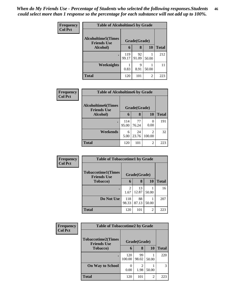| <b>Frequency</b><br><b>Col Pct</b> | <b>Table of Alcoholtime5 by Grade</b>           |              |              |           |              |  |
|------------------------------------|-------------------------------------------------|--------------|--------------|-----------|--------------|--|
|                                    | <b>Alcoholtime5(Times</b><br><b>Friends Use</b> |              | Grade(Grade) |           |              |  |
|                                    | Alcohol)                                        | 6            | 8            | <b>10</b> | <b>Total</b> |  |
|                                    |                                                 | 119<br>99.17 | 92<br>91.09  | 50.00     | 212          |  |
|                                    | <b>Weeknights</b>                               | 0.83         | 9<br>8.91    | 50.00     | 11           |  |
|                                    | <b>Total</b>                                    | 120          | 101          | 2         | 223          |  |

| <b>Frequency</b> |                                                  | <b>Table of Alcoholtime6 by Grade</b> |             |                          |              |  |  |
|------------------|--------------------------------------------------|---------------------------------------|-------------|--------------------------|--------------|--|--|
| <b>Col Pct</b>   | <b>Alcoholtime6</b> (Times<br><b>Friends Use</b> | Grade(Grade)                          |             |                          |              |  |  |
|                  | Alcohol)                                         | 6                                     | 8           | 10                       | <b>Total</b> |  |  |
|                  |                                                  | 114<br>95.00                          | 77<br>76.24 | 0<br>0.00                | 191          |  |  |
|                  | Weekends                                         | 6<br>5.00                             | 24<br>23.76 | $\mathfrak{D}$<br>100.00 | 32           |  |  |
|                  | <b>Total</b>                                     | 120                                   | 101         | 2                        | 223          |  |  |

| <b>Frequency</b> |                                                 | <b>Table of Tobaccotime1 by Grade</b> |              |                |              |  |  |
|------------------|-------------------------------------------------|---------------------------------------|--------------|----------------|--------------|--|--|
| <b>Col Pct</b>   | <b>Tobaccotime1(Times</b><br><b>Friends Use</b> |                                       | Grade(Grade) |                |              |  |  |
|                  | <b>Tobacco</b> )                                | 6                                     | 8            | <b>10</b>      | <b>Total</b> |  |  |
|                  |                                                 | 2<br>1.67                             | 13<br>12.87  | 50.00          | 16           |  |  |
|                  | Do Not Use                                      | 118<br>98.33                          | 88<br>87.13  | 50.00          | 207          |  |  |
|                  | <b>Total</b>                                    | 120                                   | 101          | $\overline{2}$ | 223          |  |  |

| Frequency      | <b>Table of Tobaccotime2 by Grade</b>           |               |              |                |              |
|----------------|-------------------------------------------------|---------------|--------------|----------------|--------------|
| <b>Col Pct</b> | <b>Tobaccotime2(Times</b><br><b>Friends Use</b> |               | Grade(Grade) |                |              |
|                | <b>Tobacco</b> )                                | 6             | 8            | <b>10</b>      | <b>Total</b> |
|                | ٠                                               | 120<br>100.00 | 99<br>98.02  | 50.00          | 220          |
|                | <b>On Way to School</b>                         | 0.00          | 2<br>1.98    | 50.00          | 3            |
|                | <b>Total</b>                                    | 120           | 101          | $\overline{2}$ | 223          |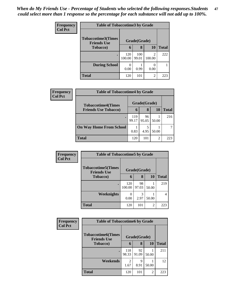| <b>Frequency</b> | <b>Table of Tobaccotime3 by Grade</b>           |               |              |                          |              |  |
|------------------|-------------------------------------------------|---------------|--------------|--------------------------|--------------|--|
| <b>Col Pct</b>   | <b>Tobaccotime3(Times</b><br><b>Friends Use</b> |               | Grade(Grade) |                          |              |  |
|                  | <b>Tobacco</b> )                                | 6             | 8            | <b>10</b>                | <b>Total</b> |  |
|                  | $\bullet$                                       | 120<br>100.00 | 100<br>99.01 | $\mathfrak{D}$<br>100.00 | 222          |  |
|                  | <b>During School</b>                            | 0<br>0.00     | 0.99         | 0.00                     |              |  |
|                  | <b>Total</b>                                    | 120           | 101          | $\overline{2}$           | 223          |  |

| Frequency<br><b>Col Pct</b> | <b>Table of Tobaccotime4 by Grade</b> |              |              |           |       |  |
|-----------------------------|---------------------------------------|--------------|--------------|-----------|-------|--|
|                             | <b>Tobaccotime4(Times</b>             |              | Grade(Grade) |           |       |  |
|                             | <b>Friends Use Tobacco)</b>           | 6            | 8            | <b>10</b> | Total |  |
|                             |                                       | 119<br>99.17 | 96<br>95.05  | 50.00     | 216   |  |
|                             | <b>On Way Home From School</b>        | 0.83         | 5<br>4.95    | 50.00     |       |  |
|                             | <b>Total</b>                          | 120          | 101          | 2         | 223   |  |

| <b>Frequency</b> | <b>Table of Tobaccotime5 by Grade</b>           |               |              |                |              |
|------------------|-------------------------------------------------|---------------|--------------|----------------|--------------|
| <b>Col Pct</b>   | <b>Tobaccotime5(Times</b><br><b>Friends Use</b> |               | Grade(Grade) |                |              |
|                  | <b>Tobacco</b> )                                | 6             | 8            | 10             | <b>Total</b> |
|                  | ٠                                               | 120<br>100.00 | 98<br>97.03  | 50.00          | 219          |
|                  | Weeknights                                      | 0.00          | 3<br>2.97    | 50.00          | 4            |
|                  | <b>Total</b>                                    | 120           | 101          | $\overline{c}$ | 223          |

| Frequency      | <b>Table of Tobaccotime6 by Grade</b>           |              |              |       |              |  |
|----------------|-------------------------------------------------|--------------|--------------|-------|--------------|--|
| <b>Col Pct</b> | <b>Tobaccotime6(Times</b><br><b>Friends Use</b> |              | Grade(Grade) |       |              |  |
|                | <b>Tobacco</b> )                                | 6            | 8            | 10    | <b>Total</b> |  |
|                |                                                 | 118<br>98.33 | 92<br>91.09  | 50.00 | 211          |  |
|                | Weekends                                        | 2<br>1.67    | 9<br>8.91    | 50.00 | 12           |  |
|                | <b>Total</b>                                    | 120          | 101          | 2     | 223          |  |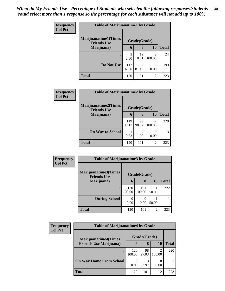| <b>Frequency</b> | <b>Table of Marijuanatime1 by Grade</b>           |                       |              |                          |              |
|------------------|---------------------------------------------------|-----------------------|--------------|--------------------------|--------------|
| <b>Col Pct</b>   | <b>Marijuanatime1(Times</b><br><b>Friends Use</b> |                       | Grade(Grade) |                          |              |
|                  | Marijuana)                                        | 6                     | 8            | 10                       | <b>Total</b> |
|                  |                                                   | $\mathcal{R}$<br>2.50 | 19<br>18.81  | $\mathfrak{D}$<br>100.00 | 24           |
|                  | Do Not Use                                        | 117<br>97.50          | 82<br>81.19  | $\Omega$<br>0.00         | 199          |
|                  | <b>Total</b>                                      | 120                   | 101          | $\overline{2}$           | 223          |

| Frequency      | <b>Table of Marijuanatime2 by Grade</b>            |              |                        |                                       |              |  |
|----------------|----------------------------------------------------|--------------|------------------------|---------------------------------------|--------------|--|
| <b>Col Pct</b> | <b>Marijuanatime2</b> (Times<br><b>Friends Use</b> |              | Grade(Grade)           |                                       |              |  |
|                | Marijuana)                                         | 6            | 8                      | 10                                    | <b>Total</b> |  |
|                |                                                    | 119<br>99.17 | 99<br>98.02            | $\mathcal{D}_{\mathcal{A}}$<br>100.00 | 220          |  |
|                | <b>On Way to School</b>                            | 0.83         | $\mathfrak{D}$<br>1.98 | 0.00                                  | 3            |  |
|                | <b>Total</b>                                       | 120          | 101                    | $\overline{2}$                        | 223          |  |

| <b>Frequency</b> |                                                            | <b>Table of Marijuanatime3 by Grade</b> |               |                |              |  |
|------------------|------------------------------------------------------------|-----------------------------------------|---------------|----------------|--------------|--|
| <b>Col Pct</b>   | Marijuanatime3(Times<br>Grade(Grade)<br><b>Friends Use</b> |                                         |               |                |              |  |
|                  | Marijuana)                                                 | 6                                       | 8             | <b>10</b>      | <b>Total</b> |  |
|                  |                                                            | 120<br>100.00                           | 101<br>100.00 | 50.00          | 222          |  |
|                  | <b>During School</b>                                       | 0.00                                    | 0.00          | 50.00          |              |  |
|                  | Total                                                      | 120                                     | 101           | $\mathfrak{D}$ | 223          |  |

| Frequency      | <b>Table of Marijuanatime4 by Grade</b> |               |              |        |              |  |
|----------------|-----------------------------------------|---------------|--------------|--------|--------------|--|
| <b>Col Pct</b> | <b>Marijuanatime4(Times</b>             |               | Grade(Grade) |        |              |  |
|                | <b>Friends Use Marijuana</b> )          | $\mathbf b$   | 8            | 10     | <b>Total</b> |  |
|                |                                         | 120<br>100.00 | 98<br>97.03  | 100.00 | 220          |  |
|                | <b>On Way Home From School</b>          | 0.00          | 2.97         | 0.00   |              |  |
|                | <b>Total</b>                            | 120           | 101          | 2      | 223          |  |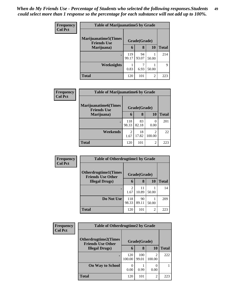| Frequency      | <b>Table of Marijuanatime5 by Grade</b>            |              |              |                |              |
|----------------|----------------------------------------------------|--------------|--------------|----------------|--------------|
| <b>Col Pct</b> | <b>Marijuanatime5</b> (Times<br><b>Friends Use</b> |              | Grade(Grade) |                |              |
|                | Marijuana)                                         | 6            | 8            | <b>10</b>      | <b>Total</b> |
|                | $\bullet$                                          | 119<br>99.17 | 94<br>93.07  | 50.00          | 214          |
|                | Weeknights                                         | 0.83         | 6.93         | 50.00          | $\mathbf Q$  |
|                | <b>Total</b>                                       | 120          | 101          | $\overline{c}$ | 223          |

| Frequency      | <b>Table of Marijuanatime6 by Grade</b>           |                        |              |                |              |
|----------------|---------------------------------------------------|------------------------|--------------|----------------|--------------|
| <b>Col Pct</b> | <b>Marijuanatime6(Times</b><br><b>Friends Use</b> |                        | Grade(Grade) |                |              |
|                | Marijuana)                                        | 6                      | 8            | 10             | <b>Total</b> |
|                | $\bullet$                                         | 118<br>98.33           | 83<br>82.18  | 0.00           | 201          |
|                | Weekends                                          | $\mathfrak{D}$<br>1.67 | 18<br>17.82  | ↑<br>100.00    | 22           |
|                | <b>Total</b>                                      | 120                    | 101          | $\mathfrak{D}$ | 223          |

| Frequency<br><b>Col Pct</b> | <b>Table of Otherdrugtime1 by Grade</b>                  |                        |              |                |              |
|-----------------------------|----------------------------------------------------------|------------------------|--------------|----------------|--------------|
|                             | <b>Otherdrugtime1</b> (Times<br><b>Friends Use Other</b> |                        | Grade(Grade) |                |              |
|                             | <b>Illegal Drugs)</b>                                    | 6                      | 8            | <b>10</b>      | <b>Total</b> |
|                             | ٠                                                        | $\overline{c}$<br>1.67 | 11<br>10.89  | 50.00          | 14           |
|                             | Do Not Use                                               | 118<br>98.33           | 90<br>89.11  | 50.00          | 209          |
|                             | <b>Total</b>                                             | 120                    | 101          | $\overline{c}$ | 223          |

| Frequency      | <b>Table of Otherdrugtime2 by Grade</b>                 |               |              |                          |              |  |  |
|----------------|---------------------------------------------------------|---------------|--------------|--------------------------|--------------|--|--|
| <b>Col Pct</b> | <b>Otherdrugtime2(Times</b><br><b>Friends Use Other</b> |               | Grade(Grade) |                          |              |  |  |
|                | <b>Illegal Drugs</b> )                                  | 6             | 8            | 10                       | <b>Total</b> |  |  |
|                |                                                         | 120<br>100.00 | 100<br>99.01 | $\mathfrak{D}$<br>100.00 | 222          |  |  |
|                | <b>On Way to School</b>                                 | 0.00          | 0.99         | 0.00                     |              |  |  |
|                | <b>Total</b>                                            | 120           | 101          | $\overline{2}$           | 223          |  |  |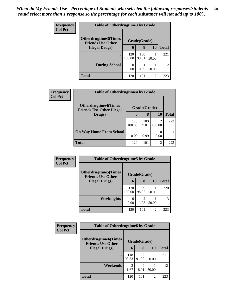| <b>Frequency</b> | <b>Table of Otherdrugtime3 by Grade</b>                          |               |              |                |                |  |  |
|------------------|------------------------------------------------------------------|---------------|--------------|----------------|----------------|--|--|
| <b>Col Pct</b>   | Otherdrugtime3(Times<br>Grade(Grade)<br><b>Friends Use Other</b> |               |              |                |                |  |  |
|                  | <b>Illegal Drugs</b> )                                           | 6             | 8            | <b>10</b>      | <b>Total</b>   |  |  |
|                  | $\bullet$                                                        | 120<br>100.00 | 100<br>99.01 | 50.00          | 221            |  |  |
|                  | <b>During School</b>                                             | 0<br>0.00     | 0.99         | 50.00          | $\mathfrak{D}$ |  |  |
|                  | <b>Total</b>                                                     | 120           | 101          | $\overline{2}$ | 223            |  |  |

| <b>Frequency</b> | <b>Table of Otherdrugtime4 by Grade</b>                         |                  |              |                          |              |  |
|------------------|-----------------------------------------------------------------|------------------|--------------|--------------------------|--------------|--|
| <b>Col Pct</b>   | <b>Otherdrugtime4(Times</b><br><b>Friends Use Other Illegal</b> |                  | Grade(Grade) |                          |              |  |
|                  | Drugs)                                                          | $\mathbf b$      | 8            | 10                       | <b>Total</b> |  |
|                  | ٠                                                               | 120<br>100.00    | 100<br>99.01 | $\mathfrak{D}$<br>100.00 | 222          |  |
|                  | <b>On Way Home From School</b>                                  | $\theta$<br>0.00 | 0.99         | 0.00                     |              |  |
|                  | <b>Total</b>                                                    | 120              | 101          | $\overline{2}$           | 223          |  |

| <b>Frequency</b> | <b>Table of Otherdrugtime5 by Grade</b>                  |               |                        |                |              |  |  |
|------------------|----------------------------------------------------------|---------------|------------------------|----------------|--------------|--|--|
| <b>Col Pct</b>   | <b>Otherdrugtime5</b> (Times<br><b>Friends Use Other</b> |               | Grade(Grade)           |                |              |  |  |
|                  | <b>Illegal Drugs</b> )                                   | 6             | 8                      | 10             | <b>Total</b> |  |  |
|                  |                                                          | 120<br>100.00 | 99<br>98.02            | 50.00          | 220          |  |  |
|                  | Weeknights                                               | 0.00          | $\overline{2}$<br>1.98 | 50.00          | 3            |  |  |
|                  | <b>Total</b>                                             | 120           | 101                    | $\overline{c}$ | 223          |  |  |

| <b>Frequency</b> | <b>Table of Otherdrugtime6 by Grade</b>                  |                        |              |                |              |  |
|------------------|----------------------------------------------------------|------------------------|--------------|----------------|--------------|--|
| <b>Col Pct</b>   | <b>Otherdrugtime6</b> (Times<br><b>Friends Use Other</b> |                        | Grade(Grade) |                |              |  |
|                  | <b>Illegal Drugs</b> )                                   | 6                      | 8            | <b>10</b>      | <b>Total</b> |  |
|                  | $\bullet$                                                | 118<br>98.33           | 92<br>91.09  | 50.00          | 211          |  |
|                  | Weekends                                                 | $\mathfrak{D}$<br>1.67 | 9<br>8.91    | 50.00          | 12           |  |
|                  | <b>Total</b>                                             | 120                    | 101          | $\overline{c}$ | 223          |  |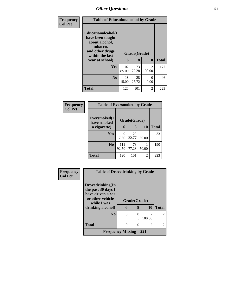| Frequency      | <b>Table of Educationalcohol by Grade</b>                                                                          |              |             |                          |              |  |
|----------------|--------------------------------------------------------------------------------------------------------------------|--------------|-------------|--------------------------|--------------|--|
| <b>Col Pct</b> | <b>Educationalcohol</b> (I<br>have been taught<br>about alcohol,<br>tobacco,<br>and other drugs<br>within the last | Grade(Grade) |             |                          |              |  |
|                | year at school)                                                                                                    | 6            | 8           | 10                       | <b>Total</b> |  |
|                | Yes                                                                                                                | 102<br>85.00 | 73<br>72.28 | $\mathfrak{D}$<br>100.00 | 177          |  |
|                | N <sub>0</sub>                                                                                                     | 18<br>15.00  | 28<br>27.72 | 0<br>0.00                | 46           |  |
|                | <b>Total</b>                                                                                                       | 120          | 101         | 2                        | 223          |  |

| Frequency<br><b>Col Pct</b> | <b>Table of Eversmoked by Grade</b> |              |              |       |              |  |  |  |
|-----------------------------|-------------------------------------|--------------|--------------|-------|--------------|--|--|--|
|                             | Eversmoked(I<br>have smoked         |              | Grade(Grade) |       |              |  |  |  |
|                             | a cigarette)                        | 6            | 8            | 10    | <b>Total</b> |  |  |  |
|                             | Yes                                 | 9<br>7.50    | 23<br>22.77  | 50.00 | 33           |  |  |  |
|                             | N <sub>0</sub>                      | 111<br>92.50 | 78<br>77.23  | 50.00 | 190          |  |  |  |
|                             | Total                               | 120          | 101          | 2     | 223          |  |  |  |

| Frequency      | <b>Table of Drovedrinking by Grade</b> |          |              |                |                |
|----------------|----------------------------------------|----------|--------------|----------------|----------------|
| <b>Col Pct</b> |                                        |          |              |                |                |
|                | Drovedrinking(In                       |          |              |                |                |
|                | the past 30 days I                     |          |              |                |                |
|                | have driven a car<br>or other vehicle  |          | Grade(Grade) |                |                |
|                | while I was                            |          |              |                |                |
|                | drinking alcohol)                      | 6        | 8            | 10             | <b>Total</b>   |
|                | N <sub>o</sub>                         | $\theta$ | $\Omega$     | $\mathfrak{D}$ | $\overline{c}$ |
|                |                                        |          |              | 100.00         |                |
|                | <b>Total</b>                           | 0        | 0            | 2              | $\overline{2}$ |
|                | Frequency Missing $= 221$              |          |              |                |                |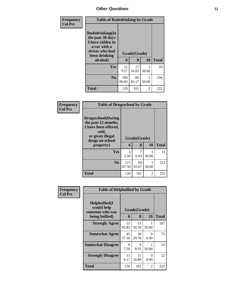| <b>Frequency</b> | <b>Table of Rodedrinking by Grade</b>                                                                      |              |              |       |              |
|------------------|------------------------------------------------------------------------------------------------------------|--------------|--------------|-------|--------------|
| <b>Col Pct</b>   | Rodedrinking(In<br>the past 30 days<br>I have ridden in<br>a car with a<br>driver who had<br>been drinking |              | Grade(Grade) |       |              |
|                  | alcohol)                                                                                                   | 6            | 8            | 10    | <b>Total</b> |
|                  | Yes                                                                                                        | 11<br>9.17   | 17<br>16.83  | 50.00 | 29           |
|                  | $\bf No$                                                                                                   | 109<br>90.83 | 84<br>83.17  | 50.00 | 194          |
|                  | <b>Total</b>                                                                                               | 120          | 101          | 2     | 223          |

| Frequency      | <b>Table of Drugsschool by Grade</b>                                                                                                   |              |                   |                |              |
|----------------|----------------------------------------------------------------------------------------------------------------------------------------|--------------|-------------------|----------------|--------------|
| <b>Col Pct</b> | <b>Drugsschool</b> (During<br>the past 12 months,<br>I have been offered,<br>sold,<br>or given illegal<br>drugs on school<br>property) | 6            | Grade(Grade)<br>8 | <b>10</b>      | <b>Total</b> |
|                | <b>Yes</b>                                                                                                                             | 3<br>2.50    | 7<br>6.93         | 50.00          | 11           |
|                | N <sub>0</sub>                                                                                                                         | 117<br>97.50 | 94<br>93.07       | 50.00          | 212          |
|                | <b>Total</b>                                                                                                                           | 120          | 101               | $\overline{2}$ | 223          |

| Frequency      | <b>Table of Helpbullied by Grade</b>                              |             |                   |           |              |  |  |
|----------------|-------------------------------------------------------------------|-------------|-------------------|-----------|--------------|--|--|
| <b>Col Pct</b> | Helpbullied(I)<br>would help<br>someone who was<br>being bullied) | 6           | Grade(Grade)<br>8 | 10        | <b>Total</b> |  |  |
|                | <b>Strongly Agree</b>                                             | 55<br>45.83 | 51<br>50.50       | 50.00     | 107          |  |  |
|                | <b>Somewhat Agree</b>                                             | 45<br>37.50 | 30<br>29.70       | 0<br>0.00 | 75           |  |  |
|                | <b>Somewhat Disagree</b>                                          | 9<br>7.50   | 9<br>8.91         | 50.00     | 19           |  |  |
|                | <b>Strongly Disagree</b>                                          | 11<br>9.17  | 11<br>10.89       | 0<br>0.00 | 22           |  |  |
|                | Total                                                             | 120         | 101               | 2         | 223          |  |  |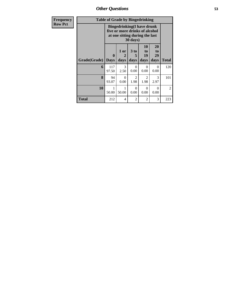*Other Questions* **53**

| Frequency      | <b>Table of Grade by Bingedrinking</b> |                                                                                                                            |                   |                                     |                               |                        |                |  |  |
|----------------|----------------------------------------|----------------------------------------------------------------------------------------------------------------------------|-------------------|-------------------------------------|-------------------------------|------------------------|----------------|--|--|
| <b>Row Pct</b> |                                        | <b>Bingedrinking(I have drunk</b><br>five or more drinks of alcohol<br>at one sitting during the last<br>$30 \text{ days}$ |                   |                                     |                               |                        |                |  |  |
|                | Grade(Grade)                           | $\mathbf{0}$<br><b>Days</b>                                                                                                | 1 or<br>2<br>days | 3 to<br>5<br>days                   | <b>10</b><br>to<br>19<br>days | 20<br>to<br>29<br>days | Total          |  |  |
|                | 6                                      | 117<br>97.50                                                                                                               | 3<br>2.50         | 0<br>0.00                           | $\Omega$<br>0.00              | $\Omega$<br>0.00       | 120            |  |  |
|                | 8                                      | 94<br>93.07                                                                                                                | $\Omega$<br>0.00  | $\mathcal{D}_{\mathcal{L}}$<br>1.98 | 2<br>1.98                     | 3<br>2.97              | 101            |  |  |
|                | 10                                     | 50.00                                                                                                                      | 1<br>50.00        | 0<br>0.00                           | $\Omega$<br>0.00              | 0<br>0.00              | $\overline{2}$ |  |  |
|                | Total                                  | 212                                                                                                                        | 4                 | $\overline{2}$                      | $\overline{2}$                | 3                      | 223            |  |  |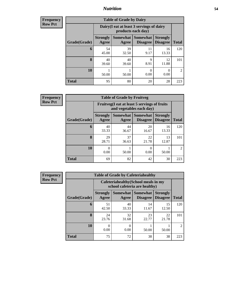### *Nutrition* **54**

**Frequency Row Pct**

| <b>Table of Grade by Dairy</b> |                          |                                                                 |                                    |                                    |                |  |  |
|--------------------------------|--------------------------|-----------------------------------------------------------------|------------------------------------|------------------------------------|----------------|--|--|
|                                |                          | Dairy (I eat at least 3 servings of dairy<br>products each day) |                                    |                                    |                |  |  |
| Grade(Grade)                   | <b>Strongly</b><br>Agree | Somewhat<br>Agree                                               | <b>Somewhat</b><br><b>Disagree</b> | <b>Strongly</b><br><b>Disagree</b> | <b>Total</b>   |  |  |
| 6                              | 54<br>45.00              | 39<br>32.50                                                     | 11<br>9.17                         | 16<br>13.33                        | 120            |  |  |
| 8                              | 40<br>39.60              | 40<br>39.60                                                     | 9<br>8.91                          | 12<br>11.88                        | 101            |  |  |
| 10                             | 50.00                    | 50.00                                                           | 0<br>0.00                          | 0<br>0.00                          | $\mathfrak{D}$ |  |  |
| <b>Total</b>                   | 95                       | 80                                                              | 20                                 | 28                                 | 223            |  |  |

**Frequency Row Pct**

| <b>Table of Grade by Fruitveg</b> |                          |                                                                          |                                        |                                    |                |  |  |
|-----------------------------------|--------------------------|--------------------------------------------------------------------------|----------------------------------------|------------------------------------|----------------|--|--|
|                                   |                          | Fruitveg(I eat at least 5 servings of fruits<br>and vegetables each day) |                                        |                                    |                |  |  |
| Grade(Grade)                      | <b>Strongly</b><br>Agree | Agree                                                                    | <b>Somewhat   Somewhat</b><br>Disagree | <b>Strongly</b><br><b>Disagree</b> | <b>Total</b>   |  |  |
| 6                                 | 40<br>33.33              | 44<br>36.67                                                              | 20<br>16.67                            | 16<br>13.33                        | 120            |  |  |
| 8                                 | 29<br>28.71              | 37<br>36.63                                                              | 22<br>21.78                            | 13<br>12.87                        | 101            |  |  |
| 10                                | 0.00                     | 50.00                                                                    | 0<br>0.00                              | 50.00                              | $\mathfrak{D}$ |  |  |
| <b>Total</b>                      | 69                       | 82                                                                       | 42                                     | 30                                 | 223            |  |  |

| <b>Frequency</b> | <b>Table of Grade by Cafeteriahealthy</b> |                          |                                                                       |                                    |                                    |                |  |  |  |
|------------------|-------------------------------------------|--------------------------|-----------------------------------------------------------------------|------------------------------------|------------------------------------|----------------|--|--|--|
| <b>Row Pct</b>   |                                           |                          | Cafeteriahealthy (School meals in my<br>school cafeteria are healthy) |                                    |                                    |                |  |  |  |
|                  | Grade(Grade)                              | <b>Strongly</b><br>Agree | <b>Somewhat</b><br>Agree                                              | <b>Somewhat</b><br><b>Disagree</b> | <b>Strongly</b><br><b>Disagree</b> | <b>Total</b>   |  |  |  |
|                  | 6                                         | 51<br>42.50              | 40<br>33.33                                                           | 14<br>11.67                        | 15<br>12.50                        | 120            |  |  |  |
|                  | 8                                         | 24<br>23.76              | 32<br>31.68                                                           | 23<br>22.77                        | 22<br>21.78                        | 101            |  |  |  |
|                  | 10                                        | 0.00                     | 0<br>0.00                                                             | 50.00                              | 50.00                              | $\overline{2}$ |  |  |  |
|                  | <b>Total</b>                              | 75                       | 72                                                                    | 38                                 | 38                                 | 223            |  |  |  |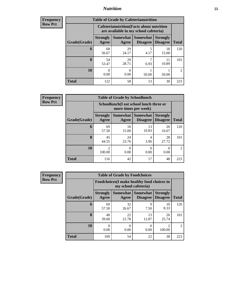### *Nutrition* **55**

| Frequency        |
|------------------|
| <b>I Row Pct</b> |

| <b>Table of Grade by Cafeterianutrition</b> |                          |                                                                                           |                             |                                    |                |  |  |
|---------------------------------------------|--------------------------|-------------------------------------------------------------------------------------------|-----------------------------|------------------------------------|----------------|--|--|
|                                             |                          | <b>Cafeterianutrition</b> (Facts about nutrition<br>are available in my school cafeteria) |                             |                                    |                |  |  |
| Grade(Grade)                                | <b>Strongly</b><br>Agree | Somewhat<br>Agree                                                                         | Somewhat<br><b>Disagree</b> | <b>Strongly</b><br><b>Disagree</b> | <b>Total</b>   |  |  |
| 6                                           | 68<br>56.67              | 29<br>24.17                                                                               | 5<br>4.17                   | 18<br>15.00                        | 120            |  |  |
| 8                                           | 54<br>53.47              | 29<br>28.71                                                                               | 6.93                        | 11<br>10.89                        | 101            |  |  |
| 10                                          | 0<br>0.00                | 0.00                                                                                      | 50.00                       | 50.00                              | $\mathfrak{D}$ |  |  |
| <b>Total</b>                                | 122                      | 58                                                                                        | 13                          | 30                                 | 223            |  |  |

**Frequency Row Pct**

| <b>Table of Grade by Schoollunch</b> |                                       |                                                                 |                      |                                    |                |  |  |  |
|--------------------------------------|---------------------------------------|-----------------------------------------------------------------|----------------------|------------------------------------|----------------|--|--|--|
|                                      |                                       | Schoollunch(I eat school lunch three or<br>more times per week) |                      |                                    |                |  |  |  |
| Grade(Grade)                         | <b>Strongly</b><br>Agree              | Somewhat<br>Agree                                               | Somewhat<br>Disagree | <b>Strongly</b><br><b>Disagree</b> | <b>Total</b>   |  |  |  |
| 6                                    | 69<br>57.50                           | 18<br>15.00                                                     | 13<br>10.83          | 20<br>16.67                        | 120            |  |  |  |
| 8                                    | 45<br>44.55                           | 24<br>23.76                                                     | 4<br>3.96            | 28<br>27.72                        | 101            |  |  |  |
| 10                                   | $\mathcal{D}_{\mathcal{A}}$<br>100.00 | 0.00                                                            | 0.00                 | 0.00                               | $\mathfrak{D}$ |  |  |  |
| <b>Total</b>                         | 116                                   | 42                                                              | 17                   | 48                                 | 223            |  |  |  |

| <b>Frequency</b> |
|------------------|
| <b>Row Pct</b>   |

| <b>Table of Grade by Foodchoices</b> |                                                                     |                          |                                    |                                    |                |  |  |
|--------------------------------------|---------------------------------------------------------------------|--------------------------|------------------------------------|------------------------------------|----------------|--|--|
|                                      | Foodchoices (I make healthy food choices in<br>my school cafeteria) |                          |                                    |                                    |                |  |  |
| Grade(Grade)                         | <b>Strongly</b><br>Agree                                            | <b>Somewhat</b><br>Agree | <b>Somewhat</b><br><b>Disagree</b> | <b>Strongly</b><br><b>Disagree</b> | <b>Total</b>   |  |  |
| 6                                    | 69<br>57.50                                                         | 32<br>26.67              | 9<br>7.50                          | 10<br>8.33                         | 120            |  |  |
| 8                                    | 40<br>39.60                                                         | 22<br>21.78              | 13<br>12.87                        | 26<br>25.74                        | 101            |  |  |
| 10                                   | 0.00                                                                | 0<br>0.00                | 0<br>0.00                          | $\mathcal{D}$<br>100.00            | $\mathfrak{D}$ |  |  |
| <b>Total</b>                         | 109                                                                 | 54                       | 22                                 | 38                                 | 223            |  |  |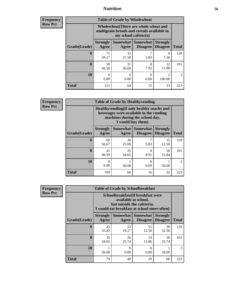### *Nutrition* **56**

| <b>Frequency</b> |  |
|------------------|--|
| Row Pct          |  |

| <b>Table of Grade by Wholewheat</b> |                                                                                                             |             |                                        |                                    |               |  |  |
|-------------------------------------|-------------------------------------------------------------------------------------------------------------|-------------|----------------------------------------|------------------------------------|---------------|--|--|
|                                     | Wholewheat (There are whole wheat and<br>multigrain breads and cereals available in<br>my school cafeteria) |             |                                        |                                    |               |  |  |
| Grade(Grade)                        | <b>Strongly</b><br>Agree                                                                                    | Agree       | Somewhat   Somewhat<br><b>Disagree</b> | <b>Strongly</b><br><b>Disagree</b> | <b>Total</b>  |  |  |
| 6                                   | 71<br>59.17                                                                                                 | 33<br>27.50 | 7<br>5.83                              | 9<br>7.50                          | 120           |  |  |
| 8                                   | 50<br>49.50                                                                                                 | 31<br>30.69 | 8<br>7.92                              | 12<br>11.88                        | 101           |  |  |
| <b>10</b>                           | 0<br>0.00                                                                                                   | 0<br>0.00   | $\Omega$<br>0.00                       | 2<br>100.00                        | $\mathcal{L}$ |  |  |
| Total                               | 121                                                                                                         | 64          | 15                                     | 23                                 | 223           |  |  |

**Frequency Row Pct**

| V | <b>Table of Grade by Healthyvending</b> |                          |                                                                                                                                               |                             |                                    |                |  |  |
|---|-----------------------------------------|--------------------------|-----------------------------------------------------------------------------------------------------------------------------------------------|-----------------------------|------------------------------------|----------------|--|--|
|   |                                         |                          | Healthyvending (If only healthy snacks and<br>beverages were available in the vending<br>machines during the school day,<br>I would buy them) |                             |                                    |                |  |  |
|   | Grade(Grade)                            | <b>Strongly</b><br>Agree | Somewhat<br>Agree                                                                                                                             | Somewhat<br><b>Disagree</b> | <b>Strongly</b><br><b>Disagree</b> | <b>Total</b>   |  |  |
|   | 6                                       | 68<br>56.67              | 30<br>25.00                                                                                                                                   | 7<br>5.83                   | 15<br>12.50                        | 120            |  |  |
|   | 8                                       | 41<br>40.59              | 35<br>34.65                                                                                                                                   | $\mathbf Q$<br>8.91         | 16<br>15.84                        | 101            |  |  |
|   | 10                                      | 0<br>0.00                | 50.00                                                                                                                                         | $\Omega$<br>0.00            | 50.00                              | $\mathfrak{D}$ |  |  |
|   | <b>Total</b>                            | 109                      | 66                                                                                                                                            | 16                          | 32                                 | 223            |  |  |

**Frequency Row Pct**

| <b>Table of Grade by Schoolbreakfast</b> |                                                                                                                                        |             |                                        |                                    |                |  |  |
|------------------------------------------|----------------------------------------------------------------------------------------------------------------------------------------|-------------|----------------------------------------|------------------------------------|----------------|--|--|
|                                          | Schoolbreakfast(If breakfast were<br>available at school,<br>but outside the cafeteria,<br>I would eat breakfast at school more often) |             |                                        |                                    |                |  |  |
| Grade(Grade)                             | <b>Strongly</b><br>Agree                                                                                                               | Agree       | Somewhat   Somewhat<br><b>Disagree</b> | <b>Strongly</b><br><b>Disagree</b> | <b>Total</b>   |  |  |
| 6                                        | 43<br>35.83                                                                                                                            | 23<br>19.17 | 15<br>12.50                            | 39<br>32.50                        | 120            |  |  |
| 8                                        | 35<br>34.65                                                                                                                            | 26<br>25.74 | 14<br>13.86                            | 26<br>25.74                        | 101            |  |  |
| 10                                       | 50.00                                                                                                                                  | 0<br>0.00   | 0<br>0.00                              | 50.00                              | $\mathfrak{D}$ |  |  |
| Total                                    | 79                                                                                                                                     | 49          | 29                                     | 66                                 | 223            |  |  |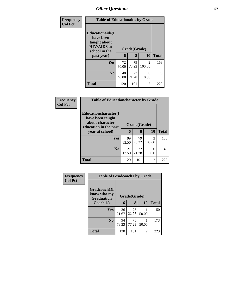| Frequency      | <b>Table of Educationaids by Grade</b>                                                                    |             |                   |                          |              |
|----------------|-----------------------------------------------------------------------------------------------------------|-------------|-------------------|--------------------------|--------------|
| <b>Col Pct</b> | <b>Educationaids</b> (I<br>have been<br>taught about<br><b>HIV/AIDS</b> at<br>school in the<br>past year) | 6           | Grade(Grade)<br>8 | 10                       | <b>Total</b> |
|                | Yes                                                                                                       | 72<br>60.00 | 79<br>78.22       | $\mathfrak{D}$<br>100.00 | 153          |
|                | N <sub>0</sub>                                                                                            | 48<br>40.00 | 22<br>21.78       | 0<br>0.00                | 70           |
|                | <b>Total</b>                                                                                              | 120         | 101               | $\mathfrak{D}$           | 223          |

| Frequency      | <b>Table of Educationcharacter by Grade</b>                                          |              |             |                          |              |  |  |  |
|----------------|--------------------------------------------------------------------------------------|--------------|-------------|--------------------------|--------------|--|--|--|
| <b>Col Pct</b> | Educationcharacter(I<br>have been taught<br>about character<br>education in the past | Grade(Grade) |             |                          |              |  |  |  |
|                | year at school)                                                                      | 6            | 8           | 10                       | <b>Total</b> |  |  |  |
|                | <b>Yes</b>                                                                           | 99<br>82.50  | 79<br>78.22 | $\mathfrak{D}$<br>100.00 | 180          |  |  |  |
|                | N <sub>0</sub>                                                                       | 21<br>17.50  | 22<br>21.78 | ∩<br>0.00                | 43           |  |  |  |
|                | <b>Total</b>                                                                         | 120          | 101         | $\mathfrak{D}$           | 223          |  |  |  |

| Frequency      | <b>Table of Gradcoach1 by Grade</b>              |              |             |       |              |
|----------------|--------------------------------------------------|--------------|-------------|-------|--------------|
| <b>Col Pct</b> | Gradcoach1(I<br>know who my<br><b>Graduation</b> | Grade(Grade) |             |       |              |
|                | Coach is)                                        | 6            | 8           | 10    | <b>Total</b> |
|                | Yes                                              | 26<br>21.67  | 23<br>22.77 | 50.00 | 50           |
|                | N <sub>0</sub>                                   | 94<br>78.33  | 78<br>77.23 | 50.00 | 173          |
|                | <b>Total</b>                                     | 120          | 101         | 2     | 223          |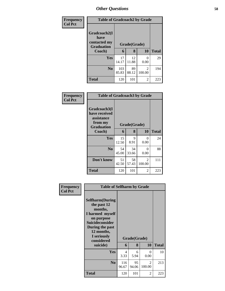| Frequency      | <b>Table of Gradcoach2 by Grade</b>                       |              |             |                          |              |  |  |
|----------------|-----------------------------------------------------------|--------------|-------------|--------------------------|--------------|--|--|
| <b>Col Pct</b> | Gradcoach2(I<br>have<br>contacted my<br><b>Graduation</b> | Grade(Grade) |             |                          |              |  |  |
|                | Coach)                                                    | 6            | 8           | <b>10</b>                | <b>Total</b> |  |  |
|                | Yes                                                       | 17<br>14.17  | 12<br>11.88 | 0<br>0.00                | 29           |  |  |
|                | N <sub>0</sub>                                            | 103<br>85.83 | 89<br>88.12 | $\overline{2}$<br>100.00 | 194          |  |  |
|                | <b>Total</b>                                              | 120          | 101         | $\overline{2}$           | 223          |  |  |

| Frequency<br><b>Col Pct</b> | <b>Table of Gradcoach3 by Grade</b>                                         |             |             |                          |              |
|-----------------------------|-----------------------------------------------------------------------------|-------------|-------------|--------------------------|--------------|
|                             | Gradcoach3(I<br>have received<br>assistance<br>from my<br><b>Graduation</b> |             |             |                          |              |
|                             | Coach)                                                                      | 6           | 8           | 10                       | <b>Total</b> |
|                             | Yes                                                                         | 15<br>12.50 | 9<br>8.91   | 0<br>0.00                | 24           |
|                             | N <sub>0</sub>                                                              | 54<br>45.00 | 34<br>33.66 | 0<br>0.00                | 88           |
|                             | Don't know                                                                  | 51<br>42.50 | 58<br>57.43 | $\mathfrak{D}$<br>100.00 | 111          |
|                             | <b>Total</b>                                                                | 120         | 101         | 2                        | 223          |

|                             | <b>Table of Selfharm by Grade</b>                                                                                                                                          |              |              |             |              |  |  |  |
|-----------------------------|----------------------------------------------------------------------------------------------------------------------------------------------------------------------------|--------------|--------------|-------------|--------------|--|--|--|
| Frequency<br><b>Col Pct</b> |                                                                                                                                                                            |              |              |             |              |  |  |  |
|                             | <b>Selfharm</b> (During<br>the past 12<br>months,<br>I harmed myself<br>on purpose<br><b>Suicideconsider</b><br>During the past<br>12 months,<br>I seriously<br>considered |              | Grade(Grade) |             |              |  |  |  |
|                             | suicide)                                                                                                                                                                   | 6            | 8            | 10          | <b>Total</b> |  |  |  |
|                             | Yes                                                                                                                                                                        | 4<br>3.33    | 6<br>5.94    | 0<br>0.00   | 10           |  |  |  |
|                             | N <sub>0</sub>                                                                                                                                                             | 116<br>96.67 | 95<br>94.06  | 2<br>100.00 | 213          |  |  |  |
|                             | <b>Total</b>                                                                                                                                                               | 120          | 101          | 2           | 223          |  |  |  |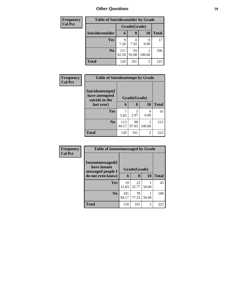| <b>Frequency</b> | <b>Table of Suicideconsider by Grade</b> |              |             |           |              |
|------------------|------------------------------------------|--------------|-------------|-----------|--------------|
| <b>Col Pct</b>   |                                          | Grade(Grade) |             |           |              |
|                  | Suicideconsider                          | 6            | 8           | <b>10</b> | <b>Total</b> |
|                  | Yes                                      | q<br>7.50    | 8<br>7.92   | 0.00      | 17           |
|                  | N <sub>0</sub>                           | 111<br>92.50 | 93<br>92.08 | 100.00    | 206          |
|                  | <b>Total</b>                             | 120          | 101         | 2         | 223          |

| Frequency      | <b>Table of Suicideattempt by Grade</b>              |              |              |                |              |
|----------------|------------------------------------------------------|--------------|--------------|----------------|--------------|
| <b>Col Pct</b> | Suicideattempt(I<br>have attempted<br>suicide in the |              | Grade(Grade) |                |              |
|                | last year)                                           | 6            | 8            | 10             | <b>Total</b> |
|                | Yes                                                  | 7<br>5.83    | 3<br>2.97    | 0.00           | 10           |
|                | N <sub>0</sub>                                       | 113<br>94.17 | 98<br>97.03  | 2<br>100.00    | 213          |
|                | <b>Total</b>                                         | 120          | 101          | $\overline{c}$ | 223          |

| <b>Frequency</b> | <b>Table of Instantmessaged by Grade</b>               |              |             |       |              |  |  |  |  |
|------------------|--------------------------------------------------------|--------------|-------------|-------|--------------|--|--|--|--|
| <b>Col Pct</b>   | Instantmessaged(I<br>have instant<br>messaged people I | Grade(Grade) |             |       |              |  |  |  |  |
|                  | do not even know)                                      | 6            | 8           | 10    | <b>Total</b> |  |  |  |  |
|                  | Yes                                                    | 19<br>15.83  | 23<br>22.77 | 50.00 | 43           |  |  |  |  |
|                  | N <sub>0</sub>                                         | 101<br>84.17 | 78<br>77.23 | 50.00 | 180          |  |  |  |  |
|                  | <b>Total</b>                                           | 120          | 101         | 2     | 223          |  |  |  |  |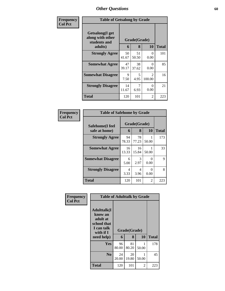| <b>Frequency</b> | <b>Table of Getsalong by Grade</b>                             |             |                   |                                       |              |
|------------------|----------------------------------------------------------------|-------------|-------------------|---------------------------------------|--------------|
| <b>Col Pct</b>   | Getsalong(I get<br>along with other<br>students and<br>adults) | 6           | Grade(Grade)<br>8 | 10                                    | <b>Total</b> |
|                  | <b>Strongly Agree</b>                                          | 50<br>41.67 | 51<br>50.50       | 0<br>0.00                             | 101          |
|                  | <b>Somewhat Agree</b>                                          | 47<br>39.17 | 38<br>37.62       | 0<br>0.00                             | 85           |
|                  | <b>Somewhat Disagree</b>                                       | 9<br>7.50   | 5<br>4.95         | $\mathcal{D}_{\mathcal{L}}$<br>100.00 | 16           |
|                  | <b>Strongly Disagree</b>                                       | 14<br>11.67 | 7<br>6.93         | 0<br>0.00                             | 21           |
|                  | <b>Total</b>                                                   | 120         | 101               | 2                                     | 223          |

| Frequency      | <b>Table of Safehome by Grade</b> |                   |                  |                    |     |  |
|----------------|-----------------------------------|-------------------|------------------|--------------------|-----|--|
| <b>Col Pct</b> | Safehome(I feel<br>safe at home)  | Grade(Grade)<br>6 | <b>Total</b>     |                    |     |  |
|                | <b>Strongly Agree</b>             | 94<br>78.33       | 8<br>78<br>77.23 | <b>10</b><br>50.00 | 173 |  |
|                | <b>Somewhat Agree</b>             | 16<br>13.33       | 16<br>15.84      | 50.00              | 33  |  |
|                | <b>Somewhat Disagree</b>          | 6<br>5.00         | 3<br>2.97        | 0<br>0.00          | 9   |  |
|                | <b>Strongly Disagree</b>          | 4<br>3.33         | 4<br>3.96        | 0<br>0.00          | 8   |  |
|                | Total                             | 120               | 101              | 2                  | 223 |  |

| Frequency      | <b>Table of Adulttalk by Grade</b>                                                  |             |              |       |              |  |  |
|----------------|-------------------------------------------------------------------------------------|-------------|--------------|-------|--------------|--|--|
| <b>Col Pct</b> | <b>Adulttalk(I</b><br>know an<br>adult at<br>school that<br>I can talk<br>with if I |             | Grade(Grade) |       |              |  |  |
|                | need help)                                                                          | 6           | 8            | 10    | <b>Total</b> |  |  |
|                | <b>Yes</b>                                                                          | 96<br>80.00 | 81<br>80.20  | 50.00 | 178          |  |  |
|                | N <sub>0</sub>                                                                      | 24<br>20.00 | 20<br>19.80  | 50.00 | 45           |  |  |
|                | <b>Total</b>                                                                        | 120         | 101          | 2     | 223          |  |  |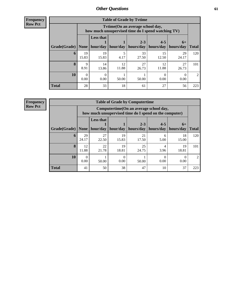**Frequency Row Pct**

| <b>Table of Grade by Tvtime</b> |             |                                                                                         |             |                      |                      |                   |               |
|---------------------------------|-------------|-----------------------------------------------------------------------------------------|-------------|----------------------|----------------------|-------------------|---------------|
|                                 |             | Tvtime (On an average school day,<br>how much unsupervised time do I spend watching TV) |             |                      |                      |                   |               |
| Grade(Grade)                    | None        | <b>Less that</b><br>hour/day                                                            | hour/day    | $2 - 3$<br>hours/day | $4 - 5$<br>hours/day | $6+$<br>hours/day | <b>Total</b>  |
| 6                               | 19<br>15.83 | 19<br>15.83                                                                             | 4.17        | 33<br>27.50          | 15<br>12.50          | 29<br>24.17       | 120           |
| 8                               | 9<br>8.91   | 14<br>13.86                                                                             | 12<br>11.88 | 27<br>26.73          | 12<br>11.88          | 27<br>26.73       | 101           |
| 10                              | 0<br>0.00   | 0.00                                                                                    | 50.00       | 50.00                | 0.00                 | 0.00              | $\mathcal{L}$ |
| <b>Total</b>                    | 28          | 33                                                                                      | 18          | 61                   | 27                   | 56                | 223           |

**Frequency**

**Row Pct**

| <b>Table of Grade by Computertime</b> |             |                                                                                                   |             |                      |                      |                   |              |
|---------------------------------------|-------------|---------------------------------------------------------------------------------------------------|-------------|----------------------|----------------------|-------------------|--------------|
|                                       |             | Computertime (On an average school day,<br>how much unsupervised time do I spend on the computer) |             |                      |                      |                   |              |
| Grade(Grade)                          | None        | <b>Less that</b><br>hour/day                                                                      | hour/day    | $2 - 3$<br>hours/day | $4 - 5$<br>hours/day | $6+$<br>hours/day | <b>Total</b> |
| 6                                     | 29<br>24.17 | 27<br>22.50                                                                                       | 19<br>15.83 | 21<br>17.50          | 6<br>5.00            | 18<br>15.00       | 120          |
| 8                                     | 12<br>11.88 | 22<br>21.78                                                                                       | 19<br>18.81 | 25<br>24.75          | 4<br>3.96            | 19<br>18.81       | 101          |
| 10                                    | 0<br>0.00   | 50.00                                                                                             | 0.00        | 50.00                | 0.00                 | 0.00              |              |
| <b>Total</b>                          | 41          | 50                                                                                                | 38          | 47                   | 10                   | 37                | 223          |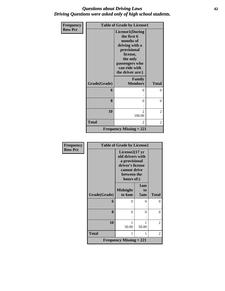### *Questions about Driving Laws* **62** *Driving Questions were asked only of high school students.*

| Frequency      | <b>Table of Grade by License1</b> |                                                                                                                                                                    |                |  |
|----------------|-----------------------------------|--------------------------------------------------------------------------------------------------------------------------------------------------------------------|----------------|--|
| <b>Row Pct</b> |                                   | <b>License1(During</b><br>the first 6<br>months of<br>driving with a<br>provisional<br>license,<br>the only<br>passengers who<br>can ride with<br>the driver are:) |                |  |
|                | Grade(Grade)                      | <b>Family</b><br><b>Members</b>                                                                                                                                    | <b>Total</b>   |  |
|                | 6                                 | 0                                                                                                                                                                  | $\theta$       |  |
|                | 8                                 | 0                                                                                                                                                                  | $\theta$       |  |
|                | 10                                | $\mathfrak{D}$<br>100.00                                                                                                                                           | 2              |  |
|                | <b>Total</b>                      | $\overline{2}$                                                                                                                                                     | $\overline{2}$ |  |
|                |                                   | <b>Frequency Missing = 221</b>                                                                                                                                     |                |  |

| Frequency      | <b>Table of Grade by License2</b> |                                                                                                                                  |                  |              |
|----------------|-----------------------------------|----------------------------------------------------------------------------------------------------------------------------------|------------------|--------------|
| <b>Row Pct</b> |                                   | License $2(17 \text{ yr})$<br>old drivers with<br>a provisional<br>driver's license<br>cannot drive<br>between the<br>hours of:) |                  |              |
|                | Grade(Grade)                      | <b>Midnight</b><br>to 6am                                                                                                        | 1am<br>to<br>5am | <b>Total</b> |
|                | 6                                 | 0                                                                                                                                | $\theta$         | $\theta$     |
|                | 8                                 | $\theta$                                                                                                                         | 0                | $\theta$     |
|                | 10                                | 1<br>50.00                                                                                                                       | 1<br>50.00       | 2            |
|                | <b>Total</b>                      | 1                                                                                                                                | 1                | 2            |
|                |                                   | <b>Frequency Missing = 221</b>                                                                                                   |                  |              |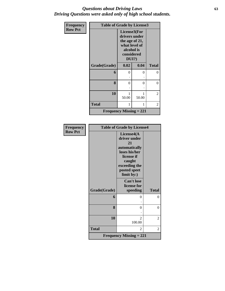### *Questions about Driving Laws* **63** *Driving Questions were asked only of high school students.*

| <b>Frequency</b> | <b>Table of Grade by License3</b> |                                                                                                          |       |              |  |
|------------------|-----------------------------------|----------------------------------------------------------------------------------------------------------|-------|--------------|--|
| <b>Row Pct</b>   |                                   | License3(For<br>drivers under<br>the age of 21,<br>what level of<br>alcohol is<br>considered<br>$DUI$ ?) |       |              |  |
|                  | Grade(Grade)                      | 0.02                                                                                                     | 0.04  | <b>Total</b> |  |
|                  | 6                                 | $\theta$                                                                                                 | 0     | 0            |  |
|                  |                                   |                                                                                                          |       |              |  |
|                  | 8                                 | 0                                                                                                        | 0     | 0            |  |
|                  |                                   |                                                                                                          |       |              |  |
|                  | 10                                | 1<br>50.00                                                                                               | 50.00 | 2            |  |
|                  | <b>Total</b>                      | 1                                                                                                        | 1     | 2            |  |
|                  | Frequency Missing $= 221$         |                                                                                                          |       |              |  |

| <b>Frequency</b> | <b>Table of Grade by License4</b> |                                                                                                                                            |                |  |
|------------------|-----------------------------------|--------------------------------------------------------------------------------------------------------------------------------------------|----------------|--|
| <b>Row Pct</b>   |                                   | License4(A)<br>driver under<br>21<br>automatically<br>loses his/her<br>license if<br>caught<br>exceeding the<br>posted speet<br>limit by:) |                |  |
|                  | Grade(Grade)                      | <b>Can't lose</b><br>license for<br>speeding                                                                                               | <b>Total</b>   |  |
|                  | 6                                 | $\Omega$                                                                                                                                   | 0              |  |
|                  | 8                                 | $\Omega$                                                                                                                                   | 0              |  |
|                  | 10                                | $\overline{\mathcal{L}}$<br>100.00                                                                                                         | 2              |  |
|                  | <b>Total</b>                      | 2                                                                                                                                          | $\overline{2}$ |  |
|                  |                                   | <b>Frequency Missing = 221</b>                                                                                                             |                |  |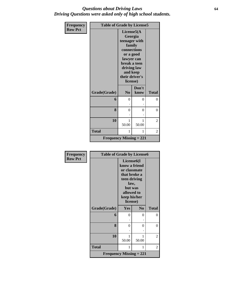### *Questions about Driving Laws* **64** *Driving Questions were asked only of high school students.*

| <b>Frequency</b> | <b>Table of Grade by License5</b> |                                                                                                                                                                      |               |                |
|------------------|-----------------------------------|----------------------------------------------------------------------------------------------------------------------------------------------------------------------|---------------|----------------|
| <b>Row Pct</b>   |                                   | License5(A)<br>Georgia<br>teenager with<br>family<br>connections<br>or a good<br>lawyer can<br>break a teen<br>driving law<br>and keep<br>their driver's<br>license) |               |                |
|                  | Grade(Grade)                      | N <sub>0</sub>                                                                                                                                                       | Don't<br>know | <b>Total</b>   |
|                  | 6                                 | $\theta$                                                                                                                                                             | 0             | $\theta$       |
|                  | 8                                 | 0                                                                                                                                                                    | 0             | 0              |
|                  | 10                                | 1<br>50.00                                                                                                                                                           | 50.00         | 2              |
|                  | <b>Total</b>                      | 1                                                                                                                                                                    | 1             | $\overline{2}$ |
|                  | <b>Frequency Missing = 221</b>    |                                                                                                                                                                      |               |                |

| Frequency      | <b>Table of Grade by License6</b> |                                                                                                                                                       |                |                |
|----------------|-----------------------------------|-------------------------------------------------------------------------------------------------------------------------------------------------------|----------------|----------------|
| <b>Row Pct</b> |                                   | License <sub>6</sub> (I<br>know a friend<br>or classmate<br>that broke a<br>teen driving<br>law,<br>but was<br>allowed to<br>keep his/her<br>license) |                |                |
|                | Grade(Grade)                      | Yes                                                                                                                                                   | N <sub>0</sub> | <b>Total</b>   |
|                | 6                                 | $\theta$                                                                                                                                              | 0              | $\theta$       |
|                |                                   |                                                                                                                                                       |                |                |
|                | 8                                 | $\Omega$                                                                                                                                              | 0              | $\theta$       |
|                | 10                                | 1<br>50.00                                                                                                                                            | 1<br>50.00     | 2              |
|                | <b>Total</b>                      | 1                                                                                                                                                     | 1              | $\overline{2}$ |
|                | <b>Frequency Missing = 221</b>    |                                                                                                                                                       |                |                |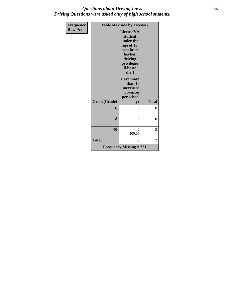### *Questions about Driving Laws* **65** *Driving Questions were asked only of high school students.*

| <b>Frequency</b> | <b>Table of Grade by License7</b> |                                                                                                                                                      |                |
|------------------|-----------------------------------|------------------------------------------------------------------------------------------------------------------------------------------------------|----------------|
| <b>Row Pct</b>   |                                   | License7(A<br>student<br>under the<br>age of 18<br>cam loser<br>his/her<br>driving<br>privileges<br>if he or<br>she:)<br><b>Have more</b><br>than 10 |                |
|                  |                                   | unexcused<br>absences                                                                                                                                |                |
|                  | Grade(Grade)                      | per school<br>yr                                                                                                                                     | <b>Total</b>   |
|                  | 6                                 | 0                                                                                                                                                    | 0              |
|                  | 8                                 | 0                                                                                                                                                    | $\overline{0}$ |
|                  | 10                                | $\overline{2}$<br>100.00                                                                                                                             | 2              |
|                  | <b>Total</b>                      | 2                                                                                                                                                    | $\overline{2}$ |
|                  |                                   | <b>Frequency Missing = 221</b>                                                                                                                       |                |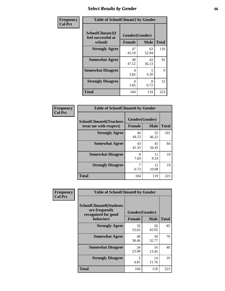## *Select Results by Gender* **66**

| Frequency      |                                                   | <b>Table of SchoolClimate2 by Gender</b> |             |              |  |
|----------------|---------------------------------------------------|------------------------------------------|-------------|--------------|--|
| <b>Col Pct</b> | SchoolClimate2(I<br>feel successful at<br>school) | Gender(Gender)<br><b>Female</b>          | <b>Male</b> | <b>Total</b> |  |
|                | <b>Strongly Agree</b>                             | 47<br>45.19                              | 63<br>52.94 | 110          |  |
|                | <b>Somewhat Agree</b>                             | 49<br>47.12                              | 43<br>36.13 | 92           |  |
|                | <b>Somewhat Disagree</b>                          | 4<br>3.85                                | 5<br>4.20   | 9            |  |
|                | <b>Strongly Disagree</b>                          | 4<br>3.85                                | 8<br>6.72   | 12           |  |
|                | <b>Total</b>                                      | 104                                      | 119         | 223          |  |

| Frequency      | <b>Table of SchoolClimate6 by Gender</b>                 |                                 |             |              |  |  |
|----------------|----------------------------------------------------------|---------------------------------|-------------|--------------|--|--|
| <b>Col Pct</b> | <b>SchoolClimate6(Teachers</b><br>treat me with respect) | Gender(Gender)<br><b>Female</b> | <b>Male</b> | <b>Total</b> |  |  |
|                | <b>Strongly Agree</b>                                    | 46<br>44.23                     | 55<br>46.22 | 101          |  |  |
|                | <b>Somewhat Agree</b>                                    | 43<br>41.35                     | 41<br>34.45 | 84           |  |  |
|                | <b>Somewhat Disagree</b>                                 | 8<br>7.69                       | 11<br>9.24  | 19           |  |  |
|                | <b>Strongly Disagree</b>                                 | 7<br>6.73                       | 12<br>10.08 | 19           |  |  |
|                | <b>Total</b>                                             | 104                             | 119         | 223          |  |  |

| <b>Frequency</b> | <b>Table of SchoolClimate8 by Gender</b>                                             |                                                |             |              |  |
|------------------|--------------------------------------------------------------------------------------|------------------------------------------------|-------------|--------------|--|
| <b>Col Pct</b>   | <b>SchoolClimate8(Students</b><br>are frequently<br>recognized for good<br>behavior) | Gender(Gender)<br><b>Female</b><br><b>Male</b> |             | <b>Total</b> |  |
|                  | <b>Strongly Agree</b>                                                                | 35<br>33.65                                    | 50<br>42.02 | 85           |  |
|                  | <b>Somewhat Agree</b>                                                                | 40<br>38.46                                    | 39<br>32.77 | 79           |  |
|                  | <b>Somewhat Disagree</b>                                                             | 24<br>23.08                                    | 16<br>13.45 | 40           |  |
|                  | <b>Strongly Disagree</b>                                                             | 5<br>4.81                                      | 14<br>11.76 | 19           |  |
|                  | Total                                                                                | 104                                            | 119         | 223          |  |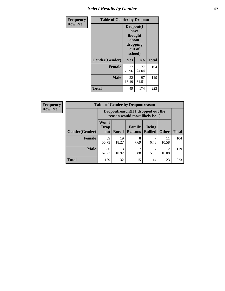## **Select Results by Gender 67**

| <b>Frequency</b> | <b>Table of Gender by Dropout</b> |                                                                        |                |              |
|------------------|-----------------------------------|------------------------------------------------------------------------|----------------|--------------|
| <b>Row Pct</b>   |                                   | Dropout(I<br>have<br>thought<br>about<br>dropping<br>out of<br>school) |                |              |
|                  | Gender(Gender)                    | Yes                                                                    | N <sub>0</sub> | <b>Total</b> |
|                  | <b>Female</b>                     | 27<br>25.96                                                            | 77<br>74.04    | 104          |
|                  | <b>Male</b>                       | 22<br>18.49                                                            | 97<br>81.51    | 119          |
|                  | <b>Total</b>                      | 49                                                                     | 174            | 223          |

| <b>Frequency</b> | <b>Table of Gender by Dropoutreason</b> |                                                                     |              |                          |                                |              |              |
|------------------|-----------------------------------------|---------------------------------------------------------------------|--------------|--------------------------|--------------------------------|--------------|--------------|
| <b>Row Pct</b>   |                                         | Dropoutreason (If I dropped out the<br>reason would most likely be) |              |                          |                                |              |              |
|                  | <b>Gender</b> (Gender)                  | Won't<br><b>Drop</b><br>out                                         | <b>Bored</b> | Family<br><b>Reasons</b> | <b>Being</b><br><b>Bullied</b> | <b>Other</b> | <b>Total</b> |
|                  | <b>Female</b>                           | 59<br>56.73                                                         | 19<br>18.27  | 8<br>7.69                | 6.73                           | 11<br>10.58  | 104          |
|                  | <b>Male</b>                             | 80<br>67.23                                                         | 13<br>10.92  | 5.88                     | 5.88                           | 12<br>10.08  | 119          |
|                  | <b>Total</b>                            | 139                                                                 | 32           | 15                       | 14                             | 23           | 223          |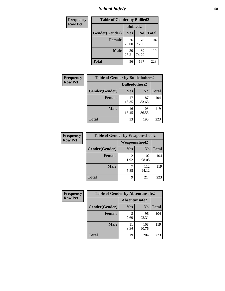*School Safety* **68**

| Frequency      | <b>Table of Gender by Bullied2</b> |                 |                |              |
|----------------|------------------------------------|-----------------|----------------|--------------|
| <b>Row Pct</b> |                                    | <b>Bullied2</b> |                |              |
|                | Gender(Gender)                     | <b>Yes</b>      | N <sub>0</sub> | <b>Total</b> |
|                | <b>Female</b>                      | 26<br>25.00     | 78<br>75.00    | 104          |
|                | <b>Male</b>                        | 30<br>25.21     | 89<br>74.79    | 119          |
|                | <b>Total</b>                       | 56              | 167            | 223          |

| Frequency      | <b>Table of Gender by Bulliedothers2</b> |                       |                |              |  |
|----------------|------------------------------------------|-----------------------|----------------|--------------|--|
| <b>Row Pct</b> |                                          | <b>Bulliedothers2</b> |                |              |  |
|                | Gender(Gender)                           | <b>Yes</b>            | N <sub>0</sub> | <b>Total</b> |  |
|                | <b>Female</b>                            | 17<br>16.35           | 87<br>83.65    | 104          |  |
|                | <b>Male</b>                              | 16<br>13.45           | 103<br>86.55   | 119          |  |
|                | <b>Total</b>                             | 33                    | 190            | 223          |  |

| Frequency      | <b>Table of Gender by Weaponschool2</b> |                      |                |              |
|----------------|-----------------------------------------|----------------------|----------------|--------------|
| <b>Row Pct</b> |                                         | <b>Weaponschool2</b> |                |              |
|                | Gender(Gender)                          | <b>Yes</b>           | N <sub>0</sub> | <b>Total</b> |
|                | <b>Female</b>                           | 1.92                 | 102<br>98.08   | 104          |
|                | <b>Male</b>                             | 5.88                 | 112<br>94.12   | 119          |
|                | <b>Total</b>                            | 9                    | 214            | 223          |

| Frequency      | <b>Table of Gender by Absentunsafe2</b> |               |                |              |
|----------------|-----------------------------------------|---------------|----------------|--------------|
| <b>Row Pct</b> |                                         | Absentunsafe2 |                |              |
|                | Gender(Gender)                          | Yes           | N <sub>0</sub> | <b>Total</b> |
|                | <b>Female</b>                           | 7.69          | 96<br>92.31    | 104          |
|                | <b>Male</b>                             | 11<br>9.24    | 108<br>90.76   | 119          |
|                | <b>Total</b>                            | 19            | 204            | 223          |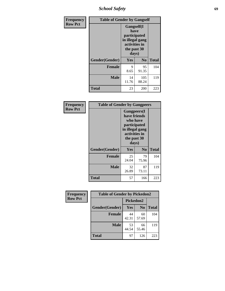*School Safety* **69**

| Frequency      | <b>Table of Gender by Gangself</b> |                                                                                                |                |              |
|----------------|------------------------------------|------------------------------------------------------------------------------------------------|----------------|--------------|
| <b>Row Pct</b> |                                    | Gangself(I<br>have<br>participated<br>in illegal gang<br>activities in<br>the past 30<br>days) |                |              |
|                | Gender(Gender)                     | Yes                                                                                            | N <sub>0</sub> | <b>Total</b> |
|                | <b>Female</b>                      | 9<br>8.65                                                                                      | 95<br>91.35    | 104          |
|                | <b>Male</b>                        | 14<br>11.76                                                                                    | 105<br>88.24   | 119          |
|                | <b>Total</b>                       | 23                                                                                             | 200            | 223          |

| Frequency      |                | <b>Table of Gender by Gangpeers</b>                                                                                         |                |              |  |
|----------------|----------------|-----------------------------------------------------------------------------------------------------------------------------|----------------|--------------|--|
| <b>Row Pct</b> |                | <b>Gangpeers</b> (I<br>have friends<br>who have<br>participated<br>in illegal gang<br>activities in<br>the past 30<br>days) |                |              |  |
|                | Gender(Gender) | <b>Yes</b>                                                                                                                  | N <sub>0</sub> | <b>Total</b> |  |
|                | <b>Female</b>  | 25<br>24.04                                                                                                                 | 79<br>75.96    | 104          |  |
|                | <b>Male</b>    | 32<br>26.89                                                                                                                 | 87<br>73.11    | 119          |  |
|                | Total          | 57                                                                                                                          | 166            | 223          |  |

| Frequency      | <b>Table of Gender by Pickedon2</b> |             |                |              |
|----------------|-------------------------------------|-------------|----------------|--------------|
| <b>Row Pct</b> |                                     | Pickedon2   |                |              |
|                | Gender(Gender)                      | Yes         | N <sub>0</sub> | <b>Total</b> |
|                | <b>Female</b>                       | 44<br>42.31 | 60<br>57.69    | 104          |
|                | <b>Male</b>                         | 53<br>44.54 | 66<br>55.46    | 119          |
|                | <b>Total</b>                        | 97          | 126            | 223          |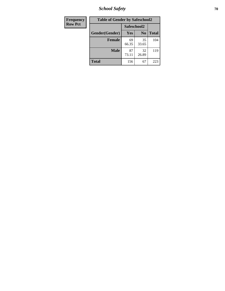*School Safety* **70**

| Frequency      | <b>Table of Gender by Safeschool2</b> |             |                |              |  |
|----------------|---------------------------------------|-------------|----------------|--------------|--|
| <b>Row Pct</b> |                                       | Safeschool2 |                |              |  |
|                | Gender(Gender)                        | <b>Yes</b>  | N <sub>0</sub> | <b>Total</b> |  |
|                | <b>Female</b>                         | 69<br>66.35 | 35<br>33.65    | 104          |  |
|                | <b>Male</b>                           | 87<br>73.11 | 32<br>26.89    | 119          |  |
|                | <b>Total</b>                          | 156         | 67             | 223          |  |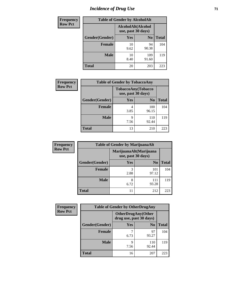## *Incidence of Drug Use* <sup>71</sup>

| <b>Frequency</b> | <b>Table of Gender by AlcoholAlt</b> |                                          |                |              |  |
|------------------|--------------------------------------|------------------------------------------|----------------|--------------|--|
| <b>Row Pct</b>   |                                      | AlcoholAlt(Alcohol<br>use, past 30 days) |                |              |  |
|                  | Gender(Gender)                       | Yes                                      | N <sub>0</sub> | <b>Total</b> |  |
|                  | <b>Female</b>                        | 10<br>9.62                               | 94<br>90.38    | 104          |  |
|                  | <b>Male</b>                          | 10<br>8.40                               | 109<br>91.60   | 119          |  |
|                  | <b>Total</b>                         | 20                                       | 203            | 223          |  |

| <b>Frequency</b> |                | <b>Table of Gender by TobaccoAny</b> |                    |              |
|------------------|----------------|--------------------------------------|--------------------|--------------|
| <b>Row Pct</b>   |                | use, past 30 days)                   | TobaccoAny(Tobacco |              |
|                  | Gender(Gender) | Yes                                  | N <sub>0</sub>     | <b>Total</b> |
|                  | <b>Female</b>  | 4<br>3.85                            | 100<br>96.15       | 104          |
|                  | <b>Male</b>    | 9<br>7.56                            | 110<br>92.44       | 119          |
|                  | <b>Total</b>   | 13                                   | 210                | 223          |

| <b>Frequency</b> | <b>Table of Gender by MarijuanaAlt</b> |                                              |                |              |
|------------------|----------------------------------------|----------------------------------------------|----------------|--------------|
| <b>Row Pct</b>   |                                        | MarijuanaAlt(Marijuana<br>use, past 30 days) |                |              |
|                  | Gender(Gender)                         | <b>Yes</b>                                   | N <sub>0</sub> | <b>Total</b> |
|                  | <b>Female</b>                          | 3<br>2.88                                    | 101<br>97.12   | 104          |
|                  | <b>Male</b>                            | 8<br>6.72                                    | 111<br>93.28   | 119          |
|                  | <b>Total</b>                           |                                              | 212            | 223          |

| <b>Frequency</b> | <b>Table of Gender by OtherDrugAny</b> |                                                      |                |              |
|------------------|----------------------------------------|------------------------------------------------------|----------------|--------------|
| <b>Row Pct</b>   |                                        | <b>OtherDrugAny(Other</b><br>drug use, past 30 days) |                |              |
|                  | Gender(Gender)                         | <b>Yes</b>                                           | N <sub>0</sub> | <b>Total</b> |
|                  | <b>Female</b>                          | 6.73                                                 | 97<br>93.27    | 104          |
|                  | <b>Male</b>                            | 9<br>7.56                                            | 110<br>92.44   | 119          |
|                  | <b>Total</b>                           | 16                                                   | 207            | 223          |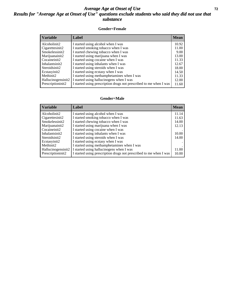### *Average Age at Onset of Use* **72** *Results for "Average Age at Onset of Use" questions exclude students who said they did not use that substance*

#### **Gender=Female**

| <i><b>Variable</b></i> | Label                                                              | <b>Mean</b> |
|------------------------|--------------------------------------------------------------------|-------------|
| Alcoholinit2           | I started using alcohol when I was                                 | 10.92       |
| Cigarettesinit2        | I started smoking tobacco when I was                               | 11.00       |
| Smokelessinit2         | I started chewing tobacco when I was                               | 9.00        |
| Marijuanainit2         | I started using marijuana when I was                               | 13.00       |
| Cocaineinit2           | I started using cocaine when I was                                 | 11.33       |
| Inhalantsinit2         | I started using inhalants when I was                               | 12.67       |
| Steroidsinit2          | I started using steroids when I was                                | 18.00       |
| Ecstasyinit2           | I started using ecstasy when I was                                 | 14.50       |
| Methinit2              | I started using methamphetamines when I was                        | 11.33       |
| Hallucinogensinit2     | I started using hallucinogens when I was                           | 12.00       |
| Prescription in t2     | I started using prescription drugs not prescribed to me when I was | 11.60       |

#### **Gender=Male**

| <b>Variable</b>                 | Label                                                              | <b>Mean</b> |
|---------------------------------|--------------------------------------------------------------------|-------------|
| Alcoholinit2                    | I started using alcohol when I was                                 | 11.14       |
| Cigarettesinit2                 | I started smoking tobacco when I was                               | 11.63       |
| Smokelessinit2                  | I started chewing tobacco when I was                               | 14.00       |
| Marijuanainit2                  | I started using marijuana when I was                               | 12.13       |
| Cocaineinit2                    | I started using cocaine when I was                                 |             |
| Inhalantsinit2                  | I started using inhalants when I was                               | 10.00       |
| Steroidsinit2                   | I started using steroids when I was                                | 14.00       |
| Ecstasyinit2                    | I started using ecstasy when I was                                 |             |
| Methinit2                       | I started using methamphetamines when I was                        |             |
| Hallucinogensinit2              | I started using hallucinogens when I was                           | 11.00       |
| Prescription in it <sub>2</sub> | I started using prescription drugs not prescribed to me when I was | 10.00       |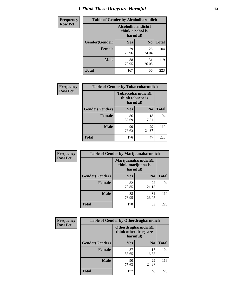# *I Think These Drugs are Harmful* **73**

| <b>Frequency</b> | <b>Table of Gender by Alcoholharmdich</b> |                                                   |                |              |
|------------------|-------------------------------------------|---------------------------------------------------|----------------|--------------|
| <b>Row Pct</b>   |                                           | Alcoholharmdich(I<br>think alcohol is<br>harmful) |                |              |
|                  | <b>Gender</b> (Gender)                    | <b>Yes</b>                                        | N <sub>0</sub> | <b>Total</b> |
|                  | Female                                    | 79<br>75.96                                       | 25<br>24.04    | 104          |
|                  | <b>Male</b>                               | 88<br>73.95                                       | 31<br>26.05    | 119          |
|                  | <b>Total</b>                              | 167                                               | 56             | 223          |

| <b>Frequency</b> | <b>Table of Gender by Tobaccoharmdich</b> |                              |                   |              |
|------------------|-------------------------------------------|------------------------------|-------------------|--------------|
| <b>Row Pct</b>   |                                           | think tobacco is<br>harmful) | Tobaccoharmdich(I |              |
|                  | Gender(Gender)                            | <b>Yes</b>                   | N <sub>0</sub>    | <b>Total</b> |
|                  | <b>Female</b>                             | 86<br>82.69                  | 18<br>17.31       | 104          |
|                  | <b>Male</b>                               | 90<br>75.63                  | 29<br>24.37       | 119          |
|                  | <b>Total</b>                              | 176                          | 47                | 223          |

| Frequency      | <b>Table of Gender by Marijuanaharmdich</b> |                                                       |                |              |  |
|----------------|---------------------------------------------|-------------------------------------------------------|----------------|--------------|--|
| <b>Row Pct</b> |                                             | Marijuanaharmdich(I<br>think marijuana is<br>harmful) |                |              |  |
|                | Gender(Gender)                              | <b>Yes</b>                                            | N <sub>0</sub> | <b>Total</b> |  |
|                | <b>Female</b>                               | 82<br>78.85                                           | 22<br>21.15    | 104          |  |
|                | <b>Male</b>                                 | 88<br>73.95                                           | 31<br>26.05    | 119          |  |
|                | <b>Total</b>                                | 170                                                   | 53             | 223          |  |

| Frequency      | <b>Table of Gender by Otherdrugharmdich</b> |                                                          |                |              |  |
|----------------|---------------------------------------------|----------------------------------------------------------|----------------|--------------|--|
| <b>Row Pct</b> |                                             | Otherdrugharmdich(I<br>think other drugs are<br>harmful) |                |              |  |
|                | Gender(Gender)                              | <b>Yes</b>                                               | N <sub>0</sub> | <b>Total</b> |  |
|                | <b>Female</b>                               | 87<br>83.65                                              | 17<br>16.35    | 104          |  |
|                | <b>Male</b>                                 | 90<br>75.63                                              | 29<br>24.37    | 119          |  |
|                | <b>Total</b>                                | 177                                                      | 46             | 223          |  |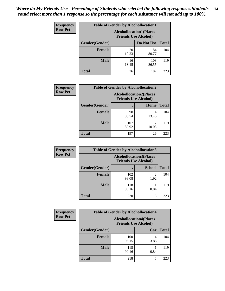| <b>Frequency</b> | <b>Table of Gender by Alcohollocation1</b> |                                                               |              |              |  |
|------------------|--------------------------------------------|---------------------------------------------------------------|--------------|--------------|--|
| <b>Row Pct</b>   |                                            | <b>Alcohollocation1(Places</b><br><b>Friends Use Alcohol)</b> |              |              |  |
|                  | Gender(Gender)                             |                                                               | Do Not Use   | <b>Total</b> |  |
|                  | <b>Female</b>                              | 20<br>19.23                                                   | 84<br>80.77  | 104          |  |
|                  | <b>Male</b>                                | 16<br>13.45                                                   | 103<br>86.55 | 119          |  |
|                  | <b>Total</b>                               | 36                                                            | 187          | 223          |  |

| <b>Frequency</b> | <b>Table of Gender by Alcohollocation2</b> |              |                                                               |              |
|------------------|--------------------------------------------|--------------|---------------------------------------------------------------|--------------|
| <b>Row Pct</b>   |                                            |              | <b>Alcohollocation2(Places</b><br><b>Friends Use Alcohol)</b> |              |
|                  | Gender(Gender)                             |              | Home                                                          | <b>Total</b> |
|                  | <b>Female</b>                              | 90<br>86.54  | 14<br>13.46                                                   | 104          |
|                  | <b>Male</b>                                | 107<br>89.92 | 12<br>10.08                                                   | 119          |
|                  | <b>Total</b>                               | 197          | 26                                                            | 223          |

| Frequency      | <b>Table of Gender by Alcohollocation3</b> |              |                                                               |              |
|----------------|--------------------------------------------|--------------|---------------------------------------------------------------|--------------|
| <b>Row Pct</b> |                                            |              | <b>Alcohollocation3(Places</b><br><b>Friends Use Alcohol)</b> |              |
|                | Gender(Gender)                             |              | <b>School</b>                                                 | <b>Total</b> |
|                | <b>Female</b>                              | 102<br>98.08 | 2<br>1.92                                                     | 104          |
|                | <b>Male</b>                                | 118<br>99.16 | 0.84                                                          | 119          |
|                | <b>Total</b>                               | 220          | 3                                                             | 223          |

| <b>Frequency</b> | <b>Table of Gender by Alcohollocation4</b> |                                                               |      |              |
|------------------|--------------------------------------------|---------------------------------------------------------------|------|--------------|
| <b>Row Pct</b>   |                                            | <b>Alcohollocation4(Places</b><br><b>Friends Use Alcohol)</b> |      |              |
|                  | Gender(Gender)                             |                                                               | Car  | <b>Total</b> |
|                  | Female                                     | 100<br>96.15                                                  | 3.85 | 104          |
|                  | <b>Male</b>                                | 118<br>99.16                                                  | 0.84 | 119          |
|                  | <b>Total</b>                               | 218                                                           | 5    | 223          |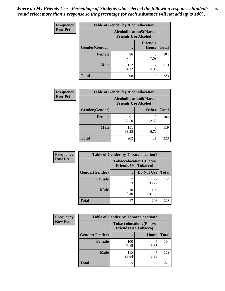| <b>Frequency</b> | <b>Table of Gender by Alcohollocation5</b> |                                                                |                                 |              |
|------------------|--------------------------------------------|----------------------------------------------------------------|---------------------------------|--------------|
| <b>Row Pct</b>   |                                            | <b>Alcohollocation5</b> (Places<br><b>Friends Use Alcohol)</b> |                                 |              |
|                  | Gender(Gender)                             |                                                                | <b>Friend's</b><br><b>House</b> | <b>Total</b> |
|                  | <b>Female</b>                              | 96<br>92.31                                                    | 8<br>7.69                       | 104          |
|                  | <b>Male</b>                                | 112<br>94.12                                                   | 5.88                            | 119          |
|                  | <b>Total</b>                               | 208                                                            | 15                              | 223          |

| Frequency      | <b>Table of Gender by Alcohollocation6</b> |                                                               |              |              |
|----------------|--------------------------------------------|---------------------------------------------------------------|--------------|--------------|
| <b>Row Pct</b> |                                            | <b>Alcohollocation6(Places</b><br><b>Friends Use Alcohol)</b> |              |              |
|                | Gender(Gender)                             |                                                               | <b>Other</b> | <b>Total</b> |
|                | <b>Female</b>                              | 91<br>87.50                                                   | 13<br>12.50  | 104          |
|                | <b>Male</b>                                | 111<br>93.28                                                  | 8<br>6.72    | 119          |
|                | <b>Total</b>                               | 202                                                           | 21           | 223          |

| Frequency      | <b>Table of Gender by Tobaccolocation1</b> |                                                               |              |              |  |
|----------------|--------------------------------------------|---------------------------------------------------------------|--------------|--------------|--|
| <b>Row Pct</b> |                                            | <b>Tobaccolocation1(Places</b><br><b>Friends Use Tobacco)</b> |              |              |  |
|                | Gender(Gender)                             |                                                               | Do Not Use   | <b>Total</b> |  |
|                | Female                                     | 6.73                                                          | 97<br>93.27  | 104          |  |
|                | <b>Male</b>                                | 10<br>8.40                                                    | 109<br>91.60 | 119          |  |
|                | <b>Total</b>                               | 17                                                            | 206          | 223          |  |

| <b>Frequency</b> | <b>Table of Gender by Tobaccolocation2</b> |                                                               |      |              |
|------------------|--------------------------------------------|---------------------------------------------------------------|------|--------------|
| <b>Row Pct</b>   |                                            | <b>Tobaccolocation2(Places</b><br><b>Friends Use Tobacco)</b> |      |              |
|                  | Gender(Gender)                             |                                                               | Home | <b>Total</b> |
|                  | Female                                     | 100<br>96.15                                                  | 3.85 | 104          |
|                  | <b>Male</b>                                | 115<br>96.64                                                  | 3.36 | 119          |
|                  | <b>Total</b>                               | 215                                                           | 8    | 223          |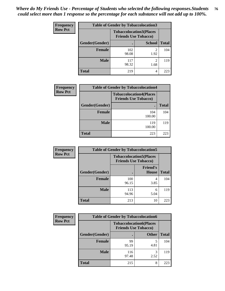| <b>Frequency</b> | <b>Table of Gender by Tobaccolocation3</b> |                                                               |                        |              |
|------------------|--------------------------------------------|---------------------------------------------------------------|------------------------|--------------|
| <b>Row Pct</b>   |                                            | <b>Tobaccolocation3(Places</b><br><b>Friends Use Tobacco)</b> |                        |              |
|                  | Gender(Gender)                             |                                                               | <b>School</b>          | <b>Total</b> |
|                  | <b>Female</b>                              | 102<br>98.08                                                  | 1.92                   | 104          |
|                  | <b>Male</b>                                | 117<br>98.32                                                  | $\mathfrak{D}$<br>1.68 | 119          |
|                  | <b>Total</b>                               | 219                                                           | 4                      | 223          |

| <b>Frequency</b> | <b>Table of Gender by Tobaccolocation4</b> |                                                               |              |  |
|------------------|--------------------------------------------|---------------------------------------------------------------|--------------|--|
| <b>Row Pct</b>   |                                            | <b>Tobaccolocation4(Places</b><br><b>Friends Use Tobacco)</b> |              |  |
|                  | Gender(Gender)                             |                                                               | <b>Total</b> |  |
|                  | <b>Female</b>                              | 104<br>100.00                                                 | 104          |  |
|                  | <b>Male</b>                                | 119<br>100.00                                                 | 119          |  |
|                  | <b>Total</b>                               | 223                                                           | 223          |  |

| <b>Frequency</b> | <b>Table of Gender by Tobaccolocation5</b>                    |              |                                 |              |
|------------------|---------------------------------------------------------------|--------------|---------------------------------|--------------|
| <b>Row Pct</b>   | <b>Tobaccolocation5(Places</b><br><b>Friends Use Tobacco)</b> |              |                                 |              |
|                  | Gender(Gender)                                                |              | <b>Friend's</b><br><b>House</b> | <b>Total</b> |
|                  | <b>Female</b>                                                 | 100<br>96.15 | 4<br>3.85                       | 104          |
|                  | <b>Male</b>                                                   | 113<br>94.96 | 6<br>5.04                       | 119          |
|                  | <b>Total</b>                                                  | 213          | 10                              | 223          |

| <b>Frequency</b> |                | <b>Table of Gender by Tobaccolocation6</b> |                                                               |              |
|------------------|----------------|--------------------------------------------|---------------------------------------------------------------|--------------|
| <b>Row Pct</b>   |                |                                            | <b>Tobaccolocation6(Places</b><br><b>Friends Use Tobacco)</b> |              |
|                  | Gender(Gender) |                                            | <b>Other</b>                                                  | <b>Total</b> |
|                  | Female         | 99<br>95.19                                | 4.81                                                          | 104          |
|                  | <b>Male</b>    | 116<br>97.48                               | 2.52                                                          | 119          |
|                  | <b>Total</b>   | 215                                        | 8                                                             | 223          |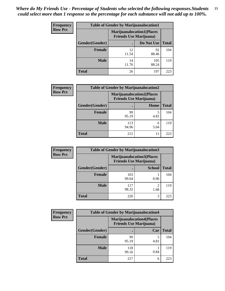| <b>Frequency</b> | <b>Table of Gender by Marijuanalocation1</b> |                                |                                  |              |
|------------------|----------------------------------------------|--------------------------------|----------------------------------|--------------|
| <b>Row Pct</b>   |                                              | <b>Friends Use Marijuana</b> ) | <b>Marijuanalocation1(Places</b> |              |
|                  | <b>Gender</b> (Gender)                       |                                | Do Not Use                       | <b>Total</b> |
|                  | <b>Female</b>                                | 12<br>11.54                    | 92<br>88.46                      | 104          |
|                  | <b>Male</b>                                  | 14<br>11.76                    | 105<br>88.24                     | 119          |
|                  | <b>Total</b>                                 | 26                             | 197                              | 223          |

| <b>Frequency</b> | <b>Table of Gender by Marijuanalocation2</b> |                                                                    |           |              |
|------------------|----------------------------------------------|--------------------------------------------------------------------|-----------|--------------|
| <b>Row Pct</b>   |                                              | <b>Marijuanalocation2(Places</b><br><b>Friends Use Marijuana</b> ) |           |              |
|                  | Gender(Gender)                               |                                                                    | Home      | <b>Total</b> |
|                  | <b>Female</b>                                | 99<br>95.19                                                        | 4.81      | 104          |
|                  | <b>Male</b>                                  | 113<br>94.96                                                       | 6<br>5.04 | 119          |
|                  | <b>Total</b>                                 | 212                                                                | 11        | 223          |

| Frequency      |                | <b>Table of Gender by Marijuanalocation3</b>                       |               |              |
|----------------|----------------|--------------------------------------------------------------------|---------------|--------------|
| <b>Row Pct</b> |                | <b>Marijuanalocation3(Places</b><br><b>Friends Use Marijuana</b> ) |               |              |
|                | Gender(Gender) |                                                                    | <b>School</b> | <b>Total</b> |
|                | Female         | 103<br>99.04                                                       | 0.96          | 104          |
|                | <b>Male</b>    | 117<br>98.32                                                       | ി<br>1.68     | 119          |
|                | <b>Total</b>   | 220                                                                | 3             | 223          |

| <b>Frequency</b> | <b>Table of Gender by Marijuanalocation4</b> |                                                                    |      |              |
|------------------|----------------------------------------------|--------------------------------------------------------------------|------|--------------|
| <b>Row Pct</b>   |                                              | <b>Marijuanalocation4(Places</b><br><b>Friends Use Marijuana</b> ) |      |              |
|                  | Gender(Gender)                               |                                                                    | Car  | <b>Total</b> |
|                  | Female                                       | 99<br>95.19                                                        | 4.81 | 104          |
|                  | <b>Male</b>                                  | 118<br>99.16                                                       | 0.84 | 119          |
|                  | <b>Total</b>                                 | 217                                                                | 6    | 223          |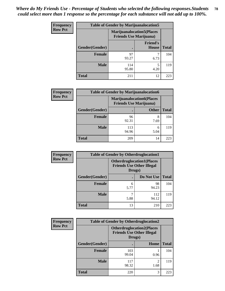| <b>Frequency</b> | <b>Table of Gender by Marijuanalocation5</b> |                                                                     |                                 |              |
|------------------|----------------------------------------------|---------------------------------------------------------------------|---------------------------------|--------------|
| <b>Row Pct</b>   |                                              | <b>Marijuanalocation5</b> (Places<br><b>Friends Use Marijuana</b> ) |                                 |              |
|                  | Gender(Gender)                               |                                                                     | <b>Friend's</b><br><b>House</b> | <b>Total</b> |
|                  | <b>Female</b>                                | 97<br>93.27                                                         | 6.73                            | 104          |
|                  | <b>Male</b>                                  | 114<br>95.80                                                        | 5<br>4.20                       | 119          |
|                  | <b>Total</b>                                 | 211                                                                 | 12                              | 223          |

| <b>Frequency</b> | <b>Table of Gender by Marijuanalocation6</b> |                                |                                  |              |
|------------------|----------------------------------------------|--------------------------------|----------------------------------|--------------|
| <b>Row Pct</b>   |                                              | <b>Friends Use Marijuana</b> ) | <b>Marijuanalocation6(Places</b> |              |
|                  | Gender(Gender)                               |                                | <b>Other</b>                     | <b>Total</b> |
|                  | <b>Female</b>                                | 96<br>92.31                    | 8<br>7.69                        | 104          |
|                  | <b>Male</b>                                  | 113<br>94.96                   | 6<br>5.04                        | 119          |
|                  | <b>Total</b>                                 | 209                            | 14                               | 223          |

| <b>Frequency</b> | <b>Table of Gender by Otherdruglocation1</b>                                   |           |              |              |
|------------------|--------------------------------------------------------------------------------|-----------|--------------|--------------|
| <b>Row Pct</b>   | <b>Otherdruglocation1(Places</b><br><b>Friends Use Other Illegal</b><br>Drugs) |           |              |              |
|                  | Gender(Gender)                                                                 |           | Do Not Use   | <b>Total</b> |
|                  | Female                                                                         | 6<br>5.77 | 98<br>94.23  | 104          |
|                  | <b>Male</b>                                                                    | 5.88      | 112<br>94.12 | 119          |
|                  | <b>Total</b>                                                                   | 13        | 210          | 223          |

| <b>Frequency</b> | <b>Table of Gender by Otherdruglocation2</b>                                    |              |                        |              |
|------------------|---------------------------------------------------------------------------------|--------------|------------------------|--------------|
| <b>Row Pct</b>   | <b>Otherdruglocation2(Places)</b><br><b>Friends Use Other Illegal</b><br>Drugs) |              |                        |              |
|                  | Gender(Gender)                                                                  |              | Home                   | <b>Total</b> |
|                  | Female                                                                          | 103<br>99.04 | 0.96                   | 104          |
|                  | <b>Male</b>                                                                     | 117<br>98.32 | $\mathfrak{D}$<br>1.68 | 119          |
|                  | <b>Total</b>                                                                    | 220          | 3                      | 223          |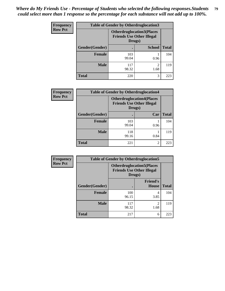| <b>Frequency</b> | <b>Table of Gender by Otherdruglocation3</b> |                                                                                |                        |              |
|------------------|----------------------------------------------|--------------------------------------------------------------------------------|------------------------|--------------|
| <b>Row Pct</b>   |                                              | <b>Otherdruglocation3(Places</b><br><b>Friends Use Other Illegal</b><br>Drugs) |                        |              |
|                  | Gender(Gender)                               |                                                                                | <b>School</b>          | <b>Total</b> |
|                  | <b>Female</b>                                | 103<br>99.04                                                                   | 0.96                   | 104          |
|                  | <b>Male</b>                                  | 117<br>98.32                                                                   | $\mathfrak{D}$<br>1.68 | 119          |
|                  | <b>Total</b>                                 | 220                                                                            | 3                      | 223          |

| Frequency      | <b>Table of Gender by Otherdruglocation4</b> |                                            |                                  |              |
|----------------|----------------------------------------------|--------------------------------------------|----------------------------------|--------------|
| <b>Row Pct</b> |                                              | <b>Friends Use Other Illegal</b><br>Drugs) | <b>Otherdruglocation4(Places</b> |              |
|                | Gender(Gender)                               |                                            | Car                              | <b>Total</b> |
|                | <b>Female</b>                                | 103<br>99.04                               | 0.96                             | 104          |
|                | <b>Male</b>                                  | 118<br>99.16                               | 0.84                             | 119          |
|                | <b>Total</b>                                 | 221                                        | 2                                | 223          |

| Frequency      | <b>Table of Gender by Otherdruglocation5</b> |                                                                                |                                 |              |
|----------------|----------------------------------------------|--------------------------------------------------------------------------------|---------------------------------|--------------|
| <b>Row Pct</b> |                                              | <b>Otherdruglocation5(Places</b><br><b>Friends Use Other Illegal</b><br>Drugs) |                                 |              |
|                | Gender(Gender)                               |                                                                                | <b>Friend's</b><br><b>House</b> | <b>Total</b> |
|                | <b>Female</b>                                | 100<br>96.15                                                                   | 4<br>3.85                       | 104          |
|                | <b>Male</b>                                  | 117<br>98.32                                                                   | $\mathfrak{D}$<br>1.68          | 119          |
|                | <b>Total</b>                                 | 217                                                                            | 6                               | 223          |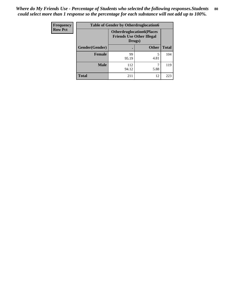| Frequency      | <b>Table of Gender by Otherdruglocation6</b> |                                            |                                  |              |
|----------------|----------------------------------------------|--------------------------------------------|----------------------------------|--------------|
| <b>Row Pct</b> |                                              | <b>Friends Use Other Illegal</b><br>Drugs) | <b>Otherdruglocation6(Places</b> |              |
|                | Gender(Gender)                               |                                            | <b>Other</b>                     | <b>Total</b> |
|                | <b>Female</b>                                | 99<br>95.19                                | 4.81                             | 104          |
|                | <b>Male</b>                                  | 112<br>94.12                               | 5.88                             | 119          |
|                | <b>Total</b>                                 | 211                                        | 12                               | 223          |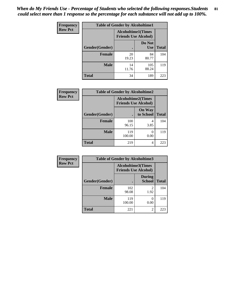| Frequency      | <b>Table of Gender by Alcoholtime1</b> |                                                          |                      |              |
|----------------|----------------------------------------|----------------------------------------------------------|----------------------|--------------|
| <b>Row Pct</b> |                                        | <b>Alcoholtime1(Times</b><br><b>Friends Use Alcohol)</b> |                      |              |
|                | Gender(Gender)                         | $\bullet$                                                | Do Not<br><b>Use</b> | <b>Total</b> |
|                | <b>Female</b>                          | 20<br>19.23                                              | 84<br>80.77          | 104          |
|                | <b>Male</b>                            | 14<br>11.76                                              | 105<br>88.24         | 119          |
|                | <b>Total</b>                           | 34                                                       | 189                  | 223          |

| <b>Frequency</b> | <b>Table of Gender by Alcoholtime2</b> |                                                          |                            |              |
|------------------|----------------------------------------|----------------------------------------------------------|----------------------------|--------------|
| <b>Row Pct</b>   |                                        | <b>Alcoholtime2(Times</b><br><b>Friends Use Alcohol)</b> |                            |              |
|                  | Gender(Gender)                         |                                                          | <b>On Way</b><br>to School | <b>Total</b> |
|                  | <b>Female</b>                          | 100<br>96.15                                             | 4<br>3.85                  | 104          |
|                  | <b>Male</b>                            | 119<br>100.00                                            | $\theta$<br>0.00           | 119          |
|                  | <b>Total</b>                           | 219                                                      | 4                          | 223          |

| Frequency      | <b>Table of Gender by Alcoholtime3</b> |                                                          |                                |              |
|----------------|----------------------------------------|----------------------------------------------------------|--------------------------------|--------------|
| <b>Row Pct</b> |                                        | <b>Alcoholtime3(Times</b><br><b>Friends Use Alcohol)</b> |                                |              |
|                | Gender(Gender)                         |                                                          | <b>During</b><br><b>School</b> | <b>Total</b> |
|                | Female                                 | 102<br>98.08                                             | 2<br>1.92                      | 104          |
|                | <b>Male</b>                            | 119<br>100.00                                            | $\mathbf{\Omega}$<br>0.00      | 119          |
|                | <b>Total</b>                           | 221                                                      | 2                              | 223          |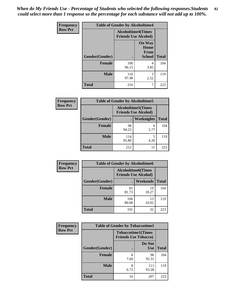*When do My Friends Use - Percentage of Students who selected the following responses.Students could select more than 1 response so the percentage for each substance will not add up to 100%.* **82**

| <b>Frequency</b> | <b>Table of Gender by Alcoholtime4</b> |                                                          |                                                |              |
|------------------|----------------------------------------|----------------------------------------------------------|------------------------------------------------|--------------|
| <b>Row Pct</b>   |                                        | <b>Alcoholtime4(Times</b><br><b>Friends Use Alcohol)</b> |                                                |              |
|                  | Gender(Gender)                         |                                                          | <b>On Way</b><br>Home<br>From<br><b>School</b> | <b>Total</b> |
|                  | <b>Female</b>                          | 100<br>96.15                                             | 4<br>3.85                                      | 104          |
|                  | <b>Male</b>                            | 116<br>97.48                                             | 3<br>2.52                                      | 119          |
|                  | <b>Total</b>                           | 216                                                      | 7                                              | 223          |

| <b>Frequency</b> | <b>Table of Gender by Alcoholtime5</b> |                                                           |                   |              |
|------------------|----------------------------------------|-----------------------------------------------------------|-------------------|--------------|
| <b>Row Pct</b>   |                                        | <b>Alcoholtime5</b> (Times<br><b>Friends Use Alcohol)</b> |                   |              |
|                  | Gender(Gender)                         |                                                           | <b>Weeknights</b> | <b>Total</b> |
|                  | <b>Female</b>                          | 98<br>94.23                                               | 6<br>5.77         | 104          |
|                  | <b>Male</b>                            | 114<br>95.80                                              | 5<br>4.20         | 119          |
|                  | <b>Total</b>                           | 212                                                       | 11                | 223          |

| <b>Frequency</b> | <b>Table of Gender by Alcoholtime6</b>                    |              |                 |              |
|------------------|-----------------------------------------------------------|--------------|-----------------|--------------|
| <b>Row Pct</b>   | <b>Alcoholtime6</b> (Times<br><b>Friends Use Alcohol)</b> |              |                 |              |
|                  | Gender(Gender)                                            |              | <b>Weekends</b> | <b>Total</b> |
|                  | <b>Female</b>                                             | 85<br>81.73  | 19<br>18.27     | 104          |
|                  | <b>Male</b>                                               | 106<br>89.08 | 13<br>10.92     | 119          |
|                  | <b>Total</b>                                              | 191          | 32              | 223          |

| <b>Frequency</b> | <b>Table of Gender by Tobaccotime1</b> |                                                          |                      |              |
|------------------|----------------------------------------|----------------------------------------------------------|----------------------|--------------|
| <b>Row Pct</b>   |                                        | <b>Tobaccotime1(Times</b><br><b>Friends Use Tobacco)</b> |                      |              |
|                  | Gender(Gender)                         |                                                          | Do Not<br><b>Use</b> | <b>Total</b> |
|                  | Female                                 | 8<br>7.69                                                | 96<br>92.31          | 104          |
|                  | <b>Male</b>                            | 8<br>6.72                                                | 111<br>93.28         | 119          |
|                  | <b>Total</b>                           | 16                                                       | 207                  | 223          |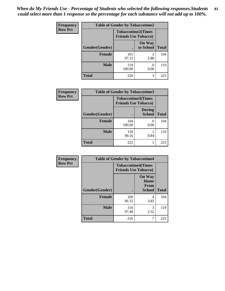*When do My Friends Use - Percentage of Students who selected the following responses.Students could select more than 1 response so the percentage for each substance will not add up to 100%.* **83**

| Frequency      | <b>Table of Gender by Tobaccotime2</b> |                                                          |                            |              |
|----------------|----------------------------------------|----------------------------------------------------------|----------------------------|--------------|
| <b>Row Pct</b> |                                        | <b>Tobaccotime2(Times</b><br><b>Friends Use Tobacco)</b> |                            |              |
|                | Gender(Gender)                         | $\bullet$                                                | <b>On Way</b><br>to School | <b>Total</b> |
|                | Female                                 | 101<br>97.12                                             | 3<br>2.88                  | 104          |
|                | <b>Male</b>                            | 119<br>100.00                                            | $\mathcal{O}$<br>0.00      | 119          |
|                | <b>Total</b>                           | 220                                                      | 3                          | 223          |

| Frequency      | <b>Table of Gender by Tobaccotime3</b> |                                                          |                                |              |
|----------------|----------------------------------------|----------------------------------------------------------|--------------------------------|--------------|
| <b>Row Pct</b> |                                        | <b>Tobaccotime3(Times</b><br><b>Friends Use Tobacco)</b> |                                |              |
|                | Gender(Gender)                         |                                                          | <b>During</b><br><b>School</b> | <b>Total</b> |
|                | <b>Female</b>                          | 104<br>100.00                                            | $\Omega$<br>0.00               | 104          |
|                | <b>Male</b>                            | 118<br>99.16                                             | 0.84                           | 119          |
|                | <b>Total</b>                           | 222                                                      |                                | 223          |

| <b>Frequency</b> | <b>Table of Gender by Tobaccotime4</b> |                                                          |                                         |              |
|------------------|----------------------------------------|----------------------------------------------------------|-----------------------------------------|--------------|
| <b>Row Pct</b>   |                                        | <b>Tobaccotime4(Times</b><br><b>Friends Use Tobacco)</b> |                                         |              |
|                  | Gender(Gender)                         |                                                          | <b>On Way</b><br>Home<br>From<br>School | <b>Total</b> |
|                  | <b>Female</b>                          | 100<br>96.15                                             | 4<br>3.85                               | 104          |
|                  | <b>Male</b>                            | 116<br>97.48                                             | 3<br>2.52                               | 119          |
|                  | <b>Total</b>                           | 216                                                      | 7                                       | 223          |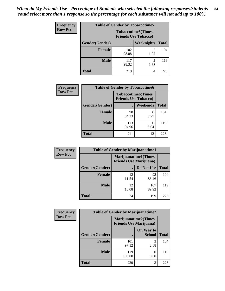| <b>Frequency</b> | <b>Table of Gender by Tobaccotime5</b> |              |                                                           |              |  |
|------------------|----------------------------------------|--------------|-----------------------------------------------------------|--------------|--|
| <b>Row Pct</b>   |                                        |              | <b>Tobaccotime5</b> (Times<br><b>Friends Use Tobacco)</b> |              |  |
|                  | Gender(Gender)                         |              | Weeknights                                                | <b>Total</b> |  |
|                  | <b>Female</b>                          | 102<br>98.08 | 2<br>1.92                                                 | 104          |  |
|                  | <b>Male</b>                            | 117<br>98.32 | 2<br>1.68                                                 | 119          |  |
|                  | Total                                  | 219          | 4                                                         | 223          |  |

| <b>Frequency</b> | <b>Table of Gender by Tobaccotime6</b> |                                                          |           |              |
|------------------|----------------------------------------|----------------------------------------------------------|-----------|--------------|
| <b>Row Pct</b>   |                                        | <b>Tobaccotime6(Times</b><br><b>Friends Use Tobacco)</b> |           |              |
|                  | Gender(Gender)                         |                                                          | Weekends  | <b>Total</b> |
|                  | Female                                 | 98<br>94.23                                              | 6<br>5.77 | 104          |
|                  | <b>Male</b>                            | 113<br>94.96                                             | 6<br>5.04 | 119          |
|                  | <b>Total</b>                           | 211                                                      | 12        | 223          |

| Frequency      | <b>Table of Gender by Marijuanatime1</b> |                                                               |              |              |
|----------------|------------------------------------------|---------------------------------------------------------------|--------------|--------------|
| <b>Row Pct</b> |                                          | <b>Marijuanatime1(Times</b><br><b>Friends Use Marijuana</b> ) |              |              |
|                | <b>Gender</b> (Gender)                   |                                                               | Do Not Use   | <b>Total</b> |
|                | Female                                   | 12<br>11.54                                                   | 92<br>88.46  | 104          |
|                | <b>Male</b>                              | 12<br>10.08                                                   | 107<br>89.92 | 119          |
|                | <b>Total</b>                             | 24                                                            | 199          | 223          |

| Frequency      | <b>Table of Gender by Marijuanatime2</b> |                                                               |                            |              |
|----------------|------------------------------------------|---------------------------------------------------------------|----------------------------|--------------|
| <b>Row Pct</b> |                                          | <b>Marijuanatime2(Times</b><br><b>Friends Use Marijuana</b> ) |                            |              |
|                | Gender(Gender)                           |                                                               | On Way to<br><b>School</b> | <b>Total</b> |
|                | <b>Female</b>                            | 101<br>97.12                                                  | 3<br>2.88                  | 104          |
|                | <b>Male</b>                              | 119<br>100.00                                                 | 0.00                       | 119          |
|                | <b>Total</b>                             | 220                                                           | 3                          | 223          |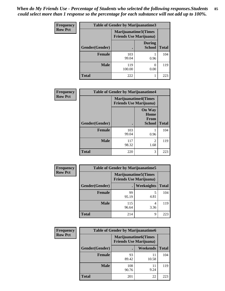| <b>Frequency</b> | Table of Gender by Marijuanatime3 |                                                        |                                |              |
|------------------|-----------------------------------|--------------------------------------------------------|--------------------------------|--------------|
| <b>Row Pct</b>   |                                   | Marijuanatime3(Times<br><b>Friends Use Marijuana</b> ) |                                |              |
|                  | Gender(Gender)                    |                                                        | <b>During</b><br><b>School</b> | <b>Total</b> |
|                  | <b>Female</b>                     | 103<br>99.04                                           | 0.96                           | 104          |
|                  | <b>Male</b>                       | 119<br>100.00                                          | 0<br>0.00                      | 119          |
|                  | <b>Total</b>                      | 222                                                    |                                | 223          |

| <b>Frequency</b> |                | <b>Table of Gender by Marijuanatime4</b> |                                                       |              |  |
|------------------|----------------|------------------------------------------|-------------------------------------------------------|--------------|--|
| <b>Row Pct</b>   |                | <b>Friends Use Marijuana</b> )           | <b>Marijuanatime4(Times</b>                           |              |  |
|                  | Gender(Gender) |                                          | <b>On Way</b><br>Home<br><b>From</b><br><b>School</b> | <b>Total</b> |  |
|                  | <b>Female</b>  | 103<br>99.04                             | 0.96                                                  | 104          |  |
|                  | <b>Male</b>    | 117<br>98.32                             | $\mathfrak{D}$<br>1.68                                | 119          |  |
|                  | <b>Total</b>   | 220                                      | 3                                                     | 223          |  |

| Frequency      | <b>Table of Gender by Marijuanatime5</b> |              |                                                                |              |
|----------------|------------------------------------------|--------------|----------------------------------------------------------------|--------------|
| <b>Row Pct</b> |                                          |              | <b>Marijuanatime5</b> (Times<br><b>Friends Use Marijuana</b> ) |              |
|                | Gender(Gender)                           |              | Weeknights                                                     | <b>Total</b> |
|                | <b>Female</b>                            | 99<br>95.19  | 4.81                                                           | 104          |
|                | <b>Male</b>                              | 115<br>96.64 | 4<br>3.36                                                      | 119          |
|                | <b>Total</b>                             | 214          | 9                                                              | 223          |

| Frequency      | <b>Table of Gender by Marijuanatime6</b> |                                                               |                 |              |
|----------------|------------------------------------------|---------------------------------------------------------------|-----------------|--------------|
| <b>Row Pct</b> |                                          | <b>Marijuanatime6(Times</b><br><b>Friends Use Marijuana</b> ) |                 |              |
|                | Gender(Gender)                           |                                                               | <b>Weekends</b> | <b>Total</b> |
|                | <b>Female</b>                            | 93<br>89.42                                                   | 11<br>10.58     | 104          |
|                | <b>Male</b>                              | 108<br>90.76                                                  | 11<br>9.24      | 119          |
|                | <b>Total</b>                             | 201                                                           | 22              | 223          |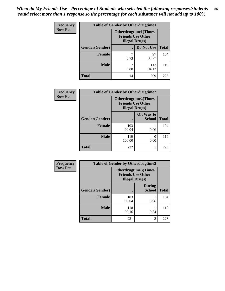| <b>Frequency</b> | <b>Table of Gender by Otherdrugtime1</b> |                                                                                    |                    |     |
|------------------|------------------------------------------|------------------------------------------------------------------------------------|--------------------|-----|
| <b>Row Pct</b>   |                                          | <b>Otherdrugtime1</b> (Times<br><b>Friends Use Other</b><br><b>Illegal Drugs</b> ) |                    |     |
|                  | Gender(Gender)                           |                                                                                    | Do Not Use   Total |     |
|                  | <b>Female</b>                            | 7<br>6.73                                                                          | 97<br>93.27        | 104 |
|                  | <b>Male</b>                              | 7<br>5.88                                                                          | 112<br>94.12       | 119 |
|                  | <b>Total</b>                             | 14                                                                                 | 209                | 223 |

| Frequency      | <b>Table of Gender by Otherdrugtime2</b> |                                                                                   |                            |              |
|----------------|------------------------------------------|-----------------------------------------------------------------------------------|----------------------------|--------------|
| <b>Row Pct</b> |                                          | <b>Otherdrugtime2(Times</b><br><b>Friends Use Other</b><br><b>Illegal Drugs</b> ) |                            |              |
|                | Gender(Gender)                           |                                                                                   | On Way to<br><b>School</b> | <b>Total</b> |
|                | <b>Female</b>                            | 103<br>99.04                                                                      | 0.96                       | 104          |
|                | <b>Male</b>                              | 119<br>100.00                                                                     | 0.00                       | 119          |
|                | <b>Total</b>                             | 222                                                                               |                            | 223          |

| Frequency      | <b>Table of Gender by Otherdrugtime3</b> |                        |                                                         |              |
|----------------|------------------------------------------|------------------------|---------------------------------------------------------|--------------|
| <b>Row Pct</b> |                                          | <b>Illegal Drugs</b> ) | <b>Otherdrugtime3(Times</b><br><b>Friends Use Other</b> |              |
|                | Gender(Gender)                           |                        | <b>During</b><br><b>School</b>                          | <b>Total</b> |
|                | <b>Female</b>                            | 103<br>99.04           | 0.96                                                    | 104          |
|                | <b>Male</b>                              | 118<br>99.16           | 0.84                                                    | 119          |
|                | <b>Total</b>                             | 221                    | $\overline{c}$                                          | 223          |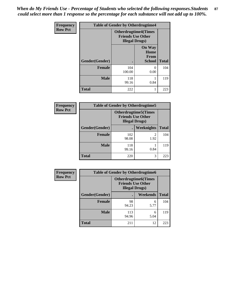*When do My Friends Use - Percentage of Students who selected the following responses.Students could select more than 1 response so the percentage for each substance will not add up to 100%.* **87**

| <b>Frequency</b> | <b>Table of Gender by Otherdrugtime4</b> |                                                    |                                                       |              |  |
|------------------|------------------------------------------|----------------------------------------------------|-------------------------------------------------------|--------------|--|
| <b>Row Pct</b>   |                                          | <b>Friends Use Other</b><br><b>Illegal Drugs</b> ) | <b>Otherdrugtime4(Times</b>                           |              |  |
|                  | Gender(Gender)                           |                                                    | <b>On Way</b><br>Home<br><b>From</b><br><b>School</b> | <b>Total</b> |  |
|                  | <b>Female</b>                            | 104<br>100.00                                      | 0<br>0.00                                             | 104          |  |
|                  | <b>Male</b>                              | 118<br>99.16                                       | 0.84                                                  | 119          |  |
|                  | <b>Total</b>                             | 222                                                |                                                       | 223          |  |

| <b>Frequency</b> | <b>Table of Gender by Otherdrugtime5</b> |                                                                                    |            |              |
|------------------|------------------------------------------|------------------------------------------------------------------------------------|------------|--------------|
| <b>Row Pct</b>   |                                          | <b>Otherdrugtime5</b> (Times<br><b>Friends Use Other</b><br><b>Illegal Drugs</b> ) |            |              |
|                  | Gender(Gender)                           |                                                                                    | Weeknights | <b>Total</b> |
|                  | <b>Female</b>                            | 102<br>98.08                                                                       | 2<br>1.92  | 104          |
|                  | <b>Male</b>                              | 118<br>99.16                                                                       | 0.84       | 119          |
|                  | Total                                    | 220                                                                                | 3          | 223          |

| <b>Frequency</b> |                | <b>Table of Gender by Otherdrugtime6</b>                                          |           |              |  |
|------------------|----------------|-----------------------------------------------------------------------------------|-----------|--------------|--|
| <b>Row Pct</b>   |                | <b>Otherdrugtime6(Times</b><br><b>Friends Use Other</b><br><b>Illegal Drugs</b> ) |           |              |  |
|                  | Gender(Gender) |                                                                                   | Weekends  | <b>Total</b> |  |
|                  | <b>Female</b>  | 98<br>94.23                                                                       | 6<br>5.77 | 104          |  |
|                  | <b>Male</b>    | 113<br>94.96                                                                      | 6<br>5.04 | 119          |  |
|                  | <b>Total</b>   | 211                                                                               | 12        | 223          |  |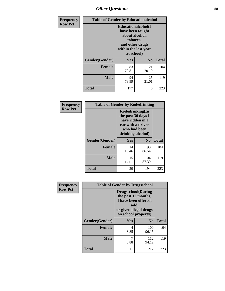## *Other Questions* **88**

| <b>Frequency</b> | <b>Table of Gender by Educationalcohol</b> |                                                                                                                                       |                |              |
|------------------|--------------------------------------------|---------------------------------------------------------------------------------------------------------------------------------------|----------------|--------------|
| <b>Row Pct</b>   |                                            | <b>Educationalcohol</b> (I<br>have been taught<br>about alcohol,<br>tobacco,<br>and other drugs<br>within the last year<br>at school) |                |              |
|                  | Gender(Gender)                             | <b>Yes</b>                                                                                                                            | N <sub>0</sub> | <b>Total</b> |
|                  | <b>Female</b>                              | 83<br>79.81                                                                                                                           | 21<br>20.19    | 104          |
|                  | <b>Male</b>                                | 94<br>78.99                                                                                                                           | 25<br>21.01    | 119          |
|                  | <b>Total</b>                               | 177                                                                                                                                   | 46             | 223          |

| Frequency      | <b>Table of Gender by Rodedrinking</b> |                                                                                                                     |                |              |
|----------------|----------------------------------------|---------------------------------------------------------------------------------------------------------------------|----------------|--------------|
| <b>Row Pct</b> |                                        | Rodedrinking(In<br>the past 30 days I<br>have ridden in a<br>car with a driver<br>who had been<br>drinking alcohol) |                |              |
|                | Gender(Gender)                         | Yes                                                                                                                 | N <sub>0</sub> | <b>Total</b> |
|                | <b>Female</b>                          | 14<br>13.46                                                                                                         | 90<br>86.54    | 104          |
|                | <b>Male</b>                            | 15<br>12.61                                                                                                         | 104<br>87.39   | 119          |
|                | <b>Total</b>                           | 29                                                                                                                  | 194            | 223          |

| Frequency      |                | <b>Table of Gender by Drugsschool</b>                                                                                               |                |              |
|----------------|----------------|-------------------------------------------------------------------------------------------------------------------------------------|----------------|--------------|
| <b>Row Pct</b> |                | <b>Drugsschool</b> (During<br>the past 12 months,<br>I have been offered,<br>sold,<br>or given illegal drugs<br>on school property) |                |              |
|                | Gender(Gender) | Yes                                                                                                                                 | N <sub>0</sub> | <b>Total</b> |
|                | <b>Female</b>  | 4<br>3.85                                                                                                                           | 100<br>96.15   | 104          |
|                | <b>Male</b>    | 7<br>5.88                                                                                                                           | 112<br>94.12   | 119          |
|                | <b>Total</b>   | 11                                                                                                                                  | 212            | 223          |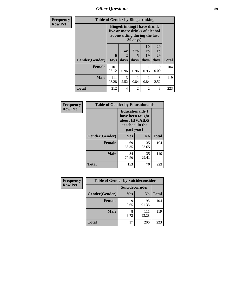*Other Questions* **89**

| Frequency      | <b>Table of Gender by Bingedrinking</b> |                                                                                                                            |              |                              |                        |                        |              |
|----------------|-----------------------------------------|----------------------------------------------------------------------------------------------------------------------------|--------------|------------------------------|------------------------|------------------------|--------------|
| <b>Row Pct</b> |                                         | <b>Bingedrinking(I have drunk</b><br>five or more drinks of alcohol<br>at one sitting during the last<br>$30 \text{ days}$ |              |                              |                        |                        |              |
|                | Gender(Gender)                          | $\mathbf{0}$<br><b>Days</b>                                                                                                | 1 or<br>days | 3 <sub>to</sub><br>5<br>days | 10<br>to<br>19<br>days | 20<br>to<br>29<br>days | <b>Total</b> |
|                | Female                                  | 101<br>97.12                                                                                                               | 0.96         | 0.96                         | 0.96                   | 0<br>0.00              | 104          |
|                | <b>Male</b>                             | 111<br>93.28                                                                                                               | 3<br>2.52    | 0.84                         | 0.84                   | $\mathcal{R}$<br>2.52  | 119          |
|                | <b>Total</b>                            | 212                                                                                                                        | 4            | 2                            | $\overline{2}$         | 3                      | 223          |

| Frequency      | <b>Table of Gender by Educationaids</b> |                                                                                                 |                |              |  |
|----------------|-----------------------------------------|-------------------------------------------------------------------------------------------------|----------------|--------------|--|
| <b>Row Pct</b> |                                         | <b>Educationaids</b> (I<br>have been taught<br>about HIV/AIDS<br>at school in the<br>past year) |                |              |  |
|                | Gender(Gender)                          | Yes                                                                                             | N <sub>0</sub> | <b>Total</b> |  |
|                | <b>Female</b>                           | 69<br>66.35                                                                                     | 35<br>33.65    | 104          |  |
|                | <b>Male</b>                             | 84<br>70.59                                                                                     | 35<br>29.41    | 119          |  |
|                | <b>Total</b>                            | 153                                                                                             | 70             | 223          |  |

| <b>Frequency</b> | <b>Table of Gender by Suicideconsider</b> |                 |                |              |
|------------------|-------------------------------------------|-----------------|----------------|--------------|
| <b>Row Pct</b>   |                                           | Suicideconsider |                |              |
|                  | Gender(Gender)                            | <b>Yes</b>      | N <sub>0</sub> | <b>Total</b> |
|                  | <b>Female</b>                             | q<br>8.65       | 95<br>91.35    | 104          |
|                  | <b>Male</b>                               | 8<br>6.72       | 111<br>93.28   | 119          |
|                  | <b>Total</b>                              | 17              | 206            | 223          |